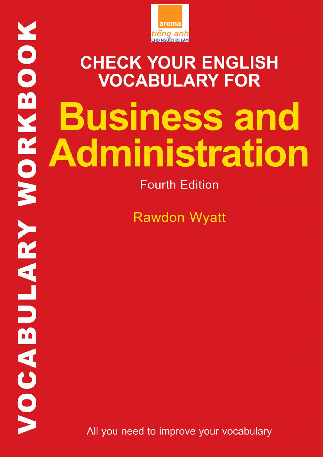# **CHECK YOUR ENGLISH VOCABULARY FOR Business and** Administration

**MORKBOOK** 

**VARUBULARY** 

**Fourth Edition** 

**Rawdon Wyatt** 

All you need to improve your vocabulary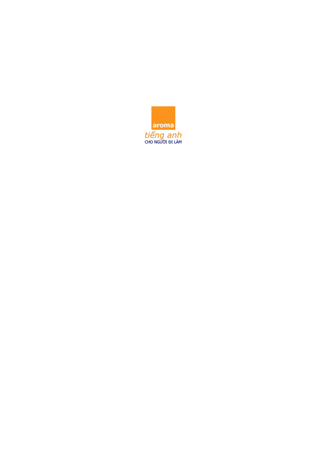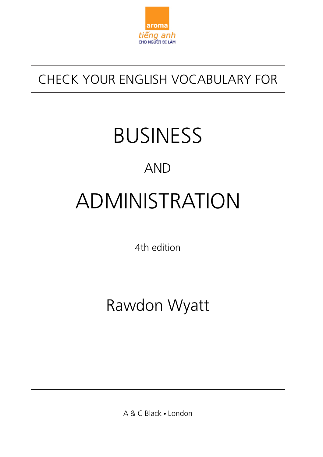

# CHECK YOUR ENGLISH VOCABULARY FOR

# BUSINESS ADMINISTRATION AND

4th edition

# Rawdon Wyatt

A & C Black London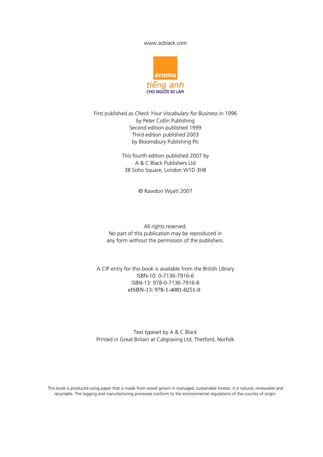[www.acblack.com](http://www.acblack.com)



First published as *Check Your Vocabulary for Business* in 1996 by Peter Collin Publishing Second edition published 1999 Third edition published 2003 by Bloomsbury Publishing Plc

> This fourth edition published 2007 by A & C Black Publishers Ltd 38 Soho Square, London W1D 3HB

> > © Rawdon Wyatt 2007

All rights reserved. No part of this publication may be reproduced in any form without the permission of the publishers.

A CIP entry for this book is available from the British Library ISBN-10: 0-7136-7916-6 ISBN-13: 978-0-7136-7916-8 eISBN-13: 978-1-4081-0251-0

Text typeset by A & C Black Printed in Great Britain at Caligraving Ltd, Thetford, Norfolk

This book is produced using paper that is made from wood grown in managed, sustainable forests. It is natural, renewable and recyclable. The logging and manufacturing processes conform to the environmental regulations of the country of origin.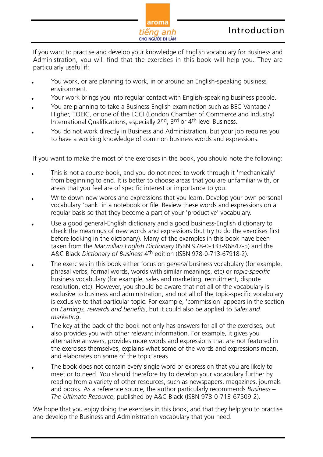#### aroma Introduction tiếng anh CHO NGƯỜI ĐI LÀM

If you want to practise and develop your knowledge of English vocabulary for Business and Administration, you will find that the exercises in this book will help you. They are particularly useful if:

- You work, or are planning to work, in or around an English-speaking business environment.
- Your work brings you into regular contact with English-speaking business people.
- You are planning to take a Business English examination such as BEC Vantage / Higher, TOEIC, or one of the LCCI (London Chamber of Commerce and Industry) International Qualifications, especially 2nd, 3rd or 4th level Business.
- You do not work directly in Business and Administration, but your job requires you to have a working knowledge of common business words and expressions.

If you want to make the most of the exercises in the book, you should note the following:

- This is not a course book, and you do not need to work through it 'mechanically' from beginning to end. It is better to choose areas that you are unfamiliar with, or areas that you feel are of specific interest or importance to you.
- Write down new words and expressions that you learn. Develop your own personal vocabulary 'bank' in a notebook or file. Review these words and expressions on a regular basis so that they become a part of your 'productive' vocabulary.
- Use a good general-English dictionary and a good business-English dictionary to check the meanings of new words and expressions (but try to do the exercises first before looking in the dictionary). Many of the examples in this book have been taken from the *Macmillan English Dictionary* (ISBN 978-0-333-96847-5) and the A&C Black *Dictionary of Business* 4th edition (ISBN 978-0-713-67918-2).
- The exercises in this book either focus on *general* business vocabulary (for example, phrasal verbs, formal words, words with similar meanings, etc) or *topic-specific*  business vocabulary (for example, sales and marketing, recruitment, dispute resolution, etc). However, you should be aware that not all of the vocabulary is exclusive to business and administration, and not all of the topic-specific vocabulary is exclusive to that particular topic. For example, 'commission' appears in the section on *Earnings, rewards and benefits*, but it could also be applied to *Sales and marketing*.
- The key at the back of the book not only has answers for all of the exercises, but also provides you with other relevant information. For example, it gives you alternative answers, provides more words and expressions that are not featured in the exercises themselves, explains what some of the words and expressions mean, and elaborates on some of the topic areas
- The book does not contain every single word or expression that you are likely to meet or to need. You should therefore try to develop your vocabulary further by reading from a variety of other resources, such as newspapers, magazines, journals and books. As a reference source, the author particularly recommends *Business – The Ultimate Resource*, published by A&C Black (ISBN 978-0-713-67509-2).

We hope that you enjoy doing the exercises in this book, and that they help you to practise and develop the Business and Administration vocabulary that you need.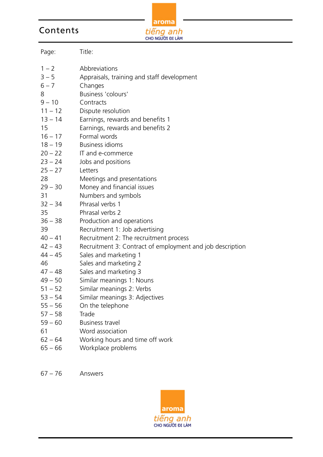### Contents

aroma tiếng anh CHO NGƯỜI ĐI LÀM

- Page: Title: [1 – 2 Abbreviations](#page-6-0) [3 – 5 Appraisals, training and staff development](#page-8-0)  $6 - 7$  Changes [8 Business 'colours'](#page-13-0) [9 – 10 Contracts](#page-14-0)
- [11 12 Dispute resolution](#page-16-0)
- [13 14 Earnings, rewards and benefits 1](#page-18-0)
- [15 Earnings, rewards and benefits 2](#page-20-0)
- [16 17 Formal words](#page-21-0)
- [18 19 Business idioms](#page-23-0)
- $20 22$  IT and e-commerce
- [23 24 Jobs and positions](#page-28-0)
- [25 27 Letters](#page-30-0)
- [28 Meetings and presentations](#page-33-0)
- [29 30 Money and financial issues](#page-34-0)
- [31 Numbers and symbols](#page-36-0)
- [32 34 Phrasal verbs 1](#page-37-0)
- [35 Phrasal verbs 2](#page-40-0)
- [36 38 Production and operations](#page-41-0)
- [39 Recruitment 1: Job advertising](#page-44-0)
- [40 41 Recruitment 2: The recruitment process](#page-45-0)
- [42 43 Recruitment 3: Contract of employment and job description](#page-47-0)
- [44 45 Sales and marketing 1](#page-49-0)
- [46 Sales and marketing 2](#page-51-0)
- [47 48 Sales and marketing 3](#page-52-0)
- [49 50 Similar meanings 1: Nouns](#page-54-0)
- [51 52 Similar meanings 2: Verbs](#page-56-0)
- [53 54 Similar meanings 3: Adjectives](#page-58-0)
- [55 56 On the telephone](#page-60-0)
- [57 58 Trade](#page-62-0)
- [59 60 Business travel](#page-64-0)
- [61 Word association](#page-66-0)
- [62 64 Working hours and time off work](#page-67-0)
- [65 66 Workplace problems](#page-70-0)

[67 – 76 Answers](#page-72-0)

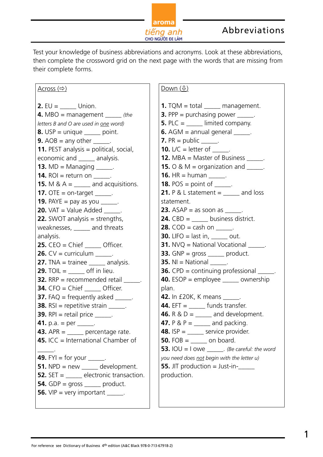aroma tiếng anh

<span id="page-6-0"></span>Test your knowledge of business abbreviations and acronyms. Look at these abbreviations, then complete the crossword grid on the next page with the words that are missing from their complete forms.

| $Across (\Rightarrow)$                                                                                                                                                                                                                                                                                                                                                                                |   |
|-------------------------------------------------------------------------------------------------------------------------------------------------------------------------------------------------------------------------------------------------------------------------------------------------------------------------------------------------------------------------------------------------------|---|
| <b>2.</b> $EU =$ Union.                                                                                                                                                                                                                                                                                                                                                                               |   |
| 4. MBO = management $\frac{1}{\sqrt{1-\frac{1}{1-\frac{1}{1-\frac{1}{1-\frac{1}{1-\frac{1}{1-\frac{1}{1-\frac{1}{1-\frac{1}{1-\frac{1}{1-\frac{1}{1-\frac{1}{1-\frac{1}{1-\frac{1}{1-\frac{1}{1-\frac{1}{1-\frac{1}{1-\frac{1}{1-\frac{1}{1-\frac{1}{1-\frac{1}{1-\frac{1}{1-\frac{1}{1-\frac{1}{1-\frac{1}{1-\frac{1}{1-\frac{1}{1-\frac{1}{1-\frac{1}{1-\frac{1}{1-\frac{1}{1-\frac{1}{1-\frac{1}{$ |   |
| letters B and O are used in one word)                                                                                                                                                                                                                                                                                                                                                                 |   |
| <b>8.</b> USP = unique $\_\_\_\_\_$ point.                                                                                                                                                                                                                                                                                                                                                            |   |
| <b>9.</b> AOB = any other ______.                                                                                                                                                                                                                                                                                                                                                                     |   |
| <b>11.</b> PEST analysis = political, social,                                                                                                                                                                                                                                                                                                                                                         |   |
| economic and ______ analysis.                                                                                                                                                                                                                                                                                                                                                                         |   |
| <b>13.</b> $MD = Management$ _______.                                                                                                                                                                                                                                                                                                                                                                 |   |
| <b>14.</b> ROI = return on $\frac{1}{2}$ .                                                                                                                                                                                                                                                                                                                                                            |   |
| <b>15.</b> M & $A =$ ______ and acquisitions.                                                                                                                                                                                                                                                                                                                                                         |   |
| <b>17.</b> OTE = on-target $\_\_\_\_\$ .                                                                                                                                                                                                                                                                                                                                                              |   |
| <b>19.</b> PAYE = pay as you ______.                                                                                                                                                                                                                                                                                                                                                                  |   |
| <b>20.</b> VAT = Value Added $\qquad$ .                                                                                                                                                                                                                                                                                                                                                               |   |
| <b>22.</b> SWOT analysis = strengths,                                                                                                                                                                                                                                                                                                                                                                 |   |
| weaknesses, _____ and threats                                                                                                                                                                                                                                                                                                                                                                         |   |
| analysis.                                                                                                                                                                                                                                                                                                                                                                                             |   |
| <b>25.</b> $CEO = Chief$ Officer.                                                                                                                                                                                                                                                                                                                                                                     |   |
| <b>26.</b> $CV = curriculum$ .                                                                                                                                                                                                                                                                                                                                                                        |   |
| <b>27.</b> TNA = trainee $\_\_\_\_\$ analysis.                                                                                                                                                                                                                                                                                                                                                        |   |
| <b>29.</b> TOIL = $\_\_\_\_$ off in lieu.                                                                                                                                                                                                                                                                                                                                                             |   |
| <b>32.</b> RRP = recommended retail $\qquad$ .                                                                                                                                                                                                                                                                                                                                                        |   |
| <b>34.</b> $CFO = Chief$ _____ Officer.                                                                                                                                                                                                                                                                                                                                                               |   |
| <b>37.</b> FAQ = frequently asked $\frac{1}{\cdot}$ .                                                                                                                                                                                                                                                                                                                                                 |   |
| <b>38.</b> RSI = repetitive strain $\frac{1}{\sqrt{2}}$ .                                                                                                                                                                                                                                                                                                                                             |   |
| <b>39.</b> RPI = retail price $\_\_\_\_\_\_\$ .                                                                                                                                                                                                                                                                                                                                                       |   |
| <b>41.</b> p.a. = per ______.                                                                                                                                                                                                                                                                                                                                                                         |   |
| <b>43.</b> APR = $\_\_\_\_\_\$ percentage rate.                                                                                                                                                                                                                                                                                                                                                       |   |
| 45. ICC = International Chamber of                                                                                                                                                                                                                                                                                                                                                                    |   |
|                                                                                                                                                                                                                                                                                                                                                                                                       |   |
| <b>49.</b> FYI = for your $\_\_\_\_\$ .                                                                                                                                                                                                                                                                                                                                                               | J |
| <b>51.</b> NPD = $new$ ______ development.                                                                                                                                                                                                                                                                                                                                                            |   |
| <b>52.</b> SET = $\_\_\_\_\_\$ electronic transaction.                                                                                                                                                                                                                                                                                                                                                |   |
| <b>54.</b> GDP = $gross$ product.                                                                                                                                                                                                                                                                                                                                                                     |   |
| <b>56.</b> $VIP = very important ______.$                                                                                                                                                                                                                                                                                                                                                             |   |
|                                                                                                                                                                                                                                                                                                                                                                                                       |   |

| OWE |  |
|-----|--|
|     |  |

| <b>1.</b> TQM = total $\_\_\_\_\$ management.                                                                                                                                                                                                                                                                                                                                                              |
|------------------------------------------------------------------------------------------------------------------------------------------------------------------------------------------------------------------------------------------------------------------------------------------------------------------------------------------------------------------------------------------------------------|
| <b>3.</b> PPP = purchasing power $\frac{1}{2}$ .                                                                                                                                                                                                                                                                                                                                                           |
| <b>5.</b> PLC = $\frac{1}{\sqrt{2\pi}}$ limited company.                                                                                                                                                                                                                                                                                                                                                   |
| <b>6.</b> AGM = annual general $\frac{1}{\sqrt{1-\frac{1}{n}}}}$ .                                                                                                                                                                                                                                                                                                                                         |
| <b>7.</b> PR = public ______.                                                                                                                                                                                                                                                                                                                                                                              |
| <b>10.</b> L/C = letter of ______.                                                                                                                                                                                                                                                                                                                                                                         |
| <b>12.</b> MBA = Master of Business $\frac{1}{\sqrt{1-\frac{1}{n}}}}$ .                                                                                                                                                                                                                                                                                                                                    |
| <b>15.</b> O & M = organization and $\frac{1}{\sqrt{1-\frac{1}{n}}}}$ .                                                                                                                                                                                                                                                                                                                                    |
| <b>16.</b> HR = human ______.                                                                                                                                                                                                                                                                                                                                                                              |
| <b>18.</b> POS = point of ______.                                                                                                                                                                                                                                                                                                                                                                          |
| <b>21.</b> P & L statement $=$ ______ and loss                                                                                                                                                                                                                                                                                                                                                             |
| statement.                                                                                                                                                                                                                                                                                                                                                                                                 |
| <b>23.</b> ASAP = as soon as ______.                                                                                                                                                                                                                                                                                                                                                                       |
| <b>24.</b> CBD = $\_\_\_\_\_\_\$ business district.                                                                                                                                                                                                                                                                                                                                                        |
| <b>28.</b> COD = cash on _____.                                                                                                                                                                                                                                                                                                                                                                            |
| <b>30.</b> LIFO = last in, $\frac{1}{1}$ out.                                                                                                                                                                                                                                                                                                                                                              |
| <b>31.</b> NVQ = National Vocational $\frac{1}{\sqrt{1-\frac{1}{\sqrt{1-\frac{1}{\sqrt{1-\frac{1}{\sqrt{1-\frac{1}{\sqrt{1-\frac{1}{\sqrt{1-\frac{1}{\sqrt{1-\frac{1}{\sqrt{1-\frac{1}{\sqrt{1-\frac{1}{\sqrt{1-\frac{1}{\sqrt{1-\frac{1}{\sqrt{1-\frac{1}{\sqrt{1-\frac{1}{\sqrt{1-\frac{1}{\sqrt{1-\frac{1}{\sqrt{1-\frac{1}{\sqrt{1-\frac{1}{\sqrt{1-\frac{1}{\sqrt{1-\frac{1}{\sqrt{1-\frac{1}{\sqrt{$ |
| <b>33.</b> GNP = $gross$ product.                                                                                                                                                                                                                                                                                                                                                                          |
| <b>35.</b> NI = National $\_\_\_\_\$ .                                                                                                                                                                                                                                                                                                                                                                     |
| <b>36.</b> CPD = continuing professional $\frac{1}{\sqrt{1-\frac{1}{n}}}}$ .                                                                                                                                                                                                                                                                                                                               |
| 40. ESOP = employee ______ ownership                                                                                                                                                                                                                                                                                                                                                                       |
| plan.                                                                                                                                                                                                                                                                                                                                                                                                      |
| <b>42.</b> In £20K, K means _____.                                                                                                                                                                                                                                                                                                                                                                         |
| <b>44.</b> EFT = $\frac{1}{\sqrt{1-\frac{1}{n}}}\$ funds transfer.                                                                                                                                                                                                                                                                                                                                         |
| <b>46.</b> R & $D = \underline{\hspace{2cm}}$ and development.                                                                                                                                                                                                                                                                                                                                             |
| <b>47.</b> $P \& P = \_\_\_\_\$ and packing.                                                                                                                                                                                                                                                                                                                                                               |
| <b>48.</b> ISP = $\frac{1}{\sqrt{1-\frac{1}{n}}}\$ service provider.                                                                                                                                                                                                                                                                                                                                       |
| <b>50.</b> FOB = $\frac{1}{2}$ on board.                                                                                                                                                                                                                                                                                                                                                                   |
| <b>53.</b> IOU = $1$ owe _______. (Be careful: the word                                                                                                                                                                                                                                                                                                                                                    |
| you need does not begin with the letter u)                                                                                                                                                                                                                                                                                                                                                                 |
| <b>55.</b> JIT production = Just-in- $\frac{1}{2}$                                                                                                                                                                                                                                                                                                                                                         |
| production.                                                                                                                                                                                                                                                                                                                                                                                                |
|                                                                                                                                                                                                                                                                                                                                                                                                            |
|                                                                                                                                                                                                                                                                                                                                                                                                            |
|                                                                                                                                                                                                                                                                                                                                                                                                            |

1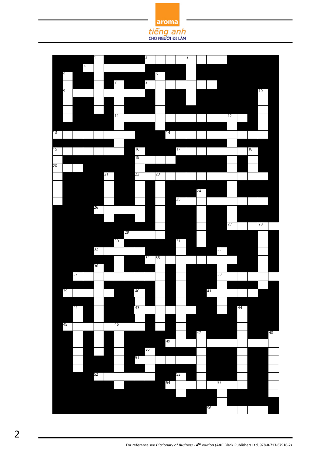

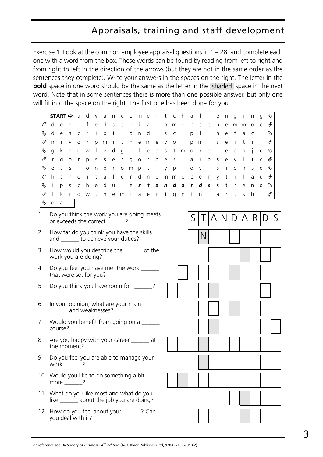# Appraisals, training and staff development

 $S$   $\mid$  T  $\mid$  A  $\mid$  N  $\mid$  D  $\mid$  A  $\mid$  R  $\mid$  D  $\mid$  S

N

<span id="page-8-0"></span>Exercise 1: Look at the common employee appraisal questions in  $1 - 28$ , and complete each one with a word from the box. These words can be found by reading from left to right and from right to left in the direction of the arrows (but they are not in the same order as the sentences they complete). Write your answers in the spaces on the right. The letter in the **bold** space in one word should be the same as the letter in the shaded space in the next word. Note that in some sentences there is more than one possible answer, but only one will fit into the space on the right. The first one has been done for you.

|         |  |  |                                                             |  |  |  |  |  |  |  |  |  | $\textsf{START} \Rightarrow$ advancement challeng ing $\textcolor{red}{\mathcal{R}}$ |
|---------|--|--|-------------------------------------------------------------|--|--|--|--|--|--|--|--|--|--------------------------------------------------------------------------------------|
|         |  |  | $\mathcal F$ denifeds tnial pmocs tnemmoc $\mathcal F$      |  |  |  |  |  |  |  |  |  |                                                                                      |
|         |  |  | $\mathbb F$ description discipline faci $\mathbb F$         |  |  |  |  |  |  |  |  |  |                                                                                      |
|         |  |  | $\mathscr F$ nivorpmit nemevorpmise it il                   |  |  |  |  |  |  |  |  |  | $\mathscr{P}$                                                                        |
|         |  |  | ∜⊳gknowledgeleastmoraleobje २े                              |  |  |  |  |  |  |  |  |  |                                                                                      |
|         |  |  | $\mathcal F$ rgorps sergorpes i arpsevit c $\mathcal P$     |  |  |  |  |  |  |  |  |  |                                                                                      |
|         |  |  | फ्ष्टs sion prompt lyprovision sq २३                        |  |  |  |  |  |  |  |  |  |                                                                                      |
|         |  |  | $\mathscr F$ h s no it a lerd nemmocery tilau $\mathscr P$  |  |  |  |  |  |  |  |  |  |                                                                                      |
|         |  |  |                                                             |  |  |  |  |  |  |  |  |  |                                                                                      |
|         |  |  | $\mathscr{F}$ I k row t nemtaert gniniarts ht $\mathscr{F}$ |  |  |  |  |  |  |  |  |  |                                                                                      |
| ∜⊳o a d |  |  |                                                             |  |  |  |  |  |  |  |  |  |                                                                                      |

- 1. Do you think the work you are doing meets or exceeds the correct \_\_\_\_\_\_?
- 2. How far do you think you have the skills and \_\_\_\_\_\_ to achieve your duties?
- 3. How would you describe the \_\_\_\_\_\_ of the work you are doing?
- 4. Do you feel you have met the work that were set for you?
- 5. Do you think you have room for \_\_\_\_\_?
- 6. In your opinion, what are your main \_\_\_\_\_\_ and weaknesses?
- 7. Would you benefit from going on a course?
- 8. Are you happy with your career \_\_\_\_\_\_ at the moment?
- 9. Do you feel you are able to manage your work ?
- 10. Would you like to do something a bit more ?
- 11. What do you like most and what do you like \_\_\_\_\_\_ about the job you are doing?
- 12. How do you feel about your \_\_\_\_\_\_? Can you deal with it?

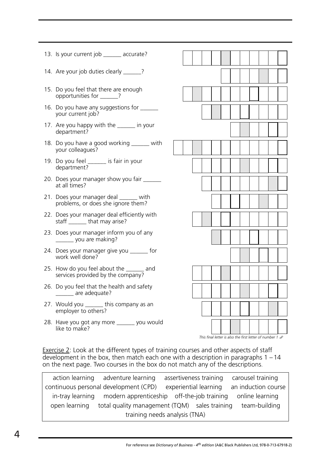| 13. Is your current job ______ accurate?                                                                                                                                      |  |  |  |  |                                                                     |
|-------------------------------------------------------------------------------------------------------------------------------------------------------------------------------|--|--|--|--|---------------------------------------------------------------------|
| 14. Are your job duties clearly ______?                                                                                                                                       |  |  |  |  |                                                                     |
| 15. Do you feel that there are enough<br>opportunities for ______?                                                                                                            |  |  |  |  |                                                                     |
| 16. Do you have any suggestions for ______<br>your current job?                                                                                                               |  |  |  |  |                                                                     |
| 17. Are you happy with the ______ in your<br>department?                                                                                                                      |  |  |  |  |                                                                     |
| 18. Do you have a good working ______ with<br>your colleagues?                                                                                                                |  |  |  |  |                                                                     |
| 19. Do you feel ______ is fair in your<br>department?                                                                                                                         |  |  |  |  |                                                                     |
| 20. Does your manager show you fair ______<br>at all times?                                                                                                                   |  |  |  |  |                                                                     |
| 21. Does your manager deal ______ with<br>problems, or does she ignore them?                                                                                                  |  |  |  |  |                                                                     |
| 22. Does your manager deal efficiently with<br>staff ______ that may arise?                                                                                                   |  |  |  |  |                                                                     |
| 23. Does your manager inform you of any<br>________ you are making?                                                                                                           |  |  |  |  |                                                                     |
| 24. Does your manager give you ______ for<br>work well done?                                                                                                                  |  |  |  |  |                                                                     |
| 25. How do you feel about the ware and<br>services provided by the company?                                                                                                   |  |  |  |  |                                                                     |
| 26. Do you feel that the health and safety<br>_____ are adequate?                                                                                                             |  |  |  |  |                                                                     |
| 27. Would you _______ this company as an<br>employer to others?                                                                                                               |  |  |  |  |                                                                     |
| 28. Have you got any more ______ you would<br>like to make?                                                                                                                   |  |  |  |  |                                                                     |
| Exercise 2: Look at the different types of training courses and other aspects of staff<br>development in the boy then match each one with a description in parameter $1 - 11$ |  |  |  |  | This final letter is also the first letter of number 1 $\mathcal P$ |

Exercise 2: Look at the different types of training courses and other aspects of staff development in the box, then match each one with a description in paragraphs  $1 - 14$ on the next page. Two courses in the box do not match any of the descriptions.

action learning adventure learning assertiveness training carousel training continuous personal development (CPD) experiential learning an induction course in-tray learning modern apprenticeship off-the-job training online learning open learning total quality management (TQM) sales training team-building training needs analysis (TNA)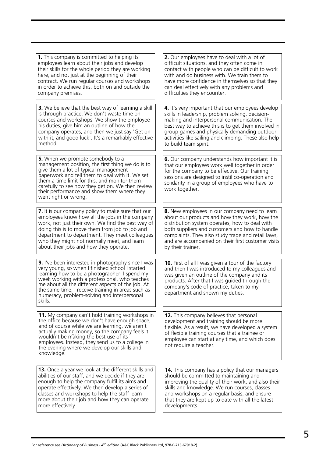| <b>1.</b> This company is committed to helping its                                                                                                                                                                                                                                                                                                                           | 2. Our employees have to deal with a lot of                                                                                                                                                                                                                                        |
|------------------------------------------------------------------------------------------------------------------------------------------------------------------------------------------------------------------------------------------------------------------------------------------------------------------------------------------------------------------------------|------------------------------------------------------------------------------------------------------------------------------------------------------------------------------------------------------------------------------------------------------------------------------------|
| employees learn about their jobs and develop                                                                                                                                                                                                                                                                                                                                 | difficult situations, and they often come in                                                                                                                                                                                                                                       |
| their skills for the whole period they are working                                                                                                                                                                                                                                                                                                                           | contact with people who can be difficult to work                                                                                                                                                                                                                                   |
| here, and not just at the beginning of their                                                                                                                                                                                                                                                                                                                                 | with and do business with. We train them to                                                                                                                                                                                                                                        |
| contract. We run regular courses and workshops                                                                                                                                                                                                                                                                                                                               | have more confidence in themselves so that they                                                                                                                                                                                                                                    |
| in order to achieve this, both on and outside the                                                                                                                                                                                                                                                                                                                            | can deal effectively with any problems and                                                                                                                                                                                                                                         |
| company premises.                                                                                                                                                                                                                                                                                                                                                            | difficulties they encounter.                                                                                                                                                                                                                                                       |
| <b>3.</b> We believe that the best way of learning a skill                                                                                                                                                                                                                                                                                                                   | 4. It's very important that our employees develop                                                                                                                                                                                                                                  |
| is through practice. We don't waste time on                                                                                                                                                                                                                                                                                                                                  | skills in leadership, problem solving, decision-                                                                                                                                                                                                                                   |
| courses and workshops. We show the employee                                                                                                                                                                                                                                                                                                                                  | making and interpersonal communication. The                                                                                                                                                                                                                                        |
| his duties, give him an outline of how the                                                                                                                                                                                                                                                                                                                                   | best way to achieve this is to get them involved in                                                                                                                                                                                                                                |
| company operates, and then we just say 'Get on                                                                                                                                                                                                                                                                                                                               | group games and physically demanding outdoor                                                                                                                                                                                                                                       |
| with it, and good luck'. It's a remarkably effective                                                                                                                                                                                                                                                                                                                         | activities like sailing and climbing. These also help                                                                                                                                                                                                                              |
| method.                                                                                                                                                                                                                                                                                                                                                                      | to build team spirit.                                                                                                                                                                                                                                                              |
| 5. When we promote somebody to a<br>management position, the first thing we do is to<br>give them a lot of typical management<br>paperwork and tell them to deal with it. We set<br>them a time limit for this, and monitor them<br>carefully to see how they get on. We then review<br>their performance and show them where they<br>went right or wrong.                   | 6. Our company understands how important it is<br>that our employees work well together in order<br>for the company to be effective. Our training<br>sessions are designed to instil co-operation and<br>solidarity in a group of employees who have to<br>work together.          |
| <b>7.</b> It is our company policy to make sure that our                                                                                                                                                                                                                                                                                                                     | 8. New employees in our company need to learn                                                                                                                                                                                                                                      |
| employees know how all the jobs in the company                                                                                                                                                                                                                                                                                                                               | about our products and how they work, how the                                                                                                                                                                                                                                      |
| work, not just their own. We find the best way of                                                                                                                                                                                                                                                                                                                            | distribution system operates, how to deal with                                                                                                                                                                                                                                     |
| doing this is to move them from job to job and                                                                                                                                                                                                                                                                                                                               | both suppliers and customers and how to handle                                                                                                                                                                                                                                     |
| department to department. They meet colleagues                                                                                                                                                                                                                                                                                                                               | complaints. They also study trade and retail laws,                                                                                                                                                                                                                                 |
| who they might not normally meet, and learn                                                                                                                                                                                                                                                                                                                                  | and are accompanied on their first customer visits                                                                                                                                                                                                                                 |
| about their jobs and how they operate.                                                                                                                                                                                                                                                                                                                                       | by their trainer.                                                                                                                                                                                                                                                                  |
| 9. I've been interested in photography since I was<br>very young, so when I finished school I started<br>learning how to be a photographer. I spend my<br>week working with a professional, who teaches<br>me about all the different aspects of the job. At<br>the same time, I receive training in areas such as<br>numeracy, problem-solving and interpersonal<br>skills. | 10. First of all I was given a tour of the factory<br>and then I was introduced to my colleagues and<br>was given an outline of the company and its<br>products. After that I was guided through the<br>company's code of practice, taken to my<br>department and shown my duties. |
| 11. My company can't hold training workshops in<br>the office because we don't have enough space,<br>and of course while we are learning, we aren't<br>actually making money, so the company feels it<br>wouldn't be making the best use of its<br>employees. Instead, they send us to a college in<br>the evening where we develop our skills and<br>knowledge.             | <b>12.</b> This company believes that personal<br>development and training should be more<br>flexible. As a result, we have developed a system<br>of flexible training courses that a trainee or<br>employee can start at any time, and which does<br>not require a teacher.       |
| 13. Once a year we look at the different skills and                                                                                                                                                                                                                                                                                                                          | <b>14.</b> This company has a policy that our managers                                                                                                                                                                                                                             |
| abilities of our staff, and we decide if they are                                                                                                                                                                                                                                                                                                                            | should be committed to maintaining and                                                                                                                                                                                                                                             |
| enough to help the company fulfil its aims and                                                                                                                                                                                                                                                                                                                               | improving the quality of their work, and also their                                                                                                                                                                                                                                |
| operate effectively. We then develop a series of                                                                                                                                                                                                                                                                                                                             | skills and knowledge. We run courses, classes                                                                                                                                                                                                                                      |
| classes and workshops to help the staff learn                                                                                                                                                                                                                                                                                                                                | and workshops on a regular basis, and ensure                                                                                                                                                                                                                                       |
| more about their job and how they can operate                                                                                                                                                                                                                                                                                                                                | that they are kept up to date with all the latest                                                                                                                                                                                                                                  |
| more effectively.                                                                                                                                                                                                                                                                                                                                                            | developments.                                                                                                                                                                                                                                                                      |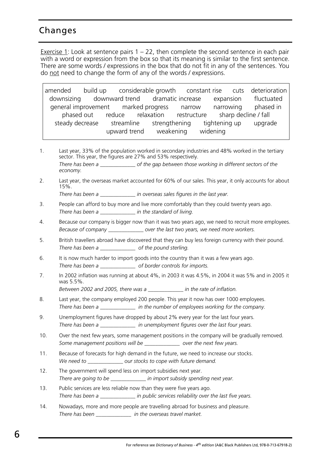# <span id="page-11-0"></span>Changes

Exercise 1: Look at sentence pairs  $1 - 22$ , then complete the second sentence in each pair with a word or expression from the box so that its meaning is similar to the first sentence. There are some words / expressions in the box that do not fit in any of the sentences. You do not need to change the form of any of the words / expressions.

amended build up considerable growth constant rise cuts deterioration downsizing downward trend dramatic increase expansion fluctuated general improvement marked progress narrow narrowing phased in phased out reduce relaxation restructure sharp decline / fall steady decrease streamline strengthening tightening up upgrade upward trend weakening widening

- 1. Last year, 33% of the population worked in secondary industries and 48% worked in the tertiary sector. This year, the figures are 27% and 53% respectively. *There has been a \_\_\_\_\_\_\_\_\_\_\_\_\_ of the gap between those working in different sectors of the economy.*
- 2. Last year, the overseas market accounted for 60% of our sales. This year, it only accounts for about 15%.

*There has been a \_\_\_\_\_\_\_\_\_\_\_\_\_ in overseas sales figures in the last year.*

- 3. People can afford to buy more and live more comfortably than they could twenty years ago. *There has been a \_\_\_\_\_\_\_\_\_\_\_\_\_ in the standard of living.*
- 4. Because our company is bigger now than it was two years ago, we need to recruit more employees. *Because of company \_\_\_\_\_\_\_\_\_\_\_\_\_ over the last two years, we need more workers.*
- 5. British travellers abroad have discovered that they can buy less foreign currency with their pound. *There has been a \_\_\_\_\_\_\_\_\_\_\_\_\_ of the pound sterling.*
- 6. It is now much harder to import goods into the country than it was a few years ago. *There has been a \_\_\_\_\_\_\_\_\_\_\_\_\_ of border controls for imports.*
- 7. In 2002 inflation was running at about 4%, in 2003 it was 4.5%, in 2004 it was 5% and in 2005 it was 5.5%.

*Between 2002 and 2005, there was a \_\_\_\_\_\_\_\_\_\_\_\_\_ in the rate of inflation.*

- 8. Last year, the company employed 200 people. This year it now has over 1000 employees. *There has been a \_\_\_\_\_\_\_\_\_\_\_\_\_ in the number of employees working for the company.*
- 9. Unemployment figures have dropped by about 2% every year for the last four years. *There has been a \_\_\_\_\_\_\_\_\_\_\_\_\_ in unemployment figures over the last four years.*
- 10. Over the next few years, some management positions in the company will be gradually removed. *Some management positions will be \_\_\_\_\_\_\_\_\_\_\_\_\_ over the next few years.*
- 11. Because of forecasts for high demand in the future, we need to increase our stocks. We need to *we need to we need to we need to parameters our stocks to cope with future demand.*
- 12. The government will spend less on import subsidies next year. *There are going to be \_\_\_\_\_\_\_\_\_\_\_\_\_ in import subsidy spending next year.*
- 13. Public services are less reliable now than they were five years ago. *There has been a \_\_\_\_\_\_\_\_\_\_\_\_\_ in public services reliability over the last five years.*
- 14. Nowadays, more and more people are travelling abroad for business and pleasure. *There has been \_\_\_\_\_\_\_\_\_\_\_\_\_ in the overseas travel market.*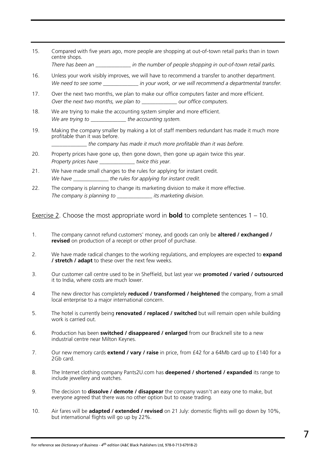15. Compared with five years ago, more people are shopping at out-of-town retail parks than in town centre shops.

```
There has been an _____________ in the number of people shopping in out-of-town retail parks.
```
- 16. Unless your work visibly improves, we will have to recommend a transfer to another department. *We need to see some \_\_\_\_\_\_\_\_\_\_\_\_\_ in your work, or we will recommend a departmental transfer.*
- 17. Over the next two months, we plan to make our office computers faster and more efficient. *Over the next two months, we plan to \_\_\_\_\_\_\_\_\_\_\_\_\_ our office computers.*
- 18. We are trying to make the accounting system simpler and more efficient. *We are trying to \_\_\_\_\_\_\_\_\_\_\_\_\_ the accounting system.*
- 19. Making the company smaller by making a lot of staff members redundant has made it much more profitable than it was before.

*\_\_\_\_\_\_\_\_\_\_\_\_\_ the company has made it much more profitable than it was before.* 

- 20. Property prices have gone up, then gone down, then gone up again twice this year. *Property prices have \_\_\_\_\_\_\_\_\_\_\_\_\_ twice this year.*
- 21. We have made small changes to the rules for applying for instant credit. We have **the rules for applying for instant credit.**
- 22. The company is planning to change its marketing division to make it more effective. *The company is planning to \_\_\_\_\_\_\_\_\_\_\_\_\_ its marketing division.*

Exercise 2. Choose the most appropriate word in **bold** to complete sentences 1 – 10.

- 1. The company cannot refund customers' money, and goods can only be **altered / exchanged / revised** on production of a receipt or other proof of purchase.
- 2. We have made radical changes to the working regulations, and employees are expected to **expand / stretch / adapt** to these over the next few weeks.
- 3. Our customer call centre used to be in Sheffield, but last year we **promoted / varied / outsourced** it to India, where costs are much lower.
- 4 The new director has completely **reduced / transformed / heightened** the company, from a small local enterprise to a major international concern.
- 5. The hotel is currently being **renovated / replaced / switched** but will remain open while building work is carried out.
- 6. Production has been **switched / disappeared / enlarged** from our Bracknell site to a new industrial centre near Milton Keynes.
- 7. Our new memory cards **extend / vary / raise** in price, from £42 for a 64Mb card up to £140 for a 2Gb card.
- 8. The Internet clothing company Pants2U.com has **deepened / shortened / expanded** its range to include jewellery and watches.
- 9. The decision to **dissolve / demote / disappear** the company wasn't an easy one to make, but everyone agreed that there was no other option but to cease trading.
- 10. Air fares will be **adapted / extended / revised** on 21 July: domestic flights will go down by 10%, but international flights will go up by 22%.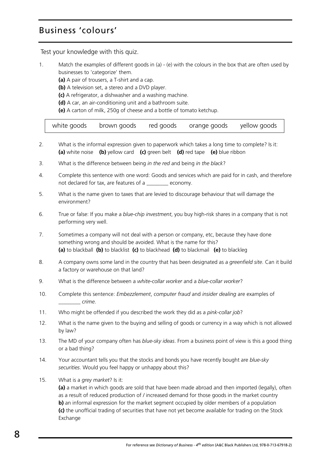# <span id="page-13-0"></span>Business 'colours'

Test your knowledge with this quiz.

- 1. Match the examples of different goods in (a) (e) with the colours in the box that are often used by businesses to 'categorize' them.
	- **(a)** A pair of trousers, a T-shirt and a cap.
	- **(b)** A television set, a stereo and a DVD player.
	- **(c)** A refrigerator, a dishwasher and a washing machine.
	- **(d)** A car, an air-conditioning unit and a bathroom suite.
	- **(e)** A carton of milk, 250g of cheese and a bottle of tomato ketchup.

| white goods | brown goods | red goods | orange goods | yellow goods |
|-------------|-------------|-----------|--------------|--------------|
|-------------|-------------|-----------|--------------|--------------|

- 2. What is the informal expression given to paperwork which takes a long time to complete? Is it: **(a)** white noise **(b)** yellow card **(c)** green belt **(d)** red tape **(e)** blue ribbon
- 3. What is the difference between being *in the red* and being *in the black*?
- 4. Complete this sentence with one word: Goods and services which are paid for in cash, and therefore not declared for tax, are features of a economy.
- 5. What is the name given to taxes that are levied to discourage behaviour that will damage the environment?
- 6. True or false: If you make a *blue-chip investment*, you buy high-risk shares in a company that is not performing very well.
- 7. Sometimes a company will not deal with a person or company, etc, because they have done something wrong and should be avoided. What is the name for this? **(a)** to blackball **(b)** to blacklist **(c)** to blackhead **(d)** to blackmail **(e)** to blackleg
- 8. A company owns some land in the country that has been designated as a *greenfield site*. Can it build a factory or warehouse on that land?
- 9. What is the difference between a *white-collar worker* and a *blue-collar worker*?
- 10. Complete this sentence: *Embezzlement*, *computer fraud* and *insider dealing* are examples of \_\_\_\_\_\_\_\_ *crime*.
- 11. Who might be offended if you described the work they did as a *pink-collar job*?
- 12. What is the name given to the buying and selling of goods or currency in a way which is not allowed by law?
- 13. The MD of your company often has *blue-sky ideas*. From a business point of view is this a good thing or a bad thing?
- 14. Your accountant tells you that the stocks and bonds you have recently bought are *blue-sky securities*. Would you feel happy or unhappy about this?
- 15. What is a *grey market*? Is it:

**(a)** a market in which goods are sold that have been made abroad and then imported (legally), often as a result of reduced production of / increased demand for those goods in the market country **b)** an informal expression for the market segment occupied by older members of a population **(c)** the unofficial trading of securities that have not yet become available for trading on the Stock Exchange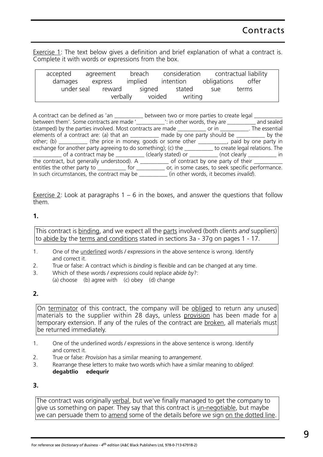<span id="page-14-0"></span>Exercise 1: The text below gives a definition and brief explanation of what a contract is. Complete it with words or expressions from the box.

| accepted   | agreement | breach  |           | consideration contractual liability |       |  |  |
|------------|-----------|---------|-----------|-------------------------------------|-------|--|--|
| damages    | express   | implied | intention | obligations                         | offer |  |  |
| under seal | reward    | signed  | stated    | sue                                 | terms |  |  |
|            | verbally  | voided  | writing   |                                     |       |  |  |

A contract can be defined as 'an \_\_\_\_\_\_\_\_\_\_\_\_ between two or more parties to create legal \_\_\_\_\_\_\_\_\_\_ between them'. Some contracts are made '\_\_\_\_\_\_\_\_\_\_': in other words, they are \_\_\_\_\_\_\_\_\_\_ and sealed (stamped) by the parties involved. Most contracts are made \_\_\_\_\_\_\_\_\_\_ or in \_\_\_\_\_\_\_\_\_\_. The essential elements of a contract are: (a) that an \_\_\_\_\_\_\_\_\_\_\_ made by one party should be \_\_\_\_\_\_\_\_\_\_\_\_ by the other; (b) \_\_\_\_\_\_\_\_\_\_ (the price in money, goods or some other \_\_\_\_\_\_\_\_\_\_, paid by one party in exchange for another party agreeing to do something); (c) the \_\_\_\_\_\_\_\_\_\_ to create legal relations. The \_\_\_\_\_\_\_\_\_\_ of a contract may be \_\_\_\_\_\_\_\_\_\_ (clearly stated) or \_\_\_\_\_\_\_\_\_\_ (not clearly \_\_\_\_\_\_\_\_\_\_ in the contract, but generally understood). A \_\_\_\_\_\_\_\_\_\_\_ of contract by one party of their \_\_\_\_\_\_\_\_\_\_ entitles the other party to \_\_\_\_\_\_\_\_\_\_\_\_ for \_\_\_\_\_\_\_\_\_\_\_\_\_ or, in some cases, to seek specific performance. In such circumstances, the contract may be \_\_\_\_\_\_\_\_\_\_ (in other words, it becomes *invalid*).

Exercise 2: Look at paragraphs  $1 - 6$  in the boxes, and answer the questions that follow them.

#### **1.**

This contract is binding, and we expect all the parts involved (both clients *and* suppliers) to abide by the terms and conditions stated in sections 3a - 37g on pages 1 - 17.

- 1. One of the underlined words / expressions in the above sentence is wrong. Identify and correct it.
- 2. True or false: A contract which is *binding* is flexible and can be changed at any time.
- 3. Which of these words / expressions could replace *abide by*?: (a) choose (b) agree with (c) obey (d) change

#### **2.**

On terminator of this contract, the company will be obliged to return any unused materials to the supplier within 28 days, unless provision has been made for a temporary extension. If any of the rules of the contract are broken, all materials must be returned immediately.

- 1. One of the underlined words / expressions in the above sentence is wrong. Identify and correct it.
- 2. True or false: *Provision* has a similar meaning to *arrangement*.
- 3. Rearrange these letters to make two words which have a similar meaning to *obliged*: **degabtlio edequrir**

#### **3.**

The contract was originally verbal, but we've finally managed to get the company to give us something on paper. They say that this contract is un-negotiable, but maybe we can persuade them to amend some of the details before we sign on the dotted line.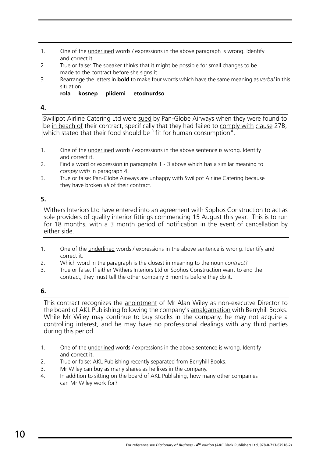- 1. One of the underlined words / expressions in the above paragraph is wrong. Identify and correct it.
- 2. True or false: The speaker thinks that it might be possible for small changes to be made to the contract before she signs it.
- 3. Rearrange the letters in **bold** to make four words which have the same meaning as *verbal* in this situation

**rola kosnep plidemi etodnurdso**

#### **4.**

Swillpot Airline Catering Ltd were sued by Pan-Globe Airways when they were found to be in beach of their contract, specifically that they had failed to comply with clause 27B, which stated that their food should be "fit for human consumption".

- 1. One of the <u>underlined</u> words / expressions in the above sentence is wrong. Identify and correct it.
- 2. Find a word or expression in paragraphs 1 3 above which has a similar meaning to *comply with* in paragraph 4.
- 3. True or false: Pan-Globe Airways are unhappy with Swillpot Airline Catering because they have broken *all* of their contract.

#### **5.**

Withers Interiors Ltd have entered into an agreement with Sophos Construction to act as sole providers of quality interior fittings commencing 15 August this year. This is to run for 18 months, with a 3 month period of notification in the event of cancellation by either side.

- 1. One of the underlined words / expressions in the above sentence is wrong. Identify and correct it.
- 2. Which word in the paragraph is the closest in meaning to the noun *contract*?
- 3. True or false: If either Withers Interiors Ltd or Sophos Construction want to end the contract, they must tell the other company 3 months before they do it.

#### **6.**

This contract recognizes the anointment of Mr Alan Wiley as non-executve Director to the board of AKL Publishing following the company's amalgamation with Berryhill Books. While Mr Wiley may continue to buy stocks in the company, he may not acquire a controlling interest, and he may have no professional dealings with any third parties during this period.

- 1. One of the underlined words / expressions in the above sentence is wrong. Identify and correct it.
- 2. True or false: AKL Publishing recently separated from Berryhill Books.
- 3. Mr Wiley can buy as many shares as he likes in the company.
- 4. In addition to sitting on the board of AKL Publishing, how many other companies can Mr Wiley work for?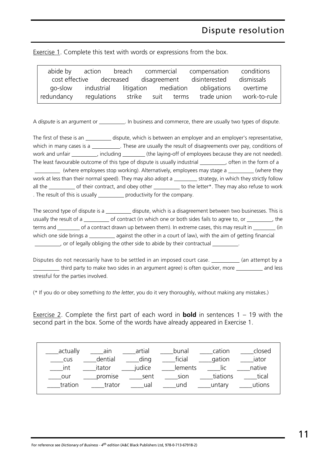# Dispute resolution

<span id="page-16-0"></span>Exercise 1. Complete this text with words or expressions from the box.

| abide by       | action      | breach                 | commercial |           | compensation  | conditions   |
|----------------|-------------|------------------------|------------|-----------|---------------|--------------|
| cost effective |             | decreased disagreement |            |           | disinterested | dismissals   |
| go-slow        | industrial  | litigation             |            | mediation | obligations   | overtime     |
| redundancy     | regulations | strike                 | suit       | terms     | trade union   | work-to-rule |

A *dispute* is an argument or **.** In business and commerce, there are usually two types of dispute.

The first of these is an dispute, which is between an employer and an employer's representative, which in many cases is a . These are usually the result of disagreements over pay, conditions of work and unfair \_\_\_\_\_\_\_\_\_\_, including \_\_\_\_\_\_\_\_\_ (the laying-off of employees because they are not needed). The least favourable outcome of this type of dispute is usually industrial \_\_\_\_\_\_\_\_\_\_, often in the form of a (where employees stop working). Alternatively, employees may stage a (where they work at less than their normal speed). They may also adopt a strategy, in which they strictly follow all the same of their contract, and obey other same to the letter\*. They may also refuse to work . The result of this is usually  $\rule{1em}{0.15mm}$  productivity for the company.

The second type of dispute is a \_\_\_\_\_\_\_\_\_\_\_ dispute, which is a disagreement between two businesses. This is usually the result of a \_\_\_\_\_\_\_\_ of contract (in which one or both sides fails to agree to, or \_\_\_\_\_\_\_\_, the terms and of a contract drawn up between them). In extreme cases, this may result in  $\frac{1}{\sqrt{1-\frac{1}{\sqrt{1-\frac{1}{\sqrt{1-\frac{1}{\sqrt{1-\frac{1}{\sqrt{1-\frac{1}{\sqrt{1-\frac{1}{\sqrt{1-\frac{1}{\sqrt{1-\frac{1}{\sqrt{1-\frac{1}{\sqrt{1-\frac{1}{\sqrt{1-\frac{1}{\sqrt{1-\frac{1}{\sqrt{1-\frac{1}{\sqrt{1-\frac{1}{\sqrt{1-\$ which one side brings a and against the other in a court of law), with the aim of getting financial , or of legally obliging the other side to abide by their contractual \_\_\_\_\_\_\_\_\_.

Disputes do not necessarily have to be settled in an imposed court case. \_\_\_\_\_\_\_ (an attempt by a third party to make two sides in an argument agree) is often guicker, more \_\_\_\_\_\_\_\_\_\_\_\_ and less stressful for the parties involved.

(\* If you do or obey something *to the letter*, you do it very thoroughly, without making any mistakes.)

Exercise 2. Complete the first part of each word in **bold** in sentences 1 – 19 with the second part in the box. Some of the words have already appeared in Exercise 1.

|         | actually ain artial bunal cation closed                                |  |  |
|---------|------------------------------------------------------------------------|--|--|
|         |                                                                        |  |  |
|         |                                                                        |  |  |
|         | _____our ______promise ______sent ______sion _____tiations ______tical |  |  |
| tration | ____trator _____ual _____und _____untary _____utions                   |  |  |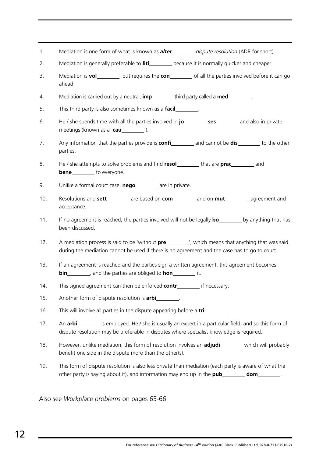2. Mediation is generally preferable to **liti** because it is normally quicker and cheaper. 3. Mediation is **vol** , but requires the **con** of all the parties involved before it can go ahead. 4. Mediation is carried out by a neutral, **imp** \_\_\_\_\_\_\_ third party called a **med** \_\_\_\_\_\_\_\_. 5. This third party is also sometimes known as a **facil** . 6. He / she spends time with all the parties involved in **jo ses** and also in private meetings (known as a '**cau** \_\_\_\_\_\_\_\_'). 7. Any information that the parties provide is **confi** and cannot be **dis** to the other parties. 8. He / she attempts to solve problems and find **resol** that are **prac** and **bene** to everyone. 9. Unlike a formal court case, **nego** are in private. 10. Resolutions and **sett** are based on **com** and on **mut** agreement and acceptance. 11. If no agreement is reached, the parties involved will not be legally **bo** by anything that has been discussed. 12. A mediation process is said to be 'without **pre** ', which means that anything that was said during the mediation cannot be used if there is no agreement and the case has to go to court. 13. If an agreement is reached and the parties sign a written agreement, this agreement becomes **bin** , and the parties are obliged to **hon** it. 14. This signed agreement can then be enforced **contr\_\_\_\_\_\_\_** if necessary. 15. Another form of dispute resolution is **arbi** . 16 This will involve all parties in the dispute appearing before a **tri** . 17. An **arbi** is employed. He / she is usually an expert in a particular field, and so this form of dispute resolution may be preferable in disputes where specialist knowledge is required. 18. However, unlike mediation, this form of resolution involves an **adjudi** which will probably benefit one side in the dispute more than the other(s). 19. This form of dispute resolution is also less private than mediation (each party is aware of what the other party is saying about it), and information may end up in the **pub\_\_\_\_\_\_\_\_ dom**\_\_\_\_\_\_\_\_. 1. Mediation is one form of what is known as *alter dispute resolution* (ADR for short).

Also see *Workplace problems* on pages 65-66.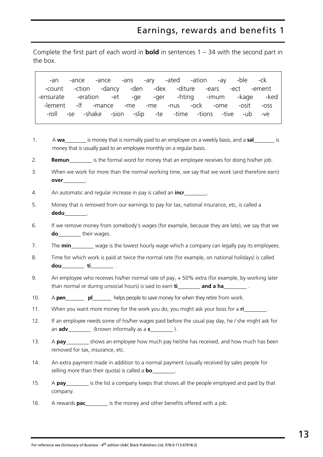# Earnings, rewards and benefits 1

<span id="page-18-0"></span>Complete the first part of each word in **bold** in sentences 1 – 34 with the second part in the box.

-an -ance -ance -ans -ary -ated -ation -ay -ble -ck -count -ction -dancy -den -dex -diture -ears -ect -ement -ensurate -eration -et -ge -ger -hting -imum -kage -ked -lement -lf -mance -me -me -nus -ock -ome -osit -oss -roll -se -shake -sion -slip -te -time -tions -tive -ub -ve

- 1. A **wa** is money that is normally paid to an employee on a weekly basis, and a **sal** is money that is usually paid to an employee monthly on a regular basis.
- 2. **Remun** is the formal word for money that an employee receives for doing his/her job.
- 3. When we work for more than the normal working time, we say that we work (and therefore earn) **over\_\_\_\_\_\_\_\_**.
- 4. An automatic and regular increase in pay is called an **incr** .
- 5. Money that is removed from our earnings to pay for tax, national insurance, etc, is called a **dedu** .
- 6. If we remove money from somebody's wages (for example, because they are late), we say that we **do** their wages.
- 7. The **min** wage is the lowest hourly wage which a company can legally pay its employees.
- 8. Time for which work is paid at twice the normal rate (for example, on national holidays) is called **dou ti** .
- 9. An employee who receives his/her normal rate of pay, + 50% extra (for example, by working later than normal or during unsocial hours) is said to earn **ti\_\_\_\_\_\_\_\_ and a ha**
- 10. A **pen pl pl** helps people to save money for when they retire from work.
- 11. When you want more money for the work you do, you might ask your boss for a **ri** .
- 12. If an employee needs some of his/her wages paid before the usual pay day, he / she might ask for an **adv** \_\_\_\_\_\_\_\_\_ (known informally as a **s** \_\_\_\_\_\_\_\_\_\_).
- 13. A **pay** shows an employee how much pay he/she has received, and how much has been removed for tax, insurance, etc.
- 14. An extra payment made in addition to a normal payment (usually received by sales people for selling more than their quota) is called a **bo**
- 15. A **pay** is the list a company keeps that shows all the people employed and paid by that company.
- 16. A rewards **pac** is the money and other benefits offered with a job.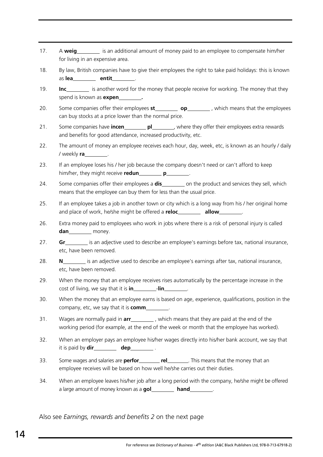- 17. A **weig** is an additional amount of money paid to an employee to compensate him/her for living in an expensive area.
- 18. By law, British companies have to give their employees the right to take paid holidays: this is known as **lea entit** .
- 19. **Inc Inc** is another word for the money that people receive for working. The money that they spend is known as **expen\_\_\_**
- 20. Some companies offer their employees **st\_\_\_\_\_\_\_\_\_\_ op\_\_\_\_\_\_\_**, which means that the employees can buy stocks at a price lower than the normal price.
- 21. Some companies have **incen pl** , where they offer their employees extra rewards and benefits for good attendance, increased productivity, etc.
- 22. The amount of money an employee receives each hour, day, week, etc, is known as an hourly / daily / weekly **ra** .
- 23. If an employee loses his / her job because the company doesn't need or can't afford to keep him/her, they might receive **redun p** .
- 24. Some companies offer their employees a **dis** on the product and services they sell, which means that the employee can buy them for less than the usual price.
- 25. If an employee takes a job in another town or city which is a long way from his / her original home and place of work, he/she might be offered a **reloc allow**
- 26. Extra money paid to employees who work in jobs where there is a risk of personal injury is called **dan** money.
- 27. **Gr** is an adjective used to describe an employee's earnings before tax, national insurance, etc, have been removed.
- 28. **N** is an adjective used to describe an employee's earnings after tax, national insurance, etc, have been removed.
- 29. When the money that an employee receives rises automatically by the percentage increase in the cost of living, we say that it is **in**  $\qquad$  -**lin** .
- 30. When the money that an employee earns is based on age, experience, qualifications, position in the company, etc, we say that it is **comm** .
- 31. Wages are normally paid in **arr** , which means that they are paid at the end of the working period (for example, at the end of the week or month that the employee has worked).
- 32. When an employer pays an employee his/her wages directly into his/her bank account, we say that it is paid by **dir dep** .
- 33. Some wages and salaries are **perfor rel** . This means that the money that an employee receives will be based on how well he/she carries out their duties.
- 34. When an employee leaves his/her job after a long period with the company, he/she might be offered a large amount of money known as a **gol hand** .

Also see *Earnings, rewards and benefits 2* on the next page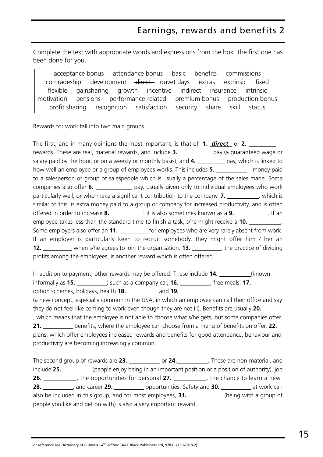<span id="page-20-0"></span>Complete the text with appropriate words and expressions from the box. The first one has been done for you.

acceptance bonus attendance bonus basic benefits commissions comradeship development <del>direct</del> duvet days extras extrinsic fixed flexible gainsharing growth incentive indirect insurance intrinsic motivation pensions performance-related premium bonus production bonus profit sharing recognition satisfaction security share skill status

Rewards for work fall into two main groups.

The first, and in many opinions the most important, is that of **1.** *direct* or **2.**  rewards. These are real, material rewards, and include **3.** pay (a guaranteed wage or salary paid by the hour, or on a weekly or monthly basis), and **4. pay, which is linked to** how well an employee or a group of employees works. This includes **5.** • **-** money paid to a salesperson or group of salespeople which is usually a percentage of the sales made. Some companies also offer **6.** <u>**pay, usually given only to individual employees who work**</u> particularly well, or who make a significant contribution to the company. **7.** \_\_\_\_\_\_\_\_\_\_, which is similar to this, is extra money paid to a group or company for increased productivity, and is often offered in order to increase **8.** : it is also sometimes known as a **9.** . If an employee takes less than the standard time to finish a task, s/he might receive a **10.** <u>leave the standard of the standard on the standard on the standard on the standard on the standard on the standard on the standard on</u> Some employers also offer an **11.** for employees who are very rarely absent from work. If an employer is particularly keen to recruit somebody, they might offer him / her an **12. 12. when s/he agrees to join the organisation. <b>13.** The practice of dividing profits among the employees, is another reward which is often offered.

In addition to payment, other rewards may be offered. These include **14.** (known informally as **15.** <u>(a)</u> such as a company car, **16.** [2] The meals, **17. 17.** option schemes, holidays, health **18.** \_\_\_\_\_\_\_\_\_\_ and **19.** \_\_\_\_\_\_ (a new concept, especially common in the USA, in which an employee can call their office and say they do not feel like coming to work even though they are not ill). Benefits are usually **20.** , which means that the employee is not able to choose what s/he gets, but some companies offer **21.** benefits, where the employee can choose from a menu of benefits on offer. **22.** plans, which offer employees increased rewards and benefits for good attendance, behaviour and productivity are becoming increasingly common.

The second group of rewards are 23. \_\_\_\_\_\_\_\_\_\_\_\_ or 24. \_\_\_\_\_\_\_\_\_\_\_. These are non-material, and include **25.** (people enjoy being in an important position or a position of authority), job **26.** The opportunities for personal **27.** The chance to learn a new **28.** \_\_\_\_\_\_\_\_\_\_\_, and career **29.** \_\_\_\_\_\_\_\_\_\_\_\_ opportunities. Safety and **30.** \_\_\_\_\_\_\_\_\_\_\_ at work can also be included in this group, and for most employees, **31.** (being with a group of people you like and get on with) is also a very important reward.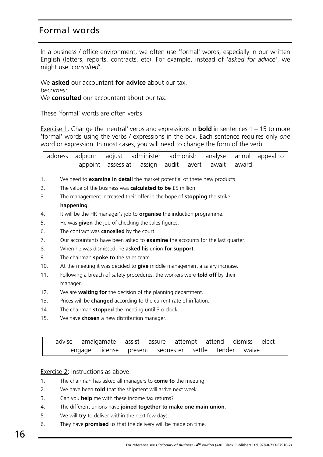# <span id="page-21-0"></span>Formal words

In a business / office environment, we often use 'formal' words, especially in our written English (letters, reports, contracts, etc). For example, instead of '*asked for advice*', we might use '*consulted*'.

# We **asked** our accountant **for advice** about our tax.

*becomes:*

We **consulted** our accountant about our tax.

These 'formal' words are often verbs.

Exercise 1: Change the 'neutral' verbs and expressions in **bold** in sentences 1 – 15 to more 'formal' words using the verbs / expressions in the box. Each sentence requires only *one* word or expression. In most cases, you will need to change the form of the verb.

|  | address adjourn adjust administer admonish analyse annul appeal-to |                                                  |  |  |  |
|--|--------------------------------------------------------------------|--------------------------------------------------|--|--|--|
|  |                                                                    | appoint assess at assign audit avert await award |  |  |  |

- 1. We need to **examine in detail** the market potential of these new products.
- 2. The value of the business was **calculated to be** £5 million.
- 3. The management increased their offer in the hope of **stopping** the strike **happening**.
- 4. It will be the HR manager's job to **organise** the induction programme.
- 5. He was **given** the job of checking the sales figures.
- 6. The contract was **cancelled** by the court.
- 7. Our accountants have been asked to **examine** the accounts for the last quarter.
- 8. When he was dismissed, he **asked** his union **for support**.
- 9. The chairman **spoke to** the sales team.
- 10. At the meeting it was decided to **give** middle management a salary increase.
- 11. Following a breach of safety procedures, the workers were **told off** by their manager.
- 12. We are **waiting for** the decision of the planning department.
- 13. Prices will be **changed** according to the current rate of inflation.
- 14. The chairman **stopped** the meeting until 3 o'clock.
- 15. We have **chosen** a new distribution manager.

| advise amalgamate assist assure attempt attend dismiss elect |  |  |  |
|--------------------------------------------------------------|--|--|--|
| engage license present sequester settle tender waive         |  |  |  |

Exercise 2: Instructions as above.

- 1. The chairman has asked all managers to **come to** the meeting.
- 2. We have been **told** that the shipment will arrive next week.
- 3. Can you **help** me with these income tax returns?
- 4. The different unions have **joined together to make one main union**.
- 5. We will **try** to deliver within the next few days.
- 6. They have **promised** us that the delivery will be made on time.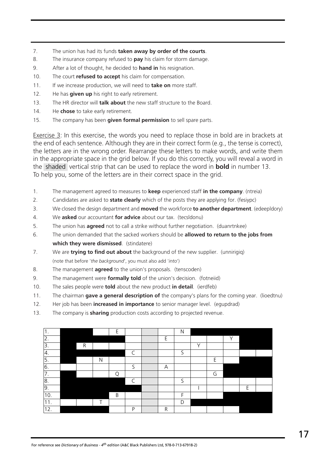- 7. The union has had its funds **taken away by order of the courts**.
- 8. The insurance company refused to **pay** his claim for storm damage.
- 9. After a lot of thought, he decided to **hand in** his resignation.
- 10. The court **refused to accept** his claim for compensation.
- 11. If we increase production, we will need to **take on** more staff.
- 12. He has **given up** his right to early retirement.
- 13. The HR director will **talk about** the new staff structure to the Board.
- 14. He **chose** to take early retirement.
- 15. The company has been **given formal permission** to sell spare parts.

Exercise 3: In this exercise, the words you need to replace those in bold are in brackets at the end of each sentence. Although they are in their correct form (e.g., the tense is correct), the letters are in the wrong order. Rearrange these letters to make words, and write them in the appropriate space in the grid below. If you do this correctly, you will reveal a word in the shaded vertical strip that can be used to replace the word in **bold** in number 13. shaded To help you, some of the letters are in their correct space in the grid.

- 1. The management agreed to measures to **keep** experienced staff **in the company**. (ntreia)
- 2. Candidates are asked to **state clearly** which of the posts they are applying for. (fesiypc)
- 3. We closed the design department and **moved** the workforce **to another department**. (edeepldory)
- 4. We **asked** our accountant **for advice** about our tax. (tecsldonu)
- 5. The union has **agreed** not to call a strike without further negotiation. (duanrtnkee)
- 6. The union demanded that the sacked workers should be **allowed to return to the jobs from which they were dismissed**. (stindatere)
- 7. We are **trying to find out about** the background of the new supplier. (unnirigiq) (note that before '*the background*', you must also add '*into*')
- 8. The management **agreed** to the union's proposals. (tenscoden)
- 9. The management were **formally told** of the union's decision. (fotneiid)
- 10. The sales people were **told** about the new product **in detail**. (ierdfeb)
- 11. The chairman **gave a general description of** the company's plans for the coming year. (lioedtnu)
- 12. Her job has been **increased in importance** to senior manager level. (egupdrad)
- 13. The company is **sharing** production costs according to projected revenue.

| ╹1.               |              |              | E |              |           | $\mathsf{N}$ |              |   |   |   |  |
|-------------------|--------------|--------------|---|--------------|-----------|--------------|--------------|---|---|---|--|
| $\overline{2}$ .  |              |              |   |              | E         |              |              |   | Y |   |  |
| 3.                | $\mathsf{R}$ |              |   |              |           |              | $\checkmark$ |   |   |   |  |
| 4.                |              |              |   | $\mathsf{C}$ |           | S            |              |   |   |   |  |
| $\sqrt{5}$ .      |              | $\mathsf{N}$ |   |              |           |              |              | E |   |   |  |
| $\overline{6}$ .  |              |              |   | S            | A         |              |              |   |   |   |  |
| 17.               |              |              | Q |              |           |              |              | G |   |   |  |
| 8.                |              |              |   | $\mathsf C$  |           | S            |              |   |   |   |  |
| $\sqrt{9}$ .      |              |              |   |              |           |              |              |   |   | E |  |
| 10.               |              |              | B |              |           | F            |              |   |   |   |  |
| $\overline{11}$ . |              | т            |   |              |           | D            |              |   |   |   |  |
| $\overline{12}$ . |              |              |   | P            | ${\sf R}$ |              |              |   |   |   |  |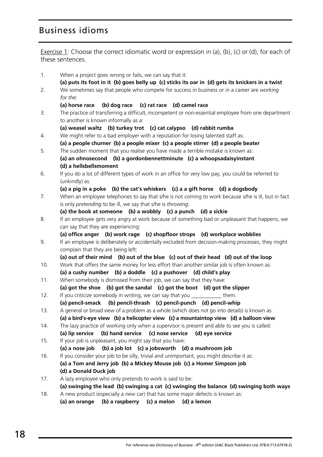# <span id="page-23-0"></span>Business idioms

Exercise 1: Choose the correct idiomatic word or expression in (a), (b), (c) or (d), for each of these sentences.

| 1.  | When a project goes wrong or fails, we can say that it:                                                                                  |  |  |  |  |  |  |  |
|-----|------------------------------------------------------------------------------------------------------------------------------------------|--|--|--|--|--|--|--|
|     | (a) puts its foot in it (b) goes belly up (c) sticks its oar in (d) gets its knickers in a twist                                         |  |  |  |  |  |  |  |
| 2.  | We sometimes say that people who compete for success in business or in a career are working                                              |  |  |  |  |  |  |  |
|     | for the:                                                                                                                                 |  |  |  |  |  |  |  |
|     | (b) dog race (c) rat race (d) camel race<br>(a) horse race                                                                               |  |  |  |  |  |  |  |
| 3.  | The practice of transferring a difficult, incompetent or non-essential employee from one department                                      |  |  |  |  |  |  |  |
|     | to another is known informally as a:                                                                                                     |  |  |  |  |  |  |  |
|     | (a) weasel waltz (b) turkey trot (c) cat calypso (d) rabbit rumba                                                                        |  |  |  |  |  |  |  |
| 4.  | We might refer to a bad employer with a reputation for losing talented staff as:                                                         |  |  |  |  |  |  |  |
|     | (a) a people churner (b) a people mixer (c) a people stirrer (d) a people beater                                                         |  |  |  |  |  |  |  |
| 5.  | The sudden moment that you realise you have made a terrible mistake is known as:                                                         |  |  |  |  |  |  |  |
|     | (a) an ohnosecond (b) a gordonbennettminute (c) a whoopsadaisyinstant                                                                    |  |  |  |  |  |  |  |
|     | (d) a hellsbellsmoment                                                                                                                   |  |  |  |  |  |  |  |
| 6.  | If you do a lot of different types of work in an office for very low pay, you could be referred to                                       |  |  |  |  |  |  |  |
|     | (unkindly) as:                                                                                                                           |  |  |  |  |  |  |  |
|     | (a) a pig in a poke (b) the cat's whiskers (c) a a gift horse (d) a dogsbody                                                             |  |  |  |  |  |  |  |
| 7.  | When an employee telephones to say that s/he is not coming to work because s/he is ill, but in fact                                      |  |  |  |  |  |  |  |
|     | is only pretending to be ill, we say that s/he is throwing:                                                                              |  |  |  |  |  |  |  |
|     | (a) the book at someone $(b)$ a wobbly $(c)$ a punch $(d)$ a sickie                                                                      |  |  |  |  |  |  |  |
| 8.  | If an employee gets very angry at work because of something bad or unpleasant that happens, we                                           |  |  |  |  |  |  |  |
|     | can say that they are experiencing:                                                                                                      |  |  |  |  |  |  |  |
|     | (a) office anger (b) work rage (c) shopfloor strops (d) workplace wobblies                                                               |  |  |  |  |  |  |  |
| 9.  | If an employee is deliberately or accidentally excluded from decision-making processes, they might                                       |  |  |  |  |  |  |  |
|     | complain that they are being left:                                                                                                       |  |  |  |  |  |  |  |
|     | (a) out of their mind (b) out of the blue (c) out of their head (d) out of the loop                                                      |  |  |  |  |  |  |  |
| 10. | Work that offers the same money for less effort than another similar job is often known as:                                              |  |  |  |  |  |  |  |
| 11. | (a) a cushy number (b) a doddle (c) a pushover (d) child's play<br>When somebody is dismissed from their job, we can say that they have: |  |  |  |  |  |  |  |
|     | (a) got the shoe (b) got the sandal (c) got the boot (d) got the slipper                                                                 |  |  |  |  |  |  |  |
| 12. | If you criticize somebody in writing, we can say that you _____________<br>them.                                                         |  |  |  |  |  |  |  |
|     | (a) pencil-smack (b) pencil-thrash (c) pencil-punch (d) pencil-whip                                                                      |  |  |  |  |  |  |  |
| 13. | A general or broad view of a problem as a whole (which does not go into details) is known as:                                            |  |  |  |  |  |  |  |
|     | (a) a bird's-eye view (b) a helicopter view (c) a mountaintop view (d) a balloon view                                                    |  |  |  |  |  |  |  |
| 14. | The lazy practice of working only when a supervisor is present and able to see you is called:                                            |  |  |  |  |  |  |  |
|     | (a) lip service<br>(b) hand service<br>(c) nose service<br>(d) eye service                                                               |  |  |  |  |  |  |  |
| 15. | If your job is unpleasant, you might say that you have:                                                                                  |  |  |  |  |  |  |  |
|     | (a) a nose job $(b)$ a job lot $(c)$ a jobsworth $(d)$ a mushroom job                                                                    |  |  |  |  |  |  |  |
| 16. | If you consider your job to be silly, trivial and unimportant, you might describe it as:                                                 |  |  |  |  |  |  |  |
|     | (a) a Tom and Jerry job (b) a Mickey Mouse job (c) a Homer Simpson job                                                                   |  |  |  |  |  |  |  |
|     | (d) a Donald Duck job                                                                                                                    |  |  |  |  |  |  |  |
| 17. | A lazy employee who only pretends to work is said to be:                                                                                 |  |  |  |  |  |  |  |
|     | (a) swinging the lead (b) swinging a cat (c) swinging the balance (d) swinging both ways                                                 |  |  |  |  |  |  |  |
| 18. | A new product (especially a new car) that has some major defects is known as:                                                            |  |  |  |  |  |  |  |
|     | (a) an orange (b) a raspberry (c) a melon (d) a lemon                                                                                    |  |  |  |  |  |  |  |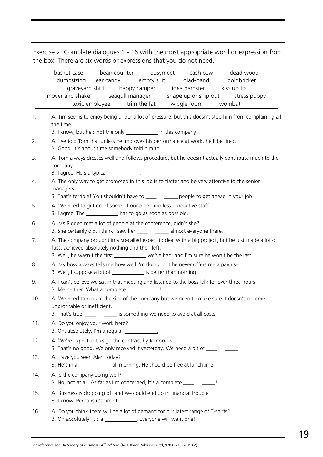Exercise 2: Complete dialogues 1 - 16 with the most appropriate word or expression from the box. There are six words or expressions that you do not need.

| basket case    |                  | bean counter    | busymeet     | cash cow             | dead wood    |
|----------------|------------------|-----------------|--------------|----------------------|--------------|
|                | dumbsizing       | ear candy       | empty suit   | glad-hand            | goldbricker  |
|                | graveyard shift  |                 | happy camper | idea hamster         | kiss up to   |
|                | mover and shaker | seagull manager |              | shape up or ship out | stress puppy |
| toxic employee |                  |                 | trim the fat | wiggle room          | wombat       |
|                |                  |                 |              |                      |              |

1. A. Tim seems to enjoy being under a lot of pressure, but this doesn't stop him from complaining all the time.

B. I know, but he's not the only \_\_\_\_\_\_\_\_\_\_\_\_\_ in this company.

- 2. A. I've told Tom that unless he improves his performance at work, he'll be fired. B. Good. It's about time somebody told him to \_\_\_\_\_\_\_\_\_\_\_.
- 3. A. Tom always dresses well and follows procedure, but he doesn't actually contribute much to the company.
	- B. I agree. He's a typical  $\frac{1}{\frac{1}{2}}$
- 4. A. The only way to get promoted in this job is to flatter and be very attentive to the senior managers.
	- B. That's terrible! You shouldn't have to \_\_\_\_\_\_\_\_\_\_\_\_\_ people to get ahead in your job.
- 5. A. We need to get rid of some of our older and less productive staff.
	- B. I agree. The \_\_\_\_\_\_\_\_\_\_\_\_\_\_ has to go as soon as possible.
- 6. A. Ms Rigden met a lot of people at the conference, didn't she? B. She certainly did. I think I saw her \_\_\_\_\_\_\_\_\_\_\_\_ almost everyone there.
- 7. A. The company brought in a so-called expert to deal with a big project, but he just made a lot of fuss, achieved absolutely nothing and then left.

B. Well, he wasn't the first \_\_\_\_\_\_\_\_\_\_\_ we've had, and I'm sure he won't be the last.

- 8. A. My boss always tells me how well I'm doing, but he never offers me a pay rise. B. Well, I suppose a bit of \_\_\_\_\_\_\_\_\_\_\_\_\_ is better than nothing.
- 9. A. I can't believe we sat in that meeting and listened to the boss talk for over three hours. B. Me neither. What a complete \_\_\_\_\_\_\_\_\_\_\_\_!
- 10. A. We need to reduce the size of the company but we need to make sure it doesn't become unprofitable or inefficient.
	- B. That's true. \_\_\_\_\_\_\_\_\_\_\_\_\_ is something we need to avoid at all costs.
- 11. A. Do you enjoy your work here? B. Oh, absolutely. I'm a regular \_\_\_\_\_\_\_\_\_\_\_\_.
- 12. A. We're expected to sign the contract by tomorrow. B. That's no good. We only received it yesterday. We need a bit of
- 13. A. Have you seen Alan today?
	- B. He's in a \_\_\_\_\_\_\_\_\_\_\_\_ all morning. He should be free at lunchtime.
- 14. A. Is the company doing well? B. No, not at all. As far as I'm concerned, it's a complete \_\_\_\_\_\_\_\_\_\_\_!
- 15. A. Business is dropping off and we could end up in financial trouble. B. I know. Perhaps it's time to
- 16. A. Do you think there will be a lot of demand for our latest range of T-shirts? B. Oh absolutely. It's a **Example 2** . Everyone will want one!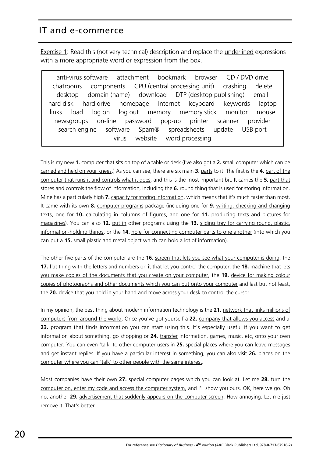### <span id="page-25-0"></span>IT and e-commerce

Exercise 1: Read this (not very technical) description and replace the underlined expressions with a more appropriate word or expression from the box.

anti-virus software attachment bookmark browser CD / DVD drive chatrooms components CPU (central processing unit) crashing delete desktop domain (name) download DTP (desktop publishing) email hard disk hard drive homepage Internet keyboard keywords laptop links load log on log out memory memory stick monitor mouse newsgroups on-line password pop-up printer scanner provider search engine software Spam® spreadsheets update USB port virus website word processing

This is my new **1.** computer that sits on top of a table or desk (I've also got a **2.** small computer which can be carried and held on your knees.) As you can see, there are six main **3.** parts to it. The first is the **4.** part of the computer that runs it and controls what it does, and this is the most important bit. It carries the **5.** part that stores and controls the flow of information, including the **6.** round thing that is used for storing information. Mine has a particularly high **7.** capacity for storing information, which means that it's much faster than most. It came with its own **8.** computer programs package (including one for **9.** writing, checking and changing texts, one for **10.** calculating in columns of figures, and one for **11.** producing texts and pictures for magazines). You can also **12.** put in other programs using the **13.** sliding tray for carrying round, plastic, information-holding things, or the **14.** hole for connecting computer parts to one another (into which you can put a **15.** small plastic and metal object which can hold a lot of information).

The other five parts of the computer are the **16.** screen that lets you see what your computer is doing, the **17.** flat thing with the letters and numbers on it that let you control the computer, the **18.** machine that lets you make copies of the documents that you create on your computer, the **19.** device for making colour copies of photographs and other documents which you can put onto your computer and last but not least, the **20.** device that you hold in your hand and move across your desk to control the cursor.

In my opinion, the best thing about modern information technology is the **21.** network that links millions of computers from around the world. Once you've got yourself a **22.** company that allows you access and a **23.** program that finds information you can start using this. It's especially useful if you want to get information about something, go shopping or **24.** transfer information, games, music, etc, onto your own computer. You can even 'talk' to other computer users in **25.** special places where you can leave messages and get instant replies. If you have a particular interest in something, you can also visit **26.** places on the computer where you can 'talk' to other people with the same interest.

Most companies have their own **27.** special computer pages which you can look at. Let me **28.** turn the computer on, enter my code and access the computer system, and I'll show you ours. OK, here we go. Oh no, another **29.** advertisement that suddenly appears on the computer screen. How annoying. Let me just remove it. That's better.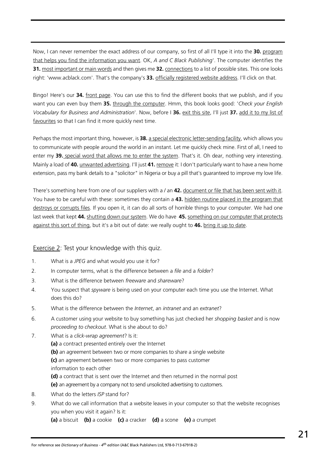Now, I can never remember the exact address of our company, so first of all I'll type it into the **30.** program that helps you find the information you want. OK, *A and C Black Publishing*'. The computer identifies the **31.** most important or main words and then gives me **32.** Connections to a list of possible sites. This one looks right: '[www.acblack.com](http://www.acblack.com)'. That's the company's **33.** officially registered website address. I'll click on that.

Bingo! Here's our **34.** front page. You can use this to find the different books that we publish, and if you want you can even buy them **35.** through the computer. Hmm, this book looks good: '*Check your English Vocabulary for Business and Administration*'. Now, before I **36.** exit this site, I'll just **37.** add it to my list of favourites so that I can find it more quickly next time.

Perhaps the most important thing, however, is **38.** a special electronic letter-sending facility, which allows you to communicate with people around the world in an instant. Let me quickly check mine. First of all, I need to enter my **39.** special word that allows me to enter the system. That's it. Oh dear, nothing very interesting. Mainly a load of **40.** unwanted advertising. I'll just **41.** remove it: I don't particularly want to have a new home extension, pass my bank details to a "solicitor" in Nigeria or buy a pill that's guaranteed to improve my love life.

There's something here from one of our suppliers with a / an **42.** document or file that has been sent with it. You have to be careful with these: sometimes they contain a **43.** hidden routine placed in the program that destroys or corrupts files. If you open it, it can do all sorts of horrible things to your computer. We had one last week that kept **44.** shutting down our system. We do have **45.** something on our computer that protects against this sort of thing, but it's a bit out of date: we really ought to **46.** bring it up to date.

#### Exercise 2: Test your knowledge with this quiz.

- 1. What is a *JPEG* and what would you use it for?
- 2. In computer terms, what is the difference between a *file* and a *folder*?
- 3. What is the difference between *freeware* and *shareware*?
- 4. You suspect that *spyware* is being used on your computer each time you use the Internet. What does this do?
- 5. What is the difference between the *Internet*, an *intranet* and an *extranet*?
- 6. A customer using your website to buy something has just checked her *shopping basket* and is now *proceeding to checkout*. What is she about to do?
- 7. What is a *click-wrap agreement*? Is it:
	- **(a)** a contract presented entirely over the Internet
	- **(b)** an agreement between two or more companies to share a single website
	- **(c)** an agreement between two or more companies to pass customer
	- information to each other
	- **(d)** a contract that is sent over the Internet and then returned in the normal post

**(e)** an agreement by a company not to send unsolicited advertising to customers.

- 8. What do the letters *ISP* stand for?
- 9. What do we call information that a website leaves in your computer so that the website recognises you when you visit it again? Is it:

**(a)** a biscuit **(b)** a cookie **(c)** a cracker **(d)** a scone **(e)** a crumpet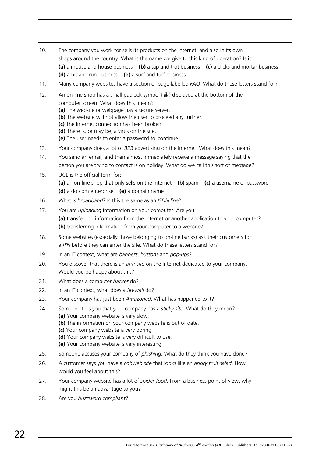- 10. The company you work for sells its products on the Internet, and also in its own shops around the country. What is the name we give to this kind of operation? Is it: **(a)** a mouse and house business **(b)** a tap and trot business **(c)** a clicks and mortar business **(d)** a hit and run business **(e)** a surf and turf business
- 11. Many company websites have a section or page labelled *FAQ*. What do these letters stand for?
- 12. An on-line shop has a small padlock symbol  $(\bigcirc$ ) displayed at the bottom of the
	- computer screen. What does this mean?:
	- **(a)** The website or webpage has a secure server.
	- **(b)** The website will not allow the user to proceed any further.
	- **(c)** The Internet connection has been broken.
	- **(d)** There is, or may be, a virus on the site.
	- **(e)** The user needs to enter a password to continue.
- 13. Your company does a lot of *B2B* advertising on the Internet. What does this mean?
- 14. You send an email, and then almost immediately receive a message saying that the person you are trying to contact is on holiday. What do we call this sort of message?
- 15. UCE is the official term for: **(a)** an on-line shop that only sells on the Internet **(b)** spam **(c)** a username or password **(d)** a dotcom enterprise **(e)** a domain name
- 16. What is *broadband*? Is this the same as an *ISDN line*?
- 17. You are *uploading* information on your computer. Are you: **(a)** transferring information from the Internet or another application to your computer? **(b)** transferring information from your computer to a website?
- 18. Some websites (especially those belonging to on-line banks) ask their customers for a *PIN* before they can enter the site. What do these letters stand for?
- 19. In an IT context, what are *banners*, *buttons* and *pop-ups*?
- 20. You discover that there is an *anti-site* on the Internet dedicated to your company. Would you be happy about this?
- 21. What does a computer *hacker* do?
- 22. In an IT context, what does a *firewall* do?
- 23. Your company has just been *Amazoned*. What has happened to it?
- 24. Someone tells you that your company has a *sticky site*. What do they mean? **(a)** Your company website is very slow.
	- **(b)** The information on your company website is out of date.
	- **(c)** Your company website is very boring.
	- **(d)** Your company website is very difficult to use.
	- **(e)** Your company website is very interesting.
- 25. Someone accuses your company of *phishing*. What do they think you have done?
- 26. A customer says you have a *cobweb site* that looks like an *angry fruit salad*. How would you feel about this?
- 27. Your company website has a lot of *spider food*. From a business point of view, why might this be an advantage to you?
- 28. Are you *buzzword compliant*?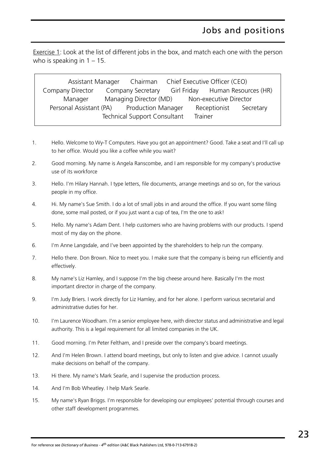# Jobs and positions

<span id="page-28-0"></span>Exercise 1: Look at the list of different jobs in the box, and match each one with the person who is speaking in  $1 - 15$ .

| Assistant Manager                   |  | Chairman Chief Executive Officer (CEO) |  |  |                        |                                  |
|-------------------------------------|--|----------------------------------------|--|--|------------------------|----------------------------------|
| Company Director                    |  | Company Secretary                      |  |  |                        | Girl Friday Human Resources (HR) |
| Manager                             |  | Managing Director (MD)                 |  |  | Non-executive Director |                                  |
| Personal Assistant (PA)             |  | <b>Production Manager</b>              |  |  |                        | Receptionist Secretary           |
| <b>Technical Support Consultant</b> |  |                                        |  |  | Trainer                |                                  |

- 1. Hello. Welcome to Wy-T Computers. Have you got an appointment? Good. Take a seat and I'll call up to her office. Would you like a coffee while you wait?
- 2. Good morning. My name is Angela Ranscombe, and I am responsible for my company's productive use of its workforce
- 3. Hello. I'm Hilary Hannah. I type letters, file documents, arrange meetings and so on, for the various people in my office.
- 4. Hi. My name's Sue Smith. I do a lot of small jobs in and around the office. If you want some filing done, some mail posted, or if you just want a cup of tea, I'm the one to ask!
- 5. Hello. My name's Adam Dent. I help customers who are having problems with our products. I spend most of my day on the phone.
- 6. I'm Anne Langsdale, and I've been appointed by the shareholders to help run the company.
- 7. Hello there. Don Brown. Nice to meet you. I make sure that the company is being run efficiently and effectively.
- 8. My name's Liz Hamley, and I suppose I'm the big cheese around here. Basically I'm the most important director in charge of the company.
- 9. I'm Judy Briers. I work directly for Liz Hamley, and for her alone. I perform various secretarial and administrative duties for her.
- 10. I'm Laurence Woodham. I'm a senior employee here, with director status and administrative and legal authority. This is a legal requirement for all limited companies in the UK.
- 11. Good morning. I'm Peter Feltham, and I preside over the company's board meetings.
- 12. And I'm Helen Brown. I attend board meetings, but only to listen and give advice. I cannot usually make decisions on behalf of the company.
- 13. Hi there. My name's Mark Searle, and I supervise the production process.
- 14. And I'm Bob Wheatley. I help Mark Searle.
- 15. My name's Ryan Briggs. I'm responsible for developing our employees' potential through courses and other staff development programmes.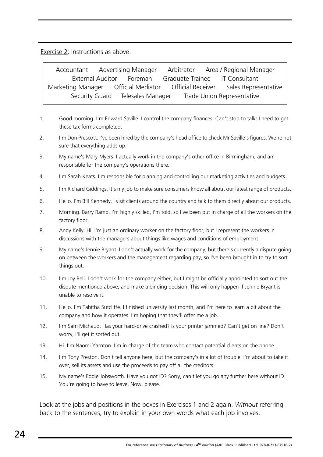Exercise 2: Instructions as above.

Accountant Advertising Manager Arbitrator Area / Regional Manager External Auditor Foreman Graduate Trainee IT Consultant Marketing Manager Official Mediator Official Receiver Sales Representative Security Guard Telesales Manager Trade Union Representative

- 1. Good morning. I'm Edward Saville. I control the company finances. Can't stop to talk: I need to get these tax forms completed.
- 2. I'm Don Prescott. I've been hired by the company's head office to check Mr Saville's figures. We're not sure that everything adds up.
- 3. My name's Mary Myers. I actually work in the company's other office in Birmingham, and am responsible for the company's operations there.
- 4. I'm Sarah Keats. I'm responsible for planning and controlling our marketing activities and budgets.
- 5. I'm Richard Giddings. It's my job to make sure consumers know all about our latest range of products.
- 6. Hello. I'm Bill Kennedy. I visit clients around the country and talk to them directly about our products.
- 7. Morning. Barry Ramp. I'm highly skilled, I'm told, so I've been put in charge of all the workers on the factory floor.
- 8. Andy Kelly. Hi. I'm just an ordinary worker on the factory floor, but I represent the workers in discussions with the managers about things like wages and conditions of employment.
- 9. My name's Jennie Bryant. I don't actually work for the company, but there's currently a dispute going on between the workers and the management regarding pay, so I've been brought in to try to sort things out.
- 10. I'm Joy Bell. I don't work for the company either, but I might be officially appointed to sort out the dispute mentioned above, and make a binding decision. This will only happen if Jennie Bryant is unable to resolve it.
- 11. Hello. I'm Tabitha Sutcliffe. I finished university last month, and I'm here to learn a bit about the company and how it operates. I'm hoping that they'll offer me a job.
- 12. I'm Sam Michaud. Has your hard-drive crashed? Is your printer jammed? Can't get on line? Don't worry, I'll get it sorted out.
- 13. Hi. I'm Naomi Yarnton. I'm in charge of the team who contact potential clients on the phone.
- 14. I'm Tony Preston. Don't tell anyone here, but the company's in a lot of trouble. I'm about to take it over, sell its assets and use the proceeds to pay off all the creditors.
- 15. My name's Eddie Jobsworth. Have you got ID? Sorry, can't let you go any further here without ID. You're going to have to leave. Now, please.

Look at the jobs and positions in the boxes in Exercises 1 and 2 again. *Without* referring back to the sentences, try to explain in your own words what each job involves.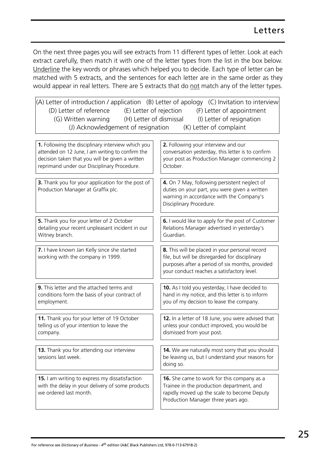<span id="page-30-0"></span>On the next three pages you will see extracts from 11 different types of letter. Look at each extract carefully, then match it with one of the letter types from the list in the box below. Underline the key words or phrases which helped you to decide. Each type of letter can be matched with 5 extracts, and the sentences for each letter are in the same order as they would appear in real letters. There are 5 extracts that do not match any of the letter types.

| (D) Letter of reference (E) Letter of rejection<br>(G) Written warning (H) Letter of dismissal                                                                                                          | (A) Letter of introduction / application (B) Letter of apology (C) Invitation to interview<br>(F) Letter of appointment<br>(I) Letter of resignation<br>(J) Acknowledgement of resignation (K) Letter of complaint |  |  |  |  |
|---------------------------------------------------------------------------------------------------------------------------------------------------------------------------------------------------------|--------------------------------------------------------------------------------------------------------------------------------------------------------------------------------------------------------------------|--|--|--|--|
| 1. Following the disciplinary interview which you<br>attended on 12 June, I am writing to confirm the<br>decision taken that you will be given a written<br>reprimand under our Disciplinary Procedure. | 2. Following your interview and our<br>conversation yesterday, this letter is to confirm<br>your post as Production Manager commencing 2<br>October.                                                               |  |  |  |  |
| 3. Thank you for your application for the post of<br>Production Manager at Graffix plc.                                                                                                                 | 4. On 7 May, following persistent neglect of<br>duties on your part, you were given a written<br>warning in accordance with the Company's<br>Disciplinary Procedure.                                               |  |  |  |  |
| 5. Thank you for your letter of 2 October<br>detailing your recent unpleasant incident in our<br>Witney branch.                                                                                         | 6. I would like to apply for the post of Customer<br>Relations Manager advertised in yesterday's<br>Guardian.                                                                                                      |  |  |  |  |
| 7. I have known Jan Kelly since she started<br>working with the company in 1999.                                                                                                                        | 8. This will be placed in your personal record<br>file, but will be disregarded for disciplinary<br>purposes after a period of six months, provided<br>your conduct reaches a satisfactory level.                  |  |  |  |  |
| <b>9.</b> This letter and the attached terms and<br>conditions form the basis of your contract of<br>employment.                                                                                        | 10. As I told you yesterday, I have decided to<br>hand in my notice, and this letter is to inform<br>you of my decision to leave the company.                                                                      |  |  |  |  |
| 11. Thank you for your letter of 19 October<br>telling us of your intention to leave the<br>company.                                                                                                    | 12. In a letter of 18 June, you were advised that<br>unless your conduct improved, you would be<br>dismissed from your post.                                                                                       |  |  |  |  |
| 13. Thank you for attending our interview<br>sessions last week.                                                                                                                                        | 14. We are naturally most sorry that you should<br>be leaving us, but I understand your reasons for<br>doing so.                                                                                                   |  |  |  |  |
| 15. I am writing to express my dissatisfaction<br>with the delay in your delivery of some products<br>we ordered last month.                                                                            | 16. She came to work for this company as a<br>Trainee in the production department, and<br>rapidly moved up the scale to become Deputy<br>Production Manager three years ago.                                      |  |  |  |  |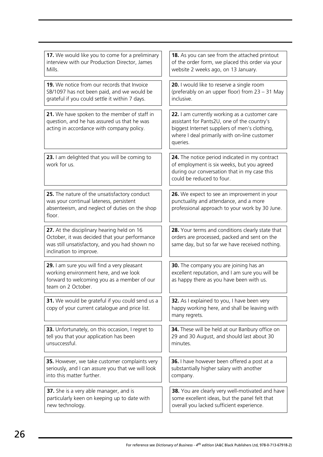**17.** We would like you to come for a preliminary interview with our Production Director, James Mills.

**19.** We notice from our records that Invoice SB/1097 has not been paid, and we would be grateful if you could settle it within 7 days.

**21.** We have spoken to the member of staff in question, and he has assured us that he was acting in accordance with company policy.

**23.** I am delighted that you will be coming to work for us.

**25.** The nature of the unsatisfactory conduct was your continual lateness, persistent absenteeism, and neglect of duties on the shop floor.

**27.** At the disciplinary hearing held on 16 October, it was decided that your performance was still unsatisfactory, and you had shown no inclination to improve.

**29.** I am sure you will find a very pleasant working environment here, and we look forward to welcoming you as a member of our team on 2 October.

**31.** We would be grateful if you could send us a copy of your current catalogue and price list.

**33.** Unfortunately, on this occasion, I regret to tell you that your application has been unsuccessful.

**35.** However, we take customer complaints very seriously, and I can assure you that we will look into this matter further.

**37.** She is a very able manager, and is particularly keen on keeping up to date with new technology.

**18.** As you can see from the attached printout of the order form, we placed this order via your website 2 weeks ago, on 13 January.

**20.** I would like to reserve a single room (preferably on an upper floor) from 23 – 31 May inclusive.

**22.** I am currently working as a customer care assistant for Pants2U, one of the country's biggest Internet suppliers of men's clothing, where I deal primarily with on-line customer queries.

**24.** The notice period indicated in my contract of employment is six weeks, but you agreed during our conversation that in my case this could be reduced to four.

**26.** We expect to see an improvement in your punctuality and attendance, and a more professional approach to your work by 30 June.

**28.** Your terms and conditions clearly state that orders are processed, packed and sent on the same day, but so far we have received nothing.

**30.** The company you are joining has an excellent reputation, and I am sure you will be as happy there as you have been with us.

**32.** As I explained to you, I have been very happy working here, and shall be leaving with many regrets.

**34.** These will be held at our Banbury office on 29 and 30 August, and should last about 30 minutes.

**36.** I have however been offered a post at a substantially higher salary with another company.

**38.** You are clearly very well-motivated and have some excellent ideas, but the panel felt that overall you lacked sufficient experience.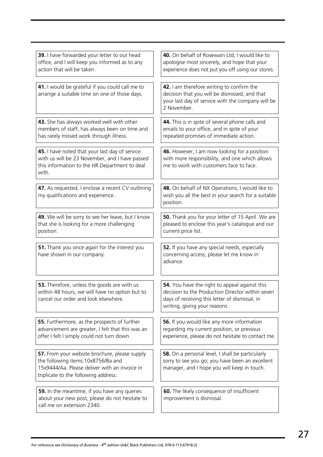| 39. I have forwarded your letter to our head   |  |
|------------------------------------------------|--|
| office, and I will keep you informed as to any |  |
| action that will be taken.                     |  |

**41.** I would be grateful if you could call me to arrange a suitable time on one of those days.

**43.** She has always worked well with other members of staff, has always been on time and has rarely missed work through illness.

**45.** I have noted that your last day of service with us will be 23 November, and I have passed this information to the HR Department to deal with.

**47.** As requested, I enclose a recent CV outlining my qualifications and experience.

**49.** We will be sorry to see her leave, but I know that she is looking for a more challenging position.

**51.** Thank you once again for the interest you have shown in our company.

**53.** Therefore, unless the goods are with us within 48 hours, we will have no option but to cancel our order and look elsewhere.

**55.** Furthermore, as the prospects of further advancement are greater, I felt that this was an offer I felt I simply could not turn down.

**57.** From your website brochure, please supply the following items:10x8756/Ba and 15x9444/Aa. Please deliver with an invoice in triplicate to the following address:

**59.** In the meantime, if you have any queries about your new post, please do not hesitate to call me on extension 2340.

**40.** On behalf of Rosewain Ltd, I would like to apologise most sincerely, and hope that your experience does not put you off using our stores.

**42.** I am therefore writing to confirm the decision that you will be dismissed, and that your last day of service with the company will be 2 November.

**44.** This is in spite of several phone calls and emails to your office, and in spite of your repeated promises of immediate action.

**46.** However, I am now looking for a position with more responsibility, and one which allows me to work with customers face to face.

**48.** On behalf of NX Operations, I would like to wish you all the best in your search for a suitable position.

**50.** Thank you for your letter of 15 April. We are pleased to enclose this year's catalogue and our current price list.

**52.** If you have any special needs, especially concerning access, please let me know in advance.

**54.** You have the right to appeal against this decision to the Production Director within seven days of receiving this letter of dismissal, in writing, giving your reasons.

**56.** If you would like any more information regarding my current position, or previous experience, please do not hesitate to contact me.

**58.** On a personal level, I shall be particularly sorry to see you go; you have been an excellent manager, and I hope you will keep in touch.

**60.** The likely consequence of insufficient improvement is dismissal.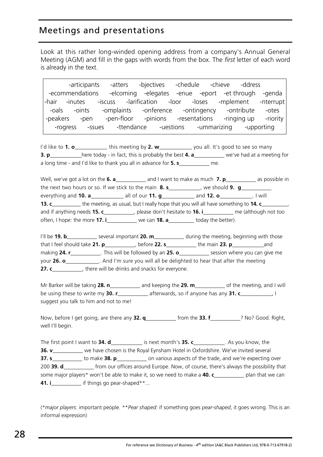## <span id="page-33-0"></span>Meetings and presentations

Look at this rather long-winded opening address from a company's Annual General Meeting (AGM) and fill in the gaps with words from the box. The *first* letter of each word is already in the text.

-articipants -atters -bjectives -chedule -chieve -ddress -ecommendations -elcoming -elegates -enue -eport -et through -genda -hair -inutes -iscuss -larification -loor -loses -mplement -nterrupt -oals -oints -omplaints -onference -ontingency -ontribute -otes -peakers -pen -pen-floor -pinions -resentations -ringing up -riority -rogress -ssues -ttendance -uestions -ummarizing -upporting

I'd like to **1. o** this meeting by **2. w** vou all. It's good to see so many **3. p** here today - in fact, this is probably the best **4. a** we've had at a meeting for a long time - and I'd like to thank you all in advance for **5. s** me.

Well, we've got a lot on the **6. a** and I want to make as much **7. p** as possible in the next two hours or so. If we stick to the main **8. s** , we should **9. g** everything and **10. a** all of our **11. g** and **12. o** . I will **13. c** the meeting, as usual, but I really hope that you will all have something to **14. c** and if anything needs **15. c\_\_\_\_\_\_\_\_\_**, please don't hesitate to **16. i\_\_\_\_\_\_\_\_** me (although not too often, I hope: the more **17. i** we can **18. a** today the better).

I'll be **19. b** several important **20. m** during the meeting, beginning with those that I feel should take **21. p** , before **22. s the main 23. p** and making **24. r** 1. This will be followed by an **25. o** session where you can give me your **26. o** . And I'm sure you will all be delighted to hear that after the meeting **27. c** \_\_\_\_\_\_\_\_\_\_\_\_\_, there will be drinks and snacks for everyone.

Mr Barker will be taking 28. n\_\_\_\_\_\_\_\_\_\_\_\_ and keeping the 29. m\_\_\_\_\_\_\_\_\_\_\_\_ of the meeting, and I will be using these to write my **30. r** \_\_\_\_\_\_\_\_\_\_\_\_ afterwards, so if anyone has any **31. c**\_\_\_\_\_\_\_\_\_\_\_\_\_\_, I suggest you talk to him and not to me!

Now, before I get going, are there any **32. q** from the **33. f** ? No? Good. Right, well I'll begin.

The first point I want to **34. d** is next month's **35. c** . As you know, the **36. v\_\_\_\_\_\_\_\_\_** we have chosen is the Royal Eynsham Hotel in Oxfordshire. We've invited several **37. s** to make **38. p** on various aspects of the trade, and we're expecting over 200 **39. d** from our offices around Europe. Now, of course, there's always the possibility that some major players\* won't be able to make it, so we need to make a **40. c** plan that we can **41. i** if things go pear-shaped\*\*...

(\**major players*: important people. \*\**Pear shaped*: if something goes *pear-shaped*, it goes wrong. This is an informal expression)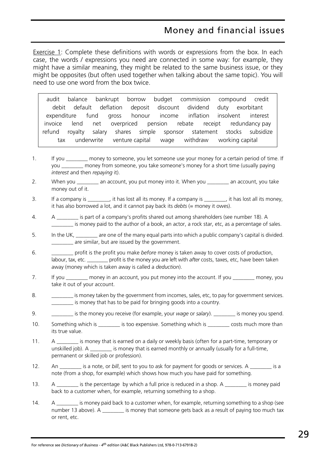# Money and financial issues

<span id="page-34-0"></span>Exercise 1: Complete these definitions with words or expressions from the box. In each case, the words / expressions you need are connected in some way: for example, they might have a similar meaning, they might be related to the same business issue, or they might be opposites (but often used together when talking about the same topic). You will need to use one word from the box twice.

audit balance bankrupt borrow budget commission compound credit debit default deflation deposit discount dividend duty exorbitant expenditure fund gross honour income inflation insolvent interest invoice lend net overpriced pension rebate receipt redundancy pay refund royalty salary shares simple sponsor statement stocks subsidize tax underwrite venture capital wage withdraw working capital

- 1. If you \_\_\_\_\_\_\_\_ money to someone, you let someone use your money for a certain period of time. If you \_\_\_\_\_\_\_\_ money from someone, you take someone's money for a short time (usually paying *interest* and then *repaying* it).
- 2. When you an account, you put money into it. When you an account, you take money out of it.
- 3. If a company is \_\_\_\_\_\_\_, it has lost all its money. If a company is \_\_\_\_\_\_, it has lost all its money, it has also borrowed a lot, and it cannot pay back its *debts* (= money it owes).
- 4. A capaca is part of a company's profits shared out among shareholders (see number 18). A is money paid to the author of a book, an actor, a rock star, etc, as a percentage of sales.
- 5. In the UK, \_\_\_\_\_\_\_\_ are one of the many equal parts into which a public company's capital is divided. \_\_\_\_\_\_\_\_ are similar, but are issued by the government.
- 6. \_\_\_\_\_\_\_\_ profit is the profit you make *before* money is taken away to cover costs of production, labour, tax, etc. \_\_\_\_\_\_\_\_ profit is the money you are left with *after* costs, taxes, etc, have been taken away (money which is taken away is called a *deduction*).
- 7. If you \_\_\_\_\_\_\_\_ money in an account, you put money into the account. If you money, you take it out of your account.
- 8. \_\_\_\_\_\_\_\_ is money taken by the government from incomes, sales, etc, to pay for government services. is money that has to be paid for bringing goods into a country.
- 9. \_\_\_\_\_\_\_\_ is the money you receive (for example, your *wage* or *salary*). \_\_\_\_\_\_\_\_ is money you spend.
- 10. Something which is  $\frac{1}{2}$  is too expensive. Something which is  $\frac{1}{2}$  costs much more than its true value.
- 11. A can also money that is earned on a daily or weekly basis (often for a part-time, temporary or unskilled job). A \_\_\_\_\_\_\_\_\_ is money that is earned monthly or annually (usually for a full-time, permanent or skilled job or profession).
- 12. An  $\blacksquare$  is a note, or *bill*, sent to you to ask for payment for goods or services. A  $\blacksquare$  is a note (from a shop, for example) which shows how much you have paid for something.
- 13. A \_\_\_\_\_\_\_\_ is the percentage by which a full price is reduced in a shop. A \_\_\_\_\_\_\_\_ is money paid back to a customer when, for example, returning something to a shop.
- 14. A \_\_\_\_\_\_\_\_ is money paid back to a customer when, for example, returning something to a shop (see number 13 above). A \_\_\_\_\_\_\_\_\_ is money that someone gets back as a result of paying too much tax or rent, etc.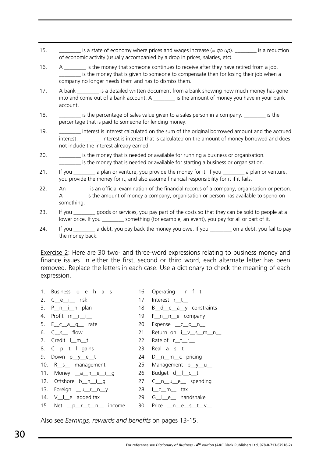- 15. \_\_\_\_\_\_\_\_ is a state of economy where prices and wages increase (= *go up*). \_\_\_\_\_\_\_\_ is a reduction of economic activity (usually accompanied by a drop in prices, salaries, etc).
- 16. A \_\_\_\_\_\_\_ is the money that someone continues to receive after they have retired from a job. \_\_\_\_\_\_\_\_ is the money that is given to someone to compensate then for losing their job when a company no longer needs them and has to dismiss them.
- 17. A bank \_\_\_\_\_\_\_\_ is a detailed written document from a bank showing how much money has gone into and come out of a bank account. A electronic is the amount of money you have in your bank account.
- 18. \_\_\_\_\_\_\_\_ is the percentage of sales value given to a sales person in a company. \_\_\_\_\_\_\_\_ is the percentage that is paid to someone for lending money.
- 19. \_\_\_\_\_\_\_\_ interest is interest calculated on the sum of the original borrowed amount and the accrued interest. \_\_\_\_\_\_\_\_ interest is interest that is calculated on the amount of money borrowed and does not include the interest already earned.
- 20. \_\_\_\_\_\_\_\_\_\_ is the money that is needed or available for running a business or organisation. \_\_\_\_\_\_\_\_ is the money that is needed or available for starting a business or organisation.
- 21. If you a plan or venture, you provide the money for it. If you a plan or venture, you provide the money for it, and also assume financial responsibility for it if it fails.
- 22. An  $\blacksquare$  is an official examination of the financial records of a company, organisation or person. A  $\blacksquare$  is the amount of money a company, organisation or person has available to spend on something.
- 23. If you \_\_\_\_\_\_\_\_ goods or services, you pay part of the costs so that they can be sold to people at a lower price. If you something (for example, an event), you pay for all or part of it.
- 24. If you \_\_\_\_\_\_\_ a debt, you pay back the money you owe. If you \_\_\_\_\_\_\_ on a debt, you fail to pay the money back.

Exercise 2: Here are 30 two- and three-word expressions relating to business money and finance issues. In either the first, second or third word, each alternate letter has been removed. Replace the letters in each case. Use a dictionary to check the meaning of each expression.

1. Business o e h a s 16. Operating r f t 2. C\_e\_i\_ risk 17. Interest r\_t 3. P\_n\_i\_n plan 18. B\_d\_e\_a\_y constraints 4. Profit m\_r\_i 19. F\_n\_n\_e company  $5. E_c$  a g rate  $20.$  Expense  $c_o$  n 6.  $C_s$  flow 21. Return on i\_v\_s\_m\_n\_ 7. Credit I m t 22. Rate of r t r 8. C\_p\_t\_l gains 23. Real a\_s\_t 9. Down p\_y\_e\_t 24. D\_n\_m\_c pricing 10. R s management 25. Management b y u 11. Money an e i g  $26.$  Budget d f c t 12. Offshore b\_n\_i\_g 27. C\_n\_u\_e\_ spending 13. Foreign  $u \rightharpoonup v$  28. I c m tax 14. V l e added tax and 29. G l e handshake 15. Net  $p$  r t n income 30. Price  $n$  e s t v

Also see *Earnings, rewards and benefits* on pages 13-15.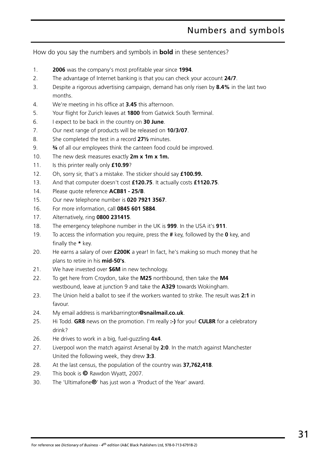# Numbers and symbols

How do you say the numbers and symbols in **bold** in these sentences?

- 1. **2006** was the company's most profitable year since **1994**.
- 2. The advantage of Internet banking is that you can check your account **24/7**.
- 3. Despite a rigorous advertising campaign, demand has only risen by **8.4%** in the last two months.
- 4. We're meeting in his office at **3.45** this afternoon.
- 5. Your flight for Zurich leaves at **1800** from Gatwick South Terminal.
- 6. I expect to be back in the country on **30 June**.
- 7. Our next range of products will be released on **10/3/07**.
- 8. She completed the test in a record **27½** minutes.
- 9. **¾** of all our employees think the canteen food could be improved.
- 10. The new desk measures exactly **2m x 1m x 1m.**
- 11. Is this printer really only **£10.99**?
- 12. Oh, sorry sir, that's a mistake. The sticker should say **£100.99.**
- 13. And that computer doesn't cost **£120.75**. It actually costs **£1120.75**.
- 14. Please quote reference **ACB81 25/B**.
- 15. Our new telephone number is **020 7921 3567**.
- 16. For more information, call **0845 601 5884**.
- 17. Alternatively, ring **0800 231415**.
- 18. The emergency telephone number in the UK is **999**. In the USA it's **911**.
- 19. To access the information you require, press the **#** key, followed by the **0** key, and finally the **\*** key.
- 20. He earns a salary of over **£200K** a year! In fact, he's making so much money that he plans to retire in his **mid-50's**.
- 21. We have invested over **\$6M** in new technology.
- 22. To get here from Croydon, take the **M25** northbound, then take the **M4** westbound, leave at junction 9 and take the **A329** towards Wokingham.
- 23. The Union held a ballot to see if the workers wanted to strike. The result was **2:1** in favour.
- 24. My email address is markbarrington**[@snailmail.co.uk](mailto:markbarrington@snailmail.co.uk)**.
- 25. Hi Todd. **GR8** news on the promotion. I'm really **:-)** for you! **CUL8R** for a celebratory drink?
- 26. He drives to work in a big, fuel-guzzling **4x4**.
- 27. Liverpool won the match against Arsenal by **2:0**. In the match against Manchester United the following week, they drew **3:3**.
- 28. At the last census, the population of the country was **37,762,418**.
- 29. This book is **©** Rawdon Wyatt, 2007.
- 30. The 'Ultimafone**®**' has just won a 'Product of the Year' award.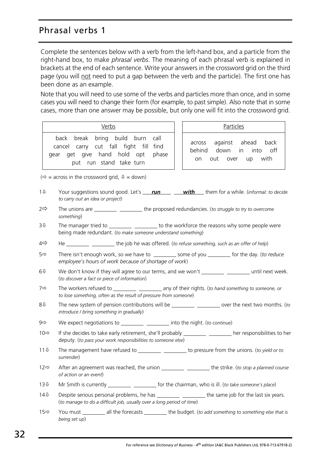## Phrasal verbs 1

Complete the sentences below with a verb from the left-hand box, and a particle from the right-hand box, to make *phrasal verbs*. The meaning of each phrasal verb is explained in brackets at the end of each sentence. Write your answers in the crossword grid on the third page (you will not need to put a gap between the verb and the particle). The first one has been done as an example.

Note that you will need to use some of the verbs and particles more than once, and in some cases you will need to change their form (for example, to past simple). Also note that in some cases, more than one answer may be possible, but only one will fit into the crossword grid.

|                                       | Verbs                            |  |  |  |  |  |  |  |  |  |  |  |  |  |  |
|---------------------------------------|----------------------------------|--|--|--|--|--|--|--|--|--|--|--|--|--|--|
|                                       | back break bring build burn call |  |  |  |  |  |  |  |  |  |  |  |  |  |  |
| cancel carry cut fall fight fill find |                                  |  |  |  |  |  |  |  |  |  |  |  |  |  |  |
| gear get give hand hold opt phase     |                                  |  |  |  |  |  |  |  |  |  |  |  |  |  |  |
|                                       | put run stand take turn          |  |  |  |  |  |  |  |  |  |  |  |  |  |  |

| dΙ | τı | C |  |
|----|----|---|--|
|    |    |   |  |

across against ahead back behind down in into off on out over up with

 $(\Rightarrow$  = across in the crossword grid,  $\theta$  = down)

- 1 $\theta$  Your suggestions sound good. Let's **run** *with* them for a while. (*informal: to decide to carry out an idea or project*)
- 2Ö The unions are the proposed redundancies. (*to struggle to try to overcome something*)
- 3 $\theta$  The manager tried to \_\_\_\_\_\_\_\_\_\_\_\_\_\_\_\_\_\_\_\_\_\_ to the workforce the reasons why some people were being made redundant. (*to make someone understand something*)
- 4<sup> $\Rightarrow$ </sup> He <u>ellenge the job he was offered.</u> (*to refuse something, such as an offer of help*)
- 5<sup> $\Rightarrow$ </sup> There isn't enough work, so we have to some of you for the day. (*to reduce employee's hours of work because of shortage of work*)
- 6Ø We don't know if they will agree to our terms, and we won't until next week. (*to discover a fact or piece of information*)
- 7Ö The workers refused to any of their rights. (*to hand something to someone, or to lose something, often as the result of pressure from someone*)
- 8Ø The new system of pension contributions will be over the next two months. (*to introduce / bring something in gradually*)
- 9<sup> $\Rightarrow$ </sup> We expect negotiations to \_\_\_\_\_\_\_\_\_\_\_\_\_\_\_\_\_\_\_\_\_\_\_\_ into the night. (*to continue*)
- 10<sup> $\Rightarrow$ </sup> If she decides to take early retirement, she'll probably \_\_\_\_\_\_\_\_\_\_\_\_\_\_\_\_\_\_\_\_\_\_\_ her responsibilities to her deputy. (*to pass your work responsibilities to someone else*)
- 11 $\theta$  The management have refused to \_\_\_\_\_\_\_\_\_ \_\_\_\_\_\_\_\_ to pressure from the unions. (*to yield or to surrender*)
- 12<sup>⇔</sup> After an agreement was reached, the union <u>call the strike.</u> (*to stop a planned course of action or an event*)
- 13<sup>Q</sup> Mr Smith is currently **for the chairman, who is ill.** (*to take someone's place*)
- 14 $\overline{\Psi}$  Despite serious personal problems, he has  $\overline{\Psi}$  the same job for the last six years. (*to manage to do a difficult job, usually over a long period of time*)
- 15<sup> $\Rightarrow$ </sup> You must \_\_\_\_\_\_\_\_ all the forecasts \_\_\_\_\_\_\_ the budget. (*to add something to something else that is being set up*)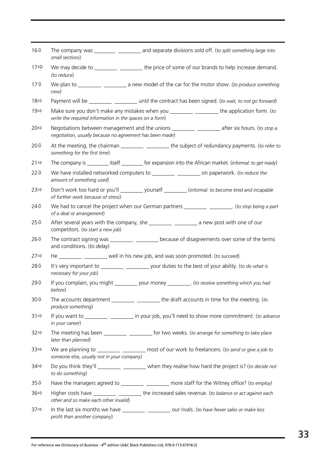| 16 <sub>0</sub>  | small sections)                                          |                                                                                                             |
|------------------|----------------------------------------------------------|-------------------------------------------------------------------------------------------------------------|
| 17⇔              | (to reduce)                                              | We may decide to ___________________________the price of some of our brands to help increase demand.        |
| 170              | new)                                                     |                                                                                                             |
| 18⇒              |                                                          | Payment will be ___________ __________ until the contract has been signed. (to wait, to not go forward)     |
| 19⇒              | write the required information in the spaces on a form)  | Make sure you don't make any mistakes when you ___________ _________ the application form. (to              |
| 20⇒              | negotiation, usually because no agreement has been made) | Negotiations between management and the unions ___________ ___________ after six hours. (to stop a          |
| 20 <sub>0</sub>  | something for the first time)                            | At the meeting, the chairman _______________________the subject of redundancy payments. (to refer to        |
| $21 \Rightarrow$ |                                                          | The company is __________ itself __________ for expansion into the African market. (informal: to get ready) |
| 22J              | amount of something used)                                | We have installed networked computers to ____________ __________ on paperwork. (to reduce the               |
| 23⇔              | of further work because of stress)                       | Don't work too hard or you'll ___________ yourself ___________ (informal: to become tired and incapable     |
| 24 5             | of a deal or arrangement)                                | We had to cancel the project when our German partners ________________. (to stop being a part               |
| 25 <sub>0</sub>  | competitors. (to start a new job)                        | After several years with the company, she ___________ __________ a new post with one of our                 |
| 26 <sub>0</sub>  | and conditions. (to delay)                               | The contract signing was ____________ __________ because of disagreements over some of the terms            |
| 27⇔              |                                                          | He ____________ __________ well in his new job, and was soon promoted. (to succeed)                         |
| 284              | necessary for your job)                                  |                                                                                                             |
| 29 <sub>0</sub>  | before)                                                  | If you complain, you might ___________ your money __________. (to receive something which you had           |
| 30 <sup>0</sup>  | produce something)                                       | The accounts department ________________________the draft accounts in time for the meeting. (to             |
| $31 \Rightarrow$ | in your career)                                          | If you want to __________ in your job, you'll need to show more commitment. (to advance                     |
| 32⇒              | later than planned)                                      | The meeting has been __________________________ for two weeks. (to arrange for something to take place      |
| 33⇔              | someone else, usually not in your company)               | We are planning to _________ _________ most of our work to freelancers. (to send or give a job to           |
| 34⇔              | to do something)                                         | Do you think they'll __________ __________ when they realise how hard the project is? (to decide not        |
| 35 <sub>0</sub>  |                                                          | Have the managers agreed to __________ ________ more staff for the Witney office? (to employ)               |
| 36⇒              | other and so make each other invalid)                    | Higher costs have _____________________________the increased sales revenue. (to balance or act against each |
| 37⇔              | profit than another company)                             | In the last six months we have ____________ ___________ our rivals. (to have fewer sales or make less       |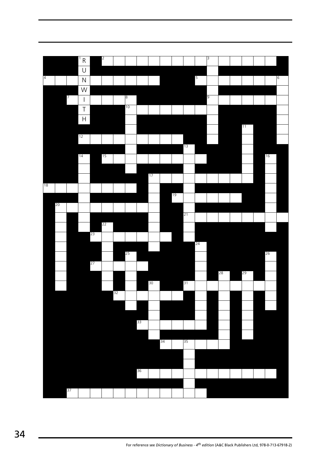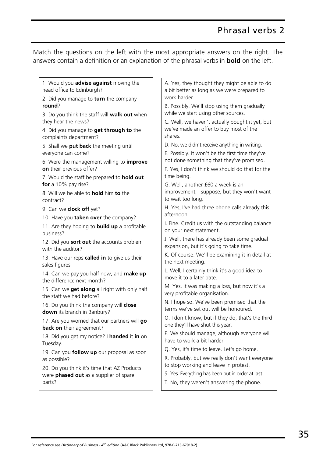Match the questions on the left with the most appropriate answers on the right. The answers contain a definition or an explanation of the phrasal verbs in **bold** on the left.

| 1. Would you advise against moving the<br>head office to Edinburgh?              | A. Yes, they thought they might be able to do<br>a bit better as long as we were prepared to  |
|----------------------------------------------------------------------------------|-----------------------------------------------------------------------------------------------|
| 2. Did you manage to turn the company                                            | work harder.                                                                                  |
| round?                                                                           | B. Possibly. We'll stop using them gradually<br>while we start using other sources.           |
| 3. Do you think the staff will walk out when<br>they hear the news?              | C. Well, we haven't actually bought it yet, but                                               |
| 4. Did you manage to get through to the<br>complaints department?                | we've made an offer to buy most of the<br>shares.                                             |
| 5. Shall we <b>put back</b> the meeting until                                    | D. No, we didn't receive anything in writing.                                                 |
| everyone can come?                                                               | E. Possibly. It won't be the first time they've<br>not done something that they've promised.  |
| 6. Were the management willing to <i>improve</i><br>on their previous offer?     | F. Yes, I don't think we should do that for the                                               |
| 7. Would the staff be prepared to <b>hold out</b>                                | time being.                                                                                   |
| for a 10% pay rise?                                                              | G. Well, another £60 a week is an                                                             |
| 8. Will we be able to <b>hold</b> him to the<br>contract?                        | improvement, I suppose, but they won't want<br>to wait too long.                              |
| 9. Can we clock off yet?                                                         | H. Yes, I've had three phone calls already this                                               |
| 10. Have you taken over the company?                                             | afternoon.<br>I. Fine. Credit us with the outstanding balance                                 |
| 11. Are they hoping to <b>build up</b> a profitable<br>business?                 | on your next statement.                                                                       |
| 12. Did you sort out the accounts problem<br>with the auditor?                   | J. Well, there has already been some gradual<br>expansion, but it's going to take time.       |
| 13. Have our reps called in to give us their<br>sales figures.                   | K. Of course. We'll be examining it in detail at<br>the next meeting.                         |
| 14. Can we pay you half now, and make up<br>the difference next month?           | L. Well, I certainly think it's a good idea to<br>move it to a later date.                    |
| 15. Can we get along all right with only half<br>the staff we had before?        | M. Yes, it was making a loss, but now it's a<br>very profitable organisation.                 |
| 16. Do you think the company will close<br>down its branch in Banbury?           | N. I hope so. We've been promised that the<br>terms we've set out will be honoured.           |
| 17. Are you worried that our partners will go<br><b>back on</b> their agreement? | O. I don't know, but if they do, that's the third<br>one they'll have shut this year.         |
| 18. Did you get my notice? I handed it in on<br>Tuesday.                         | P. We should manage, although everyone will<br>have to work a bit harder.                     |
| 19. Can you follow up our proposal as soon                                       | Q. Yes, it's time to leave. Let's go home.                                                    |
| as possible?                                                                     | R. Probably, but we really don't want everyone                                                |
| 20. Do you think it's time that AZ Products                                      | to stop working and leave in protest.                                                         |
| were <b>phased out</b> as a supplier of spare<br>parts?                          | S. Yes. Everything has been put in order at last.<br>T. No, they weren't answering the phone. |
|                                                                                  |                                                                                               |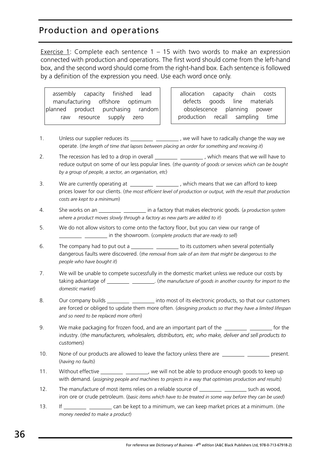## Production and operations

Exercise 1: Complete each sentence  $1 - 15$  with two words to make an expression connected with production and operations. The first word should come from the left-hand box, and the second word should come from the right-hand box. Each sentence is followed by a definition of the expression you need. Use each word once only.

assembly capacity finished lead manufacturing offshore optimum planned product purchasing random raw resource supply zero

allocation capacity chain costs defects goods line materials obsolescence planning power production recall sampling time

- 1. Unless our supplier reduces its \_\_\_\_\_\_\_\_\_\_\_\_\_\_\_\_\_\_\_\_\_\_\_, we will have to radically change the way we operate. (*the length of time that lapses between placing an order for something and receiving it*)
- 2. The recession has led to a drop in overall \_\_\_\_\_\_\_\_\_\_\_\_\_\_\_\_\_\_\_\_\_\_, which means that we will have to reduce output on some of our less popular lines. (*the quantity of goods or services which can be bought by a group of people, a sector, an organisation, etc*)
- 3. We are currently operating at \_\_\_\_\_\_\_\_\_\_\_\_\_\_\_\_\_\_\_\_\_\_, which means that we can afford to keep prices lower for our clients. (*the most efficient level of production or output, with the result that production costs are kept to a minimum*)
- 4. She works on an **in a factory that makes electronic goods**. (*a production system where a product moves slowly through a factory as new parts are added to it*)
- 5. We do not allow visitors to come onto the factory floor, but you can view our range of in the showroom. (*complete products that are ready to sell*)
- 6. The company had to put out a \_\_\_\_\_\_\_\_\_\_\_\_\_\_\_\_\_\_\_\_\_ to its customers when several potentially dangerous faults were discovered. (*the removal from sale of an item that might be dangerous to the people who have bought it*)
- 7. We will be unable to compete successfully in the domestic market unless we reduce our costs by taking advantage of . (*the manufacture of goods in another country for import to the domestic market*)
- 8. Our company builds **into most of its electronic products**, so that our customers are forced or obliged to update them more often. (*designing products so that they have a limited lifespan and so need to be replaced more often*)
- 9. We make packaging for frozen food, and are an important part of the **for the form** for the industry. (*the manufacturers, wholesalers, distributors, etc, who make, deliver and sell products to customers*)
- 10. None of our products are allowed to leave the factory unless there are measurement. (*having no faults*)
- 11. Without effective \_\_\_\_\_\_\_\_\_\_\_\_\_\_\_\_, we will not be able to produce enough goods to keep up with demand. (*assigning people and machines to projects in a way that optimises production and results*)
- 12. The manufacture of most items relies on a reliable source of such as wood, iron ore or crude petroleum. (*basic items which have to be treated in some way before they can be used*)
- 13. If <u>can all can be kept to a minimum, we can keep market prices at a minimum.</u> (*the money needed to make a product*)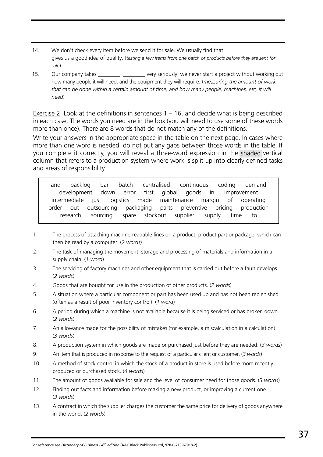- 14. We don't check every item before we send it for sale. We usually find that gives us a good idea of quality. (*testing a few items from one batch of products before they are sent for sale*)
- 15. Our company takes <u>very seriously:</u> we never start a project without working out how many people it will need, and the equipment they will require. (*measuring the amount of work that can be done within a certain amount of time, and how many people, machines, etc, it will need*)

Exercise 2: Look at the definitions in sentences  $1 - 16$ , and decide what is being described in each case. The words you need are in the box (you will need to use some of these words more than once). There are 8 words that do not match any of the definitions.

Write your answers in the appropriate space in the table on the next page. In cases where more than one word is needed, do not put any gaps between those words in the table. If you complete it correctly, you will reveal a three-word expression in the shaded vertical column that refers to a production system where work is split up into clearly defined tasks and areas of responsibility.

and backlog bar batch centralised continuous coding demand development down error first global goods in improvement intermediate just logistics made maintenance margin of operating order out outsourcing packaging parts preventive pricing production research sourcing spare stockout supplier supply time to

- 1. The process of attaching machine-readable lines on a product, product part or package, which can then be read by a computer. (*2 words*)
- 2. The task of managing the movement, storage and processing of materials and information in a supply chain. (*1 word*)
- 3. The servicing of factory machines and other equipment that is carried out before a fault develops. (*2 words*)
- 4. Goods that are bought for use in the production of other products. (*2 words*)
- 5. A situation where a particular component or part has been used up and has not been replenished (often as a result of poor inventory control). (*1 word*)
- 6. A period during which a machine is not available because it is being serviced or has broken down. (*2 words*)
- 7. An allowance made for the possibility of mistakes (for example, a miscalculation in a calculation) (*3 words*)
- 8. A production system in which goods are made or purchased just before they are needed. (*3 words*)
- 9. An item that is produced in response to the request of a particular client or customer. (*3 words*)
- 10. A method of stock control in which the stock of a product in store is used before more recently produced or purchased stock. (*4 words*)
- 11. The amount of goods available for sale and the level of consumer need for those goods. (*3 words*)
- 12. Finding out facts and information before making a new product, or improving a current one. (*3 words*)
- 13. A contract in which the supplier charges the customer the same price for delivery of goods anywhere in the world. (*2 words*)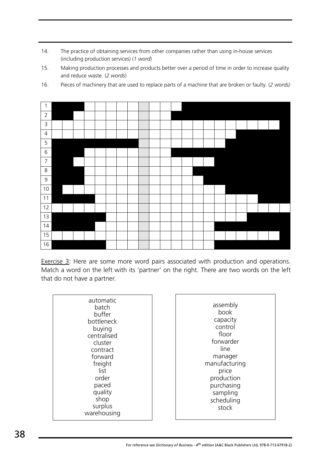- 14. The practice of obtaining services from other companies rather than using in-house services (including production services) (*1 word*)
- 15. Making production processes and products better over a period of time in order to increase quality and reduce waste. (*2 words*)
- 16. Pieces of machinery that are used to replace parts of a machine that are broken or faulty. (*2 words)*



Exercise 3: Here are some more word pairs associated with production and operations. Match a word on the left with its 'partner' on the right. There are two words on the left that do not have a partner.

| automatic<br>assembly<br>batch<br>book<br>buffer<br>capacity<br>bottleneck<br>control<br>buying<br>floor<br>centralised<br>forwarder<br>cluster<br>line<br>contract<br>forward<br>manager<br>manufacturing<br>freight<br>list<br>price<br>order<br>production<br>paced<br>purchasing<br>quality<br>sampling<br>shop<br>scheduling<br>surplus<br>stock<br>warehousing |  |
|----------------------------------------------------------------------------------------------------------------------------------------------------------------------------------------------------------------------------------------------------------------------------------------------------------------------------------------------------------------------|--|
|                                                                                                                                                                                                                                                                                                                                                                      |  |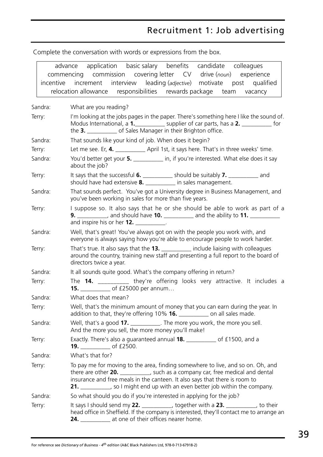## Recruitment 1: Job advertising

Complete the conversation with words or expressions from the box.

|  | advance application basic salary benefits candidate colleagues     |  |                                                                           |
|--|--------------------------------------------------------------------|--|---------------------------------------------------------------------------|
|  |                                                                    |  | commencing commission covering letter CV drive (noun) experience          |
|  |                                                                    |  | incentive increment interview leading (adjective) motivate post qualified |
|  | relocation allowance responsibilities rewards package team vacancy |  |                                                                           |

Sandra: What are you reading?

Terry: I'm looking at the jobs pages in the paper. There's something here I like the sound of. Modus International, a **1.**\_\_\_\_\_\_\_\_\_\_ supplier of car parts, has a **2.** \_\_\_\_\_\_\_\_\_\_ for the **3. b** of Sales Manager in their Brighton office.

Sandra: That sounds like your kind of job. When does it begin?

Terry: Let me see. Er, **4.** \_\_\_\_\_\_\_\_\_\_ April 1st, it says here. That's in three weeks' time.

- Sandra: You'd better get your **5.** The same value in if you're interested. What else does it say about the job?
- Terry: It says that the successful **6.** \_\_\_\_\_\_\_\_\_\_ should be suitably **7.** \_\_\_\_\_\_\_\_\_\_ and should have had extensive **8.** \_\_\_\_\_\_\_\_\_\_ in sales management.
- Sandra: That sounds perfect. You've got a University degree in Business Management, and you've been working in sales for more than five years.
- Terry: I suppose so. It also says that he or she should be able to work as part of a **9.** \_\_\_\_\_\_\_\_\_\_, and should have **10.** \_\_\_\_\_\_\_\_\_\_\_ and the ability to **11.** \_\_\_\_\_\_\_\_\_\_ and inspire his or her **12.** \_\_\_\_\_\_\_\_\_\_.
- Sandra: Well, that's great! You've always got on with the people you work with, and everyone is always saying how you're able to encourage people to work harder.
- Terry: That's true. It also says that the **13.** The line liaising with colleagues around the country, training new staff and presenting a full report to the board of directors twice a year.

Sandra: It all sounds quite good. What's the company offering in return?

Terry: The **14.** \_\_\_\_\_\_\_\_\_\_ they're offering looks very attractive. It includes a **15. b** of £25000 per annum...

Sandra: What does that mean?

Terry: Well, that's the minimum amount of money that you can earn during the year. In addition to that, they're offering 10% **16.** \_\_\_\_\_\_\_\_\_\_ on all sales made.

Sandra: Well, that's a good **17.** \_\_\_\_\_\_\_\_\_\_\_. The more you work, the more you sell. And the more you sell, the more money you'll make!

Terry: Exactly. There's also a guaranteed annual **18.** \_\_\_\_\_\_\_\_\_\_ of £1500, and a **19.** of £2500.

Sandra: What's that for?

- Terry: To pay me for moving to the area, finding somewhere to live, and so on. Oh, and there are other **20.** \_\_\_\_\_\_\_\_\_\_, such as a company car, free medical and dental insurance and free meals in the canteen. It also says that there is room to **21.**  $\blacksquare$ , so I might end up with an even better job within the company.
- Sandra: So what should you do if you're interested in applying for the job?

Terry: It says I should send my **22.** \_\_\_\_\_\_\_\_\_\_, together with a **23.** \_\_\_\_\_\_\_\_\_\_, to their head office in Sheffield. If the company is interested, they'll contact me to arrange an **24. 24. at one of their offices nearer home.**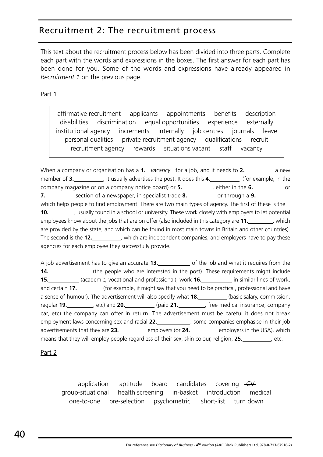## Recruitment 2: The recruitment process

This text about the recruitment process below has been divided into three parts. Complete each part with the words and expressions in the boxes. The first answer for each part has been done for you. Some of the words and expressions have already appeared in *Recruitment 1* on the previous page.

Part 1

affirmative recruitment applicants appointments benefits description disabilities discrimination equal opportunities experience externally institutional agency increments internally job centres journals leave personal qualities private recruitment agency qualifications recruit recruitment agency rewards situations vacant staff vacancy

When a company or organisation has a 1. *vacancy* for a job, and it needs to 2. a new member of **3.** The initially advertises the post. It does this **4.** (for example, in the company magazine or on a company notice board) or **5.** Moreon L. either in the **6.** Company or **7.** Section of a newspaper, in specialist trade **8.** On through a **9.** On the section of a new spanning point of  $\alpha$ which helps people to find employment. There are two main types of agency. The first of these is the **10.**  $\blacksquare$ , usually found in a school or university. These work closely with employers to let potential employees know about the jobs that are on offer (also included in this category are **11.** \_\_\_\_\_\_\_\_, which are provided by the state, and which can be found in most main towns in Britain and other countries). The second is the **12.** Notich are independent companies, and employers have to pay these agencies for each employee they successfully provide.

A job advertisement has to give an accurate **13.** of the job and what it requires from the **14. 14.** (the people who are interested in the post). These requirements might include **15.** (academic, vocational and professional), work **16.** in similar lines of work, and certain **17.** (for example, it might say that you need to be practical, professional and have a sense of humour). The advertisement will also specify what **18.** (basic salary, commission, regular **19.** Moreon Letc) and **20.** Moreon Lettingtin (paid **21.** All the medical insurance, company car, etc) the company can offer in return. The advertisement must be careful it does not break employment laws concerning sex and racial 22. **inclusively** some companies emphasise in their job advertisements that they are 23. employers (or 24. employers in the USA), which means that they will employ people regardless of their sex, skin colour, religion, **25.** Fig. 20.

### Part 2

application aptitude board candidates covering  $\epsilon$ group-situational health screening in-basket introduction medical one-to-one pre-selection psychometric short-list turn down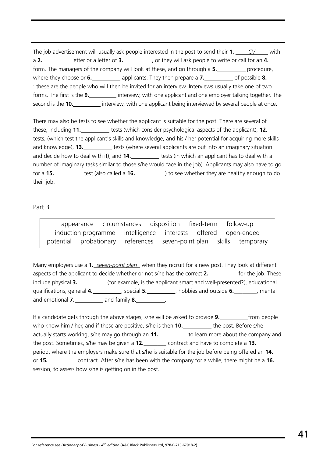The job advertisement will usually ask people interested in the post to send their **1.** *CV* with a **2.** etter or a letter of **3.** All they will ask people to write or call for an **4.** form. The managers of the company will look at these, and go through a **5.** procedure, where they choose or **6.** All applicants. They then prepare a 7. Conside 8. : these are the people who will then be invited for an interview. Interviews usually take one of two forms. The first is the **9.** interview, with one applicant and one employer talking together. The second is the **10. interview, with one applicant being interviewed by several people at once.** 

There may also be tests to see whether the applicant is suitable for the post. There are several of these, including **11.** tests (which consider psychological aspects of the applicant), **12.** tests, (which test the applicant's skills and knowledge, and his / her potential for acquiring more skills and knowledge), **13.** tests (where several applicants are put into an imaginary situation and decide how to deal with it), and **14.** tests (in which an applicant has to deal with a number of imaginary tasks similar to those s/he would face in the job). Applicants may also have to go for a **15. test** (also called a **16. the sum of the set of the set of the set of the set of the set of the set of the set of the set of the set of the set of the set of the set of the set of the set of the set of the s** their job.

### Part 3

appearance circumstances disposition fixed-term follow-up induction programme intelligence interests offered open-ended potential probationary references seven-point plan skills temporary

Many employers use a **1.** *seven-point plan* when they recruit for a new post. They look at different aspects of the applicant to decide whether or not s/he has the correct 2. for the job. These include physical **3.** (for example, is the applicant smart and well-presented?), educational qualifications, general **4.** Marken Luccial **5.** Marken Luccial Stephen B. (1995), mental and emotional **7. and family 8.** .

If a candidate gets through the above stages, s/he will be asked to provide **9.** From people who know him / her, and if these are positive, s/he is then **10.** the post. Before s/he actually starts working, s/he may go through an **11.** to learn more about the company and the post. Sometimes, s/he may be given a **12.**\_\_\_\_\_\_\_\_ contract and have to complete a **13.** period, where the employers make sure that s/he is suitable for the job before being offered an **14.** or **15.** contract. After s/he has been with the company for a while, there might be a **16.** session, to assess how s/he is getting on in the post.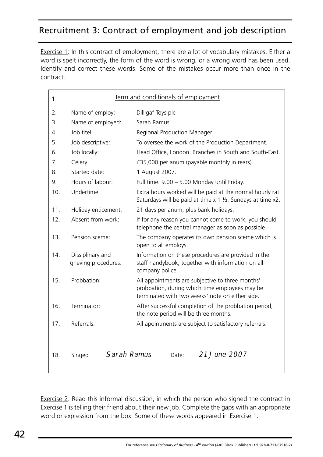# Recruitment 3: Contract of employment and job description

Exercise 1: In this contract of employment, there are a lot of vocabulary mistakes. Either a word is spelt incorrectly, the form of the word is wrong, or a wrong word has been used. Identify and correct these words. Some of the mistakes occur more than once in the contract.

| 1.                    | Term and conditionals of employment      |                                                                                                                                                       |  |  |  |  |  |  |  |  |
|-----------------------|------------------------------------------|-------------------------------------------------------------------------------------------------------------------------------------------------------|--|--|--|--|--|--|--|--|
| 2.                    | Name of employ:                          | Dilligaf Toys plc                                                                                                                                     |  |  |  |  |  |  |  |  |
| 3.                    | Name of employed:                        | Sarah Ramus                                                                                                                                           |  |  |  |  |  |  |  |  |
| $\mathcal{A}_{\cdot}$ | Job titel:                               | Regional Production Manager.                                                                                                                          |  |  |  |  |  |  |  |  |
| 5.                    | Job descriptive:                         | To oversee the work of the Production Department.                                                                                                     |  |  |  |  |  |  |  |  |
| 6.                    | Job locally:                             | Head Office, London. Branches in South and South-East.                                                                                                |  |  |  |  |  |  |  |  |
| 7.                    | Celery:                                  | £35,000 per anum (payable monthly in rears)                                                                                                           |  |  |  |  |  |  |  |  |
| 8.                    | Started date:                            | 1 August 2007.                                                                                                                                        |  |  |  |  |  |  |  |  |
| 9.                    | Hours of labour:                         | Full time. 9.00 - 5.00 Monday until Friday.                                                                                                           |  |  |  |  |  |  |  |  |
| 10.                   | Undertime:                               | Extra hours worked will be paid at the normal hourly rat.<br>Saturdays will be paid at time x 1 1/2, Sundays at time x2.                              |  |  |  |  |  |  |  |  |
| 11.                   | Holiday enticement:                      | 21 days per anum, plus bank holidays.                                                                                                                 |  |  |  |  |  |  |  |  |
| 12.                   | Absent from work:                        | If for any reason you cannot come to work, you should<br>telephone the central manager as soon as possible.                                           |  |  |  |  |  |  |  |  |
| 13.                   | Pension sceme:                           | The company operates its own pension sceme which is<br>open to all employs.                                                                           |  |  |  |  |  |  |  |  |
| 14.                   | Dissiplinary and<br>grieving procedures: | Information on these procedures are provided in the<br>staff handybook, together with information on all<br>company police.                           |  |  |  |  |  |  |  |  |
| 15.                   | Probbation:                              | All appointments are subjective to three months'<br>probbation, during which time employees may be<br>terminated with two weeks' note on either side. |  |  |  |  |  |  |  |  |
| 16.                   | Terminator:                              | After successful completion of the probbation period,<br>the note period will be three months.                                                        |  |  |  |  |  |  |  |  |
| 17.                   | Referrals:                               | All apointments are subject to satisfactory referrals.                                                                                                |  |  |  |  |  |  |  |  |
| 18.                   | Sarah Ramus<br>Singed                    | 21 June 2007<br>Date:                                                                                                                                 |  |  |  |  |  |  |  |  |

Exercise 2: Read this informal discussion, in which the person who signed the contract in Exercise 1 is telling their friend about their new job. Complete the gaps with an appropriate word or expression from the box. Some of these words appeared in Exercise 1.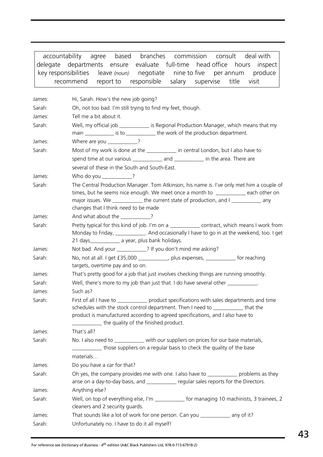|        | accountability agree based<br>branches<br>commission consult<br>deal with<br>full-time head office hours<br>delegate departments ensure<br>evaluate<br>inspect<br>key responsibilities leave (noun) negotiate nine to five per annum<br>produce<br>report to responsible<br>recommend<br>salary<br>supervise<br>title<br>visit |
|--------|--------------------------------------------------------------------------------------------------------------------------------------------------------------------------------------------------------------------------------------------------------------------------------------------------------------------------------|
| James: | Hi, Sarah. How's the new job going?                                                                                                                                                                                                                                                                                            |
| Sarah: | Oh, not too bad. I'm still trying to find my feet, though.                                                                                                                                                                                                                                                                     |
| James: | Tell me a bit about it.                                                                                                                                                                                                                                                                                                        |
| Sarah: | Well, my official job ______________ is Regional Production Manager, which means that my<br>main _____________ is to ______________ the work of the production department.                                                                                                                                                     |
| James: |                                                                                                                                                                                                                                                                                                                                |
| Sarah: | Most of my work is done at the ____________ in central London, but I also have to<br>spend time at our various _______________ and ______________ in the area. There are<br>several of these in the South and South-East.                                                                                                      |
| James: | Who do you __________?                                                                                                                                                                                                                                                                                                         |
| Sarah: | The Central Production Manager. Tom Atkinson, his name is. I've only met him a couple of<br>times, but he seems nice enough. We meet once a month to ____________ each other on<br>major issues. We _____________ the current state of production, and I ____________ any<br>changes that I think need to be made              |
| James: | And what about the __________?                                                                                                                                                                                                                                                                                                 |
| Sarah: | Pretty typical for this kind of job. I'm on a _______________ contract, which means I work from<br>Monday to Friday, _____________. And occasionally I have to go in at the weekend, too. I get<br>21 days _____________________ a year, plus bank holidays.                                                                   |
| James: | Not bad. And your ___________? If you don't mind me asking?                                                                                                                                                                                                                                                                    |
| Sarah: | No, not at all. I get £35,000 ___________, plus expenses, ____________ for reaching<br>targets, overtime pay and so on.                                                                                                                                                                                                        |
| James: | That's pretty good for a job that just involves checking things are running smoothly.                                                                                                                                                                                                                                          |
| Sarah: | Well, there's more to my job than just that. I do have several other __________.                                                                                                                                                                                                                                               |
| James: | Such as?                                                                                                                                                                                                                                                                                                                       |
| Sarah: | First of all I have to _______________ product specifications with sales departments and time<br>schedules with the stock control department. Then I need to ____________ that the<br>product is manufactured according to agreed specifications, and I also have to<br>the quality of the finished product.                   |
| James: | That's all?                                                                                                                                                                                                                                                                                                                    |
| Sarah: | No. I also need to __________ with our suppliers on prices for our base materials,<br>those suppliers on a regular basis to check the quality of the base<br>materials                                                                                                                                                         |
| James: | Do you have a car for that?                                                                                                                                                                                                                                                                                                    |
| Sarah: | Oh yes, the company provides me with one. I also have to _____________ problems as they<br>arise on a day-to-day basis, and ____________ regular sales reports for the Directors.                                                                                                                                              |
| James: | Anything else?                                                                                                                                                                                                                                                                                                                 |
| Sarah: | Well, on top of everything else, I'm ____________ for managing 10 machinists, 3 trainees, 2<br>cleaners and 2 security guards.                                                                                                                                                                                                 |
| James: | That sounds like a lot of work for one person. Can you ____________ any of it?                                                                                                                                                                                                                                                 |
| Sarah: | Unfortunately no. I have to do it all myself!                                                                                                                                                                                                                                                                                  |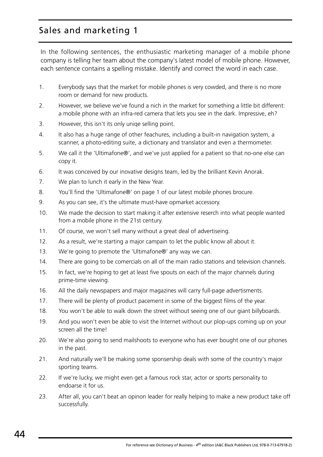# Sales and marketing 1

In the following sentences, the enthusiastic marketing manager of a mobile phone company is telling her team about the company's latest model of mobile phone. However, each sentence contains a spelling mistake. Identify and correct the word in each case.

- 1. Everybody says that the market for mobile phones is very cowded, and there is no more room or demand for new products.
- 2. However, we believe we've found a nich in the market for something a little bit different: a mobile phone with an infra-red camera that lets you see in the dark. Impressive, eh?
- 3. However, this isn't its only uniqe selling point.
- 4. It also has a huge range of other feachures, including a built-in navigation system, a scanner, a photo-editing suite, a dictionary and translator and even a thermometer.
- 5. We call it the 'Ultimafone®', and we've just applied for a patient so that no-one else can copy it.
- 6. It was conceived by our inovative designs team, led by the brilliant Kevin Anorak.
- 7. We plan to lunch it early in the New Year.
- 8. You'll find the 'Ultimafone®' on page 1 of our latest mobile phones brocure.
- 9. As you can see, it's the ultimate must-have opmarket accessory.
- 10. We made the decision to start making it after extensive reserch into what people wanted from a mobile phone in the 21st century.
- 11. Of course, we won't sell many without a great deal of advertiseing.
- 12. As a result, we're starting a major campain to let the public know all about it.
- 13. We're going to premote the 'Ultimafone®' any way we can.
- 14. There are going to be comercials on all of the main radio stations and television channels.
- 15. In fact, we're hoping to get at least five spouts on each of the major channels during prime-time viewing.
- 16. All the daily newspapers and major magazines will carry full-page advertisments.
- 17. There will be plenty of product pacement in some of the biggest films of the year.
- 18. You won't be able to walk down the street without seeing one of our giant billyboards.
- 19. And you won't even be able to visit the Internet without our plop-ups coming up on your screen all the time!
- 20. We're also going to send mailshoots to everyone who has ever bought one of our phones in the past.
- 21. And naturally we'll be making some sponsership deals with some of the country's major sporting teams.
- 22. If we're lucky, we might even get a famous rock star, actor or sports personality to endoarse it for us.
- 23. After all, you can't beat an opinon leader for really helping to make a new product take off successfully.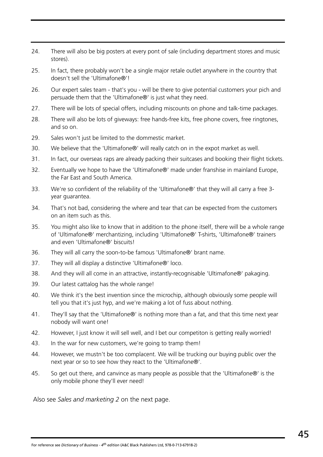- 24. There will also be big posters at every pont of sale (including department stores and music stores).
- 25. In fact, there probably won't be a single major retale outlet anywhere in the country that doesn't sell the 'Ultimafone®'!
- 26. Our expert sales team that's you will be there to give potential customers your pich and persuade them that the 'Ultimafone®' is just what they need.
- 27. There will be lots of special offers, including miscounts on phone and talk-time packages.
- 28. There will also be lots of giveways: free hands-free kits, free phone covers, free ringtones, and so on.
- 29. Sales won't just be limited to the dommestic market.
- 30. We believe that the 'Ultimafone®' will really catch on in the expot market as well.
- 31. In fact, our overseas raps are already packing their suitcases and booking their flight tickets.
- 32. Eventually we hope to have the 'Ultimafone®' made under franshise in mainland Europe, the Far East and South America.
- 33. We're so confident of the reliability of the 'Ultimafone®' that they will all carry a free 3 year guarantea.
- 34. That's not bad, considering the where and tear that can be expected from the customers on an item such as this.
- 35. You might also like to know that in addition to the phone itself, there will be a whole range of 'Ultimafone®' merchantizing, including 'Ultimafone®' T-shirts, 'Ultimafone®' trainers and even 'Ultimafone®' biscuits!
- 36. They will all carry the soon-to-be famous 'Ultimafone®' brant name.
- 37. They will all display a distinctive 'Ultimafone®' loco.
- 38. And they will all come in an attractive, instantly-recognisable 'Ultimafone®' pakaging.
- 39. Our latest cattalog has the whole range!
- 40. We think it's the best invention since the microchip, although obviously some people will tell you that it's just hyp, and we're making a lot of fuss about nothing.
- 41. They'll say that the 'Ultimafone®' is nothing more than a fat, and that this time next year nobody will want one!
- 42. However, I just know it will sell well, and I bet our competiton is getting really worried!
- 43. In the war for new customers, we're going to tramp them!
- 44. However, we mustn't be too complacent. We will be trucking our buying public over the next year or so to see how they react to the 'Ultimafone®'.
- 45. So get out there, and canvince as many people as possible that the 'Ultimafone®' is the only mobile phone they'll ever need!

Also see *Sales and marketing 2* on the next page.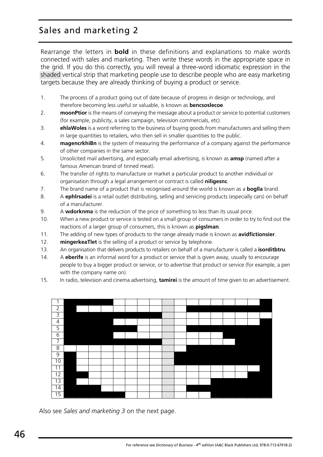# Sales and marketing 2

Rearrange the letters in **bold** in these definitions and explanations to make words connected with sales and marketing. Then write these words in the appropriate space in the grid. If you do this correctly, you will reveal a three-word idiomatic expression in the shaded vertical strip that marketing people use to describe people who are easy marketing shadedtargets because they are already thinking of buying a product or service.

- 1. The process of a product going out of date because of progress in design or technology, and therefore becoming less useful or valuable, is known as **bencsoslecoe**.
- 2. **moonPtior** is the means of conveying the message about a product or service to potential customers (for example, publicity, a sales campaign, television commercials, etc).
- 3. **ehlaWoles** is a word referring to the business of buying goods from manufacturers and selling them in large quantities to retailers, who then sell in smaller quantities to the public.
- 4. **magencrkhiBn** is the system of measuring the performance of a company against the performance of other companies in the same sector.
- 5. Unsolicited mail advertising, and especially email advertising, is known as **amsp** (named after a famous American brand of tinned meat).
- 6. The transfer of rights to manufacture or market a particular product to another individual or organisation through a legal arrangement or contract is called **niligesnc**.
- 7. The brand name of a product that is recognised around the world is known as a **boglla** brand.
- 8. A **ephlrsadei** is a retail outlet distributing, selling and servicing products (especially cars) on behalf of a manufacturer.
- 9. A **wdorknma** is the reduction of the price of something to less than its usual price.
- 10. When a new product or service is tested on a small group of consumers in order to try to find out the reactions of a larger group of consumers, this is known as **pigslman**.
- 11. The adding of new types of products to the range already made is known as **avidfictionsier**.
- 12. **mingerkeaTlet** is the selling of a product or service by telephone.
- 13. An organisation that delivers products to retailers on behalf of a manufacturer is called a **isorditbtru**.
- 14. A **eberife** is an informal word for a product or service that is given away, usually to encourage people to buy a bigger product or service, or to advertise that product or service (for example, a pen with the company name on).
- 15. In radio, television and cinema advertising, **tamirei** is the amount of time given to an advertisement.



Also see *Sales and marketing 3* on the next page.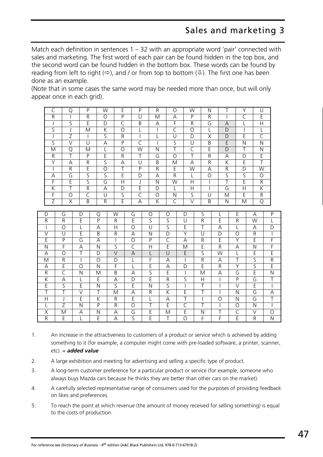# Sales and marketing 3

Match each definition in sentences  $1 - 32$  with an appropriate word 'pair' connected with sales and marketing. The first word of each pair can be found hidden in the top box, and the second word can be found hidden in the bottom box. These words can be found by reading from left to right  $(\Rightarrow)$ , and / or from top to bottom  $(\theta)$ . The first one has been done as an example.

(Note that in some cases the same word may be needed more than once, but will only appear once in each grid).

| C                                         | Q                                         | ${\sf P}$               | W                       | Ε                       | P                       | R                              | O                                | W                       | N                       | Τ                       | Υ                       | U                            |                     |
|-------------------------------------------|-------------------------------------------|-------------------------|-------------------------|-------------------------|-------------------------|--------------------------------|----------------------------------|-------------------------|-------------------------|-------------------------|-------------------------|------------------------------|---------------------|
| $\mathsf R$                               |                                           | $\mathsf R$             | O                       | P                       | U                       | M                              | A                                | P                       | R                       |                         | C                       | Е                            |                     |
|                                           | $\overline{\mathsf{S}}$                   | Έ                       | D                       | $\overline{\mathsf{C}}$ | B                       | Α                              | $\overline{\mathsf{F}}$          | R                       | G                       | Α                       | L                       | Η                            |                     |
| $\overline{\mathsf{S}}$                   | J                                         | M                       | $\overline{\mathsf{K}}$ | $\circ$                 | L                       | I                              | $\overline{\mathsf{C}}$          | O                       | L                       | D                       | L                       | L                            |                     |
| $\mathbf{I}$                              | $\overline{z}$                            |                         | $\overline{\mathsf{S}}$ | $\mathsf R$             |                         | L                              | U                                | D                       | Χ                       | D                       | $\overline{E}$          | $\overline{\mathsf{C}}$      |                     |
| $\overline{\mathsf{S}}$                   | V                                         | $\cup$                  | A                       | $\overline{P}$          | $\overline{\mathsf{C}}$ |                                | $\overline{\varsigma}$           | U                       | B                       | E                       | N                       | N                            |                     |
| M                                         | Q                                         | M                       | L                       | O                       | W                       | N                              | Ŧ                                | $\overline{\mathsf{C}}$ | E                       | D                       | T                       | N                            |                     |
| $\mathsf R$                               | Τ                                         | ${\sf P}$               | E                       | ${\sf R}$               | Τ                       | G                              | O                                | $\overline{\top}$       | R                       | А                       | D                       | E                            |                     |
| Υ                                         | A                                         | ${\sf R}$               | $\overline{\mathsf{S}}$ | Α                       | U                       | B                              | M                                | Α                       | R                       | Κ                       | E                       | T                            |                     |
|                                           | ${\sf R}$                                 | $\overline{E}$          | $\circ$                 | $\overline{\mathsf{T}}$ | $\overline{P}$          | $\overline{R}$                 | E                                | W                       | A                       | R                       | D                       | $\overline{\mathsf{W}}$      |                     |
| A                                         | G                                         | $\overline{\mathsf{S}}$ | $\overline{\mathsf{S}}$ | $\overline{E}$          | D                       | А                              | $\overline{R}$                   | L                       | $\circ$                 | S                       | $\overline{\mathsf{S}}$ | $\bigcirc$                   |                     |
| $\overline{\mathsf{F}}$                   | $\overline{\mathsf{E}}$                   | $\overline{\mathsf{S}}$ | $\overline{\mathsf{G}}$ | $\overline{H}$          | J                       | N                              | $\overline{\mathsf{W}}$          | $\overline{H}$          |                         | T                       | $\overline{\mathsf{E}}$ | $\overline{R}$               |                     |
| K                                         | T                                         | ${\sf R}$               | A                       | D                       | $\overline{\mathsf{E}}$ | D                              | L                                | Η                       |                         | G                       | Η                       | K                            |                     |
| $\overline{F}$                            | $\circ$                                   | $\overline{\mathsf{C}}$ | U                       | $\overline{\mathsf{S}}$ | $\overline{\mathsf{C}}$ | O                              | N                                | $\overline{\mathsf{S}}$ | $\cup$                  | M                       | $\overline{\mathsf{E}}$ | $\overline{R}$               |                     |
| $\overline{z}$                            | $\overline{X}$                            | $\overline{B}$          | $\overline{R}$          | Ē                       | $\overline{\mathsf{A}}$ | $\overline{K}$                 | $\overline{\mathsf{C}}$          | $\overline{\vee}$       | B                       | N                       | M                       | Q                            |                     |
| D                                         | G                                         | D                       | Q                       | W                       | G                       | O                              | O                                | D                       | S                       |                         | E                       | Α                            | $\mathsf{P}$        |
| ${\sf R}$                                 | ${\sf R}$                                 | E                       | $\overline{P}$          | $\mathsf R$             | $\overline{E}$          | S                              | $\mathsf S$                      | U                       | ${\sf R}$               |                         |                         |                              |                     |
|                                           |                                           |                         |                         |                         |                         |                                |                                  |                         |                         |                         |                         |                              |                     |
|                                           |                                           |                         |                         |                         |                         |                                |                                  |                         |                         | Ε                       | ${\sf R}$               | W                            | L                   |
|                                           | $\overline{O}$                            | L                       | $\overline{\mathsf{A}}$ | $\overline{H}$          | $\overline{O}$          | $\overline{\mathsf{U}}$        | $\overline{\mathsf{S}}$          | $\overline{E}$          | T                       | A                       | L                       | A                            | D                   |
| $\overline{\vee}$                         | $\overline{\mathsf{U}}$                   | $\overline{E}$          | $\overline{B}$          | $\overline{R}$          | Α                       | $\overline{\mathsf{N}}$        | $\overline{D}$                   | $\overline{\mathsf{Y}}$ | $\overline{\mathsf{U}}$ | D                       | $\overline{O}$          | $\overline{R}$               |                     |
| $\overline{E}$                            | $\overline{P}$                            | G                       | A                       | $\mathbf{I}$            | $\overline{O}$          | $\overline{P}$                 | C                                | A                       | $\overline{R}$          | E                       | Υ                       | $\overline{E}$               | F                   |
| $\overline{N}$                            | F                                         | A                       | $\overline{N}$          | $\overline{\mathsf{S}}$ | $\overline{\mathsf{C}}$ | $\overline{\overline{H}}$<br>L | $\overline{E}$                   | M                       | $\overline{E}$          | $\overline{R}$          | $\overline{A}$          | N                            | F                   |
| A                                         | $\overline{O}$                            | T                       | D                       | $\overline{\vee}$       | $\overline{A}$<br>L     |                                | $\overline{U}$                   | $\overline{E}$          | $\overline{\mathsf{S}}$ | $\overline{\mathsf{W}}$ | L                       | E                            | E                   |
| M<br>Α                                    | $\overline{R}$<br>$\overline{\mathsf{E}}$ | $\circ$                 | $\overline{O}$<br>N     | D<br>F                  | L                       | F<br>E                         | Α<br>A                           | D                       | $\overline{R}$<br>E     | Α<br>$\overline{R}$     | T<br>Y                  | $\overline{\varsigma}$       | $\overline{R}$      |
|                                           | $\overline{\mathsf{C}}$                   | N                       | M                       | B                       | А                       |                                |                                  | ı                       | M                       |                         | G                       | $\overline{\mathsf{S}}$<br>E | $\overline{E}$<br>N |
| $\overline{\mathsf{R}}$<br>$\overline{K}$ | А                                         | L                       | Ε                       | Α                       | D                       | $\overline{\mathsf{S}}$<br>E   | $\overline{E}$<br>$\overline{R}$ | $\overline{\mathsf{S}}$ | H                       | A                       | $\overline{P}$          | G                            | Τ                   |
| $\overline{E}$                            | $\overline{\mathsf{S}}$                   | $\overline{E}$          | $\overline{N}$          | $\overline{\mathsf{S}}$ | E                       | $\overline{N}$                 | $\overline{S}$                   | I                       | Τ                       |                         | $\overline{\vee}$       | $\overline{\mathsf{E}}$      |                     |
| Τ                                         | T                                         | $\vee$                  | Τ                       | M                       | A                       | $\overline{R}$                 | $\overline{\mathsf{K}}$          | E                       | Τ                       |                         | N                       | $\overline{\mathsf{G}}$      | Α                   |
| Η                                         | $\overline{1}$                            | E                       | $\overline{K}$          | $\overline{R}$          | E                       | L                              | $\overline{\mathsf{A}}$          | Τ                       |                         | O                       | N                       | G                            | Τ                   |
| L                                         | $\overline{z}$                            | N                       | $\overline{P}$          | $\mathsf R$             | O                       | Τ                              | Έ                                | $\overline{\mathsf{C}}$ | Τ                       |                         | $\overline{O}$          | N                            |                     |
| Χ                                         | M                                         | А                       | N                       | А                       | G                       | E                              | M                                | E                       | N                       | Τ                       | C                       | V                            | 0                   |

- 1. An increase in the attractiveness to customers of a product or service which is achieved by adding something to it (for example, a computer might come with pre-loaded software, a printer, scanner, etc). = *added value*
- 2. A large exhibition and meeting for advertising and selling a specific type of product.
- 3. A long-term customer preference for a particular product or service (for example, someone who always buys Mazda cars because he thinks they are better than other cars on the market).
- 4. A carefully selected representative range of consumers used for the purposes of providing feedback on likes and preferences.
- 5. To reach the point at which revenue (the amount of money received for selling something) is equal to the costs of production.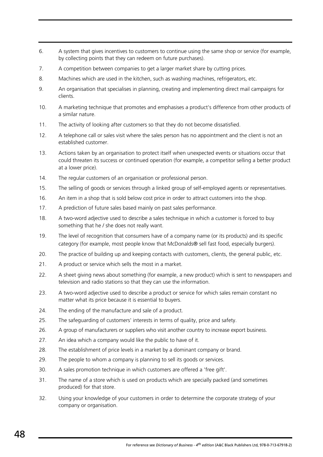- 6. A system that gives incentives to customers to continue using the same shop or service (for example, by collecting points that they can redeem on future purchases).
- 7. A competition between companies to get a larger market share by cutting prices.
- 8. Machines which are used in the kitchen, such as washing machines, refrigerators, etc.
- 9. An organisation that specialises in planning, creating and implementing direct mail campaigns for clients.
- 10. A marketing technique that promotes and emphasises a product's difference from other products of a similar nature.
- 11. The activity of looking after customers so that they do not become dissatisfied.
- 12. A telephone call or sales visit where the sales person has no appointment and the client is not an established customer.
- 13. Actions taken by an organisation to protect itself when unexpected events or situations occur that could threaten its success or continued operation (for example, a competitor selling a better product at a lower price).
- 14. The regular customers of an organisation or professional person.
- 15. The selling of goods or services through a linked group of self-employed agents or representatives.
- 16. An item in a shop that is sold below cost price in order to attract customers into the shop.
- 17. A prediction of future sales based mainly on past sales performance.
- 18. A two-word adjective used to describe a sales technique in which a customer is forced to buy something that he / she does not really want.
- 19. The level of recognition that consumers have of a company name (or its products) and its specific category (for example, most people know that McDonalds® sell fast food, especially burgers).
- 20. The practice of building up and keeping contacts with customers, clients, the general public, etc.
- 21. A product or service which sells the most in a market.
- 22. A sheet giving news about something (for example, a new product) which is sent to newspapers and television and radio stations so that they can use the information.
- 23. A two-word adjective used to describe a product or service for which sales remain constant no matter what its price because it is essential to buyers.
- 24. The ending of the manufacture and sale of a product.
- 25. The safeguarding of customers' interests in terms of quality, price and safety.
- 26. A group of manufacturers or suppliers who visit another country to increase export business.
- 27. An idea which a company would like the public to have of it.
- 28. The establishment of price levels in a market by a dominant company or brand.
- 29. The people to whom a company is planning to sell its goods or services.
- 30. A sales promotion technique in which customers are offered a 'free gift'.
- 31. The name of a store which is used on products which are specially packed (and sometimes produced) for that store.
- 32. Using your knowledge of your customers in order to determine the corporate strategy of your company or organisation.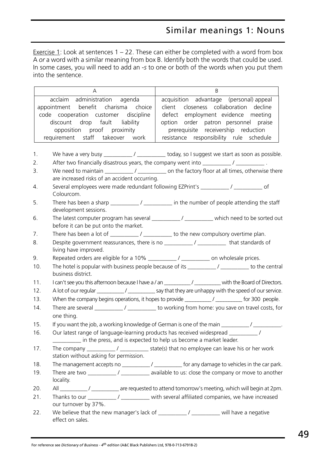## Similar meanings 1: Nouns

Exercise 1: Look at sentences  $1 - 22$ . These can either be completed with a word from box A *or* a word with a similar meaning from box B. Identify both the words that could be used. In some cases, you will need to add an *-s* to one or both of the words when you put them into the sentence.

| A                                                   | B                                                                                                         |  |
|-----------------------------------------------------|-----------------------------------------------------------------------------------------------------------|--|
| acclaim administration agenda                       | acquisition advantage (personal) appeal                                                                   |  |
| appointment benefit charisma<br>choice              | closeness collaboration decline<br>client                                                                 |  |
| code cooperation customer discipline                | defect employment evidence meeting                                                                        |  |
| drop fault liability<br>discount                    | option order patron personnel praise                                                                      |  |
| opposition proof proximity                          | prerequisite receivership reduction                                                                       |  |
| requirement staff takeover work                     | resistance responsibility rule schedule                                                                   |  |
| 1.                                                  | We have a very busy ___________________________________ today, so I suggest we start as soon as possible. |  |
|                                                     |                                                                                                           |  |
| 2.                                                  |                                                                                                           |  |
| 3.<br>are increased risks of an accident occurring. |                                                                                                           |  |
|                                                     |                                                                                                           |  |
| 4.<br>Colourcom.                                    | Several employees were made redundant following EZPrint's _______________________ of                      |  |
| 5.<br>development sessions.                         |                                                                                                           |  |
| 6.                                                  |                                                                                                           |  |
| before it can be put onto the market.               |                                                                                                           |  |
| 7.                                                  | There has been a lot of ______________/ ____________ to the new compulsory overtime plan.                 |  |
| 8.<br>living have improved.                         | Despite government reassurances, there is no ______________________________that standards of              |  |
| 9.                                                  | Repeated orders are eligible for a 10% ________________/ _______________ on wholesale prices.             |  |
| 10.<br>business district.                           | The hotel is popular with business people because of its ________________________ to the central          |  |
| 11.                                                 | I can't see you this afternoon because I have a / an _________/ _________ with the Board of Directors.    |  |
| 12.                                                 |                                                                                                           |  |
| 13.                                                 | When the company begins operations, it hopes to provide _________/ _________ for 300 people.              |  |
| 14.                                                 |                                                                                                           |  |
| one thing.                                          |                                                                                                           |  |
| 15.                                                 | If you want the job, a working knowledge of German is one of the main ________________________.           |  |
| 16.                                                 | Our latest range of language-learning products has received widespread _________/                         |  |
|                                                     | in the press, and is expected to help us become a market leader.                                          |  |
| 17.                                                 |                                                                                                           |  |
| station without asking for permission.              |                                                                                                           |  |
| 18.                                                 | The management accepts no ____________/ ___________ for any damage to vehicles in the car park.           |  |
| 19.                                                 | There are two _____________/ ____________ available to us: close the company or move to another           |  |
| locality.                                           |                                                                                                           |  |
| 20.                                                 | All ______________/ ___________ are requested to attend tomorrow's meeting, which will begin at 2pm.      |  |
| 21.                                                 |                                                                                                           |  |
| our turnover by 37%.                                |                                                                                                           |  |
| 22.<br>effect on sales.                             |                                                                                                           |  |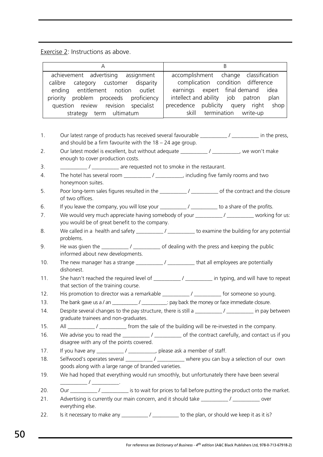Exercise 2: Instructions as above.

| achievement advertising assignment    | accomplishment change classification  |
|---------------------------------------|---------------------------------------|
| calibre category customer disparity   | complication condition difference     |
| ending entitlement notion outlet      | earnings expert final demand idea     |
| priority problem proceeds proficiency | intellect and ability job patron plan |
| question review revision specialist   | precedence publicity query right shop |
| strategy term ultimatum               | skill termination write-up            |

<sup>1.</sup> Our latest range of products has received several favourable the state of the press, and should be a firm favourite with the  $18 - 24$  age group.

2. Our latest model is excellent, but without adequate \_\_\_\_\_\_\_\_\_\_\_\_\_\_\_\_\_\_\_\_\_\_\_\_\_, we won't make enough to cover production costs.

3.  $\frac{1}{2}$  /  $\frac{1}{2}$  are requested not to smoke in the restaurant.

- 4. The hotel has several room  $\frac{1}{2}$  / \_\_\_\_\_\_\_\_\_\_, including five family rooms and two honeymoon suites.
- 5. Poor long-term sales figures resulted in the  $\frac{1}{2}$  / \_\_\_\_\_\_\_\_\_\_\_ of the contract and the closure of two offices.

6. If you leave the company, you will lose your \_\_\_\_\_\_\_\_\_\_\_\_\_\_\_\_\_\_\_\_\_\_\_\_\_ to a share of the profits.

- 7. We would very much appreciate having somebody of your \_\_\_\_\_\_\_\_\_\_\_\_\_\_\_\_\_\_\_\_\_\_\_\_ working for us: you would be of great benefit to the company.
- 8. We called in a health and safety \_\_\_\_\_\_\_\_\_\_\_\_\_\_\_/ \_\_\_\_\_\_\_\_\_\_\_\_ to examine the building for any potential problems.
- 9. He was given the \_\_\_\_\_\_\_\_\_ / \_\_\_\_\_\_\_\_\_ of dealing with the press and keeping the public informed about new developments.
- 10. The new manager has a strange \_\_\_\_\_\_\_\_\_\_\_\_\_\_\_\_\_/ \_\_\_\_\_\_\_\_\_\_\_\_\_\_that all employees are potentially dishonest.
- 11. She hasn't reached the required level of \_\_\_\_\_\_\_\_\_\_\_\_\_\_\_\_\_\_\_\_\_\_\_\_\_\_\_ in typing, and will have to repeat that section of the training course.

12. His promotion to director was a remarkable \_\_\_\_\_\_\_\_\_\_\_\_\_\_\_\_\_\_\_\_\_\_\_\_\_\_\_ for someone so young.

- 13. The bank gave us a / an \_\_\_\_\_\_\_\_\_\_\_\_\_\_\_\_\_\_\_\_\_\_\_\_\_\_: pay back the money or face immediate closure.
- 14. Despite several changes to the pay structure, there is still a \_\_\_\_\_\_\_\_\_\_\_\_\_ / \_\_\_\_\_\_\_\_\_\_\_ in pay between graduate trainees and non-graduates.

15. All \_\_\_\_\_\_\_\_\_\_\_\_\_\_ / \_\_\_\_\_\_\_\_\_\_\_\_ from the sale of the building will be re-invested in the company.

- 16. We advise you to read the \_\_\_\_\_\_\_\_\_\_ / \_\_\_\_\_\_\_\_\_\_ of the contract carefully, and contact us if you disagree with any of the points covered.
- 17. If you have any \_\_\_\_\_\_\_\_\_\_ / \_\_\_\_\_\_\_\_\_\_, please ask a member of staff.
- 18. Selfwood's operates several \_\_\_\_\_\_\_\_\_\_ / \_\_\_\_\_\_\_\_\_\_ where you can buy a selection of our own goods along with a large range of branded varieties.
- 19. We had hoped that everything would run smoothly, but unfortunately there have been several  $\overline{\phantom{a}}$  /  $\overline{\phantom{a}}$  .
- 20. Our  $\frac{1}{2}$  /  $\frac{1}{2}$  is to wait for prices to fall before putting the product onto the market.
- 21. Advertising is currently our main concern, and it should take and the state over everything else.
- 22. Is it necessary to make any \_\_\_\_\_\_\_\_\_\_\_\_\_\_\_\_\_\_\_\_\_\_\_\_\_\_ to the plan, or should we keep it as it is?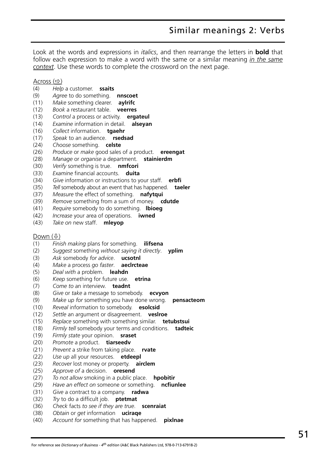## Similar meanings 2: Verbs

Look at the words and expressions in *italics*, and then rearrange the letters in **bold** that follow each expression to make a word with the same or a similar meaning *in the same context*. Use these words to complete the crossword on the next page.

Across  $(\Rightarrow)$ 

- (4) *Help* a customer. **ssaits**
- (9) *Agree* to do something. **nnscoet**
- (11) *Make* something clearer. **aylrifc**
- (12) *Book* a restaurant table. **veerres**
- (13) *Control* a process or activity. **ergateul**
- (14) *Examine* information in detail. **alseyan**
- (16) *Collect* information. **tgaehr**
- (17) *Speak* to an audience. **rsedsad**
- (24) *Choose* something. **celste**
- (26) *Produce* or *make* good sales of a product. **ereengat**
- (28) *Manage* or *organise* a department. **stainierdm**
- (30) *Verify* something is true. **nmfcori**
- (33) *Examine* financial accounts. **duita**
- (34) *Give* information or instructions to your staff. **erbfi**
- (35) *Tell* somebody about an event that has happened. **taeler**
- (37) *Measure* the effect of something. **nafytqui**
- (39) *Remove* something from a sum of money. **cdutde**
- (41) *Require* somebody to do something. **lbioeg**
- (42) *Increase* your area of operations. **iwned**
- (43) *Take on* new staff. **mleyop**

#### Down  $(\sqrt{\psi})$

- (1) *Finish making* plans for something. **ilifsena**
- (2) *Suggest* something *without saying it directly*. **yplim**
- (3) *Ask* somebody *for advice*. **ucsotnl**
- (4) *Make* a process *go faster*. **aeclrcteae**
- (5) *Deal with* a problem. **leahdn**
- (6) *Keep* something for future use. **etrina**
- (7) *Come to* an interview. **teadnt**
- (8) *Give* or *take* a message to somebody. **ecvyon**
- (9) *Make up for* something you have done wrong. **pensacteom**
- (10) *Reveal* information to somebody. **esolcsid**
- (12) *Settle* an argument or disagreement. **veslroe**
- (15) *Replace* something with something similar. **tetubstsui**
- (18) *Firmly tell* somebody your terms and conditions. **tadteic**
- (19) *Firmly state* your opinion. **sraset**
- (20) *Promote* a product. **tiarseedv**
- (21) *Prevent* a strike from taking place. **rvate**
- (22) *Use up* all your resources. **etdeepl**
- (23) *Recover* lost money or property. **airclem**
- (25) *Approve of* a decision. **oresend**
- (27) *To not allow* smoking in a public place. **hpobitir**
- (29) *Have an effect on* someone or something. **ncfiunlee**
- (31) *Give* a contract to a company. **radwa**
- (32) *Try* to do a difficult job. **ptetmat**
- (36) *Check* facts *to see if they are true*. **scenraiat**
- (38) *Obtain* or *get* information **uciraqe**
- (40) *Account for* something that has happened. **pixlnae**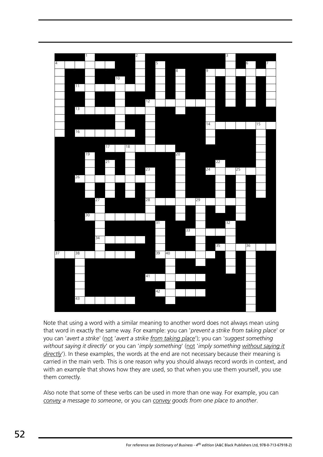

Note that using a word with a similar meaning to another word does not always mean using that word in exactly the same way. For example: you can '*prevent a strike from taking place*' or you can '*avert a strike*' (not '*avert a strike from taking place*'); you can '*suggest something without saying it directly*' or you can '*imply something*' (not '*imply something without saying it directly*'). In these examples, the words at the end are not necessary because their meaning is carried in the main verb. This is one reason why you should always record words in context, and with an example that shows how they are used, so that when you use them yourself, you use them correctly.

Also note that some of these verbs can be used in more than one way. For example, you can *convey a message to someone*, or you can *convey goods from one place to another*.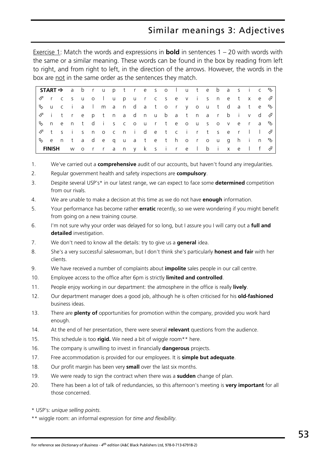# Similar meanings 3: Adjectives

Exercise 1: Match the words and expressions in **bold** in sentences 1 – 20 with words with the same or a similar meaning. These words can be found in the box by reading from left to right, and from right to left, in the direction of the arrows. However, the words in the box are not in the same order as the sentences they match.

| $\vert$ START $\Rightarrow$ abruptres olutebasic $\mathbb R$                                                                                                                                  |  |  |  |  |  |  |  |  |  |  |  |
|-----------------------------------------------------------------------------------------------------------------------------------------------------------------------------------------------|--|--|--|--|--|--|--|--|--|--|--|
| $ \mathscr{F} $ rcsuolupurcsevisnetxe $\mathscr{F}$                                                                                                                                           |  |  |  |  |  |  |  |  |  |  |  |
| $ \mathbb{b}$ ucial mandatory out date $\mathbb{b}$                                                                                                                                           |  |  |  |  |  |  |  |  |  |  |  |
| $ \mathscr{F} $ it rept nadnubat narbiv d $\not\hspace{-.15cm}\not\hspace{-.15cm}\not\hspace{-.15cm}\not\hspace{-.15cm}\not\hspace{-.15cm}\not\hspace{-.15cm}\not\hspace{-.15cm}\, \,\varphi$ |  |  |  |  |  |  |  |  |  |  |  |
| $ \mathbb{b}\rangle$ nent discourteous over a $\mathbb{b}\rangle$                                                                                                                             |  |  |  |  |  |  |  |  |  |  |  |
| $ \mathcal{F} $ ts is no cnidet cirtser II $ \mathcal{F} $                                                                                                                                    |  |  |  |  |  |  |  |  |  |  |  |
| $ \mathbb{b}\rangle$ entadequatethorough in $\mathbb{b}\rangle$                                                                                                                               |  |  |  |  |  |  |  |  |  |  |  |
| <b>FINISH</b> worranyksirelbixelf∛                                                                                                                                                            |  |  |  |  |  |  |  |  |  |  |  |

- 1. We've carried out a **comprehensive** audit of our accounts, but haven't found any irregularities.
- 2. Regular government health and safety inspections are **compulsory**.
- 3. Despite several USP's\* in our latest range, we can expect to face some **determined** competition from our rivals.
- 4. We are unable to make a decision at this time as we do not have **enough** information.
- 5. Your performance has become rather **erratic** recently, so we were wondering if you might benefit from going on a new training course.
- 6. I'm not sure why your order was delayed for so long, but I assure you I will carry out a **full and detailed** investigation.
- 7. We don't need to know all the details: try to give us a **general** idea.
- 8. She's a very successful saleswoman, but I don't think she's particularly **honest and fair** with her clients.
- 9. We have received a number of complaints about **impolite** sales people in our call centre.
- 10. Employee access to the office after 6pm is strictly **limited and controlled**.
- 11. People enjoy working in our department: the atmosphere in the office is really **lively**.
- 12. Our department manager does a good job, although he is often criticised for his **old-fashioned** business ideas.
- 13. There are **plenty of** opportunities for promotion within the company, provided you work hard enough.
- 14. At the end of her presentation, there were several **relevant** questions from the audience.
- 15. This schedule is too **rigid.** We need a bit of wiggle room\*\* here.
- 16. The company is unwilling to invest in financially **dangerous** projects.
- 17. Free accommodation is provided for our employees. It is **simple but adequate**.
- 18. Our profit margin has been very **small** over the last six months.
- 19. We were ready to sign the contract when there was a **sudden** change of plan.
- 20. There has been a lot of talk of redundancies, so this afternoon's meeting is **very important** for all those concerned.
- \* USP's: *unique selling points*.
- \*\* wiggle room: an informal expression for *time and flexibility*.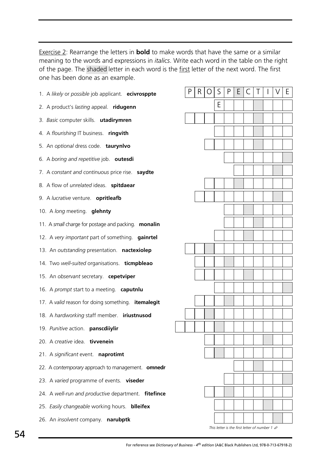Exercise 2: Rearrange the letters in **bold** to make words that have the same or a similar meaning to the words and expressions in *italics*. Write each word in the table on the right of the page. The shaded letter in each word is the first letter of the next word. The first one has been done as an example.

1. A *likely* or *possible* job applicant. **ecivrosppte** 2. A product's *lasting* appeal. **ridugenn** 3. *Basic* computer skills. **utadirymren** 4. A *flourishing* IT business. **ringvith** 5. An *optional* dress code. **taurynlvo** 6. A *boring and repetitive* job. **outesdi** 7. A *constant and continuous* price rise. **saydte** 8. A flow of *unrelated* ideas. **spitdaear** 9. A *lucrative* venture. **opritleafb** 10. A *long* meeting. **glehnty** 11. A *small* charge for postage and packing. **monalin** 12. A *very important* part of something. **gainrtel** 13. An *outstanding* presentation. **nactexiolep** 14. Two *well-suited* organisations. **ticmpbleao** 15. An *observant* secretary. **cepetviper** 16. A *prompt* start to a meeting. **caputnlu** 17. A *valid* reason for doing something. **itemalegit** 18. A *hardworking* staff member. **iriustnusod** 19. *Punitive* action. **panscdiiylir** 20. A *creative* idea. **tivvenein** 21. A *significant* event. **naprotimt** 22. A *contemporary* approach to management. **omnedr** 23. A *varied* programme of events. **viseder** 24. A *well-run and productive* department. **fitefince** 25. *Easily changeable* working hours. **blleifex** 26. An *insolvent* company. **narubptk** P | R | O | S | P | E | C | T | I | V | E E *This letter is the first letter of number 1* ®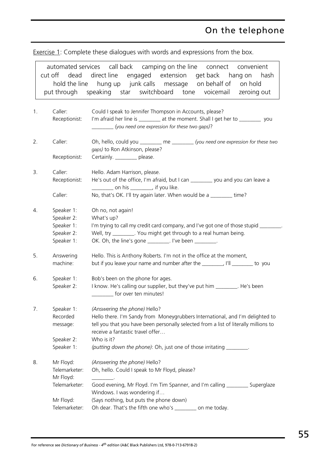### On the telephone

Exercise 1: Complete these dialogues with words and expressions from the box.

1. Caller: Could I speak to Jennifer Thompson in Accounts, please? Receptionist: I'm afraid her line is \_\_\_\_\_\_\_ at the moment. Shall I get her to \_\_\_\_\_\_\_ you \_\_\_\_\_\_\_\_ *(you need one expression for these two gaps)*? 2. Caller: Oh, hello, could you \_\_\_\_\_\_\_\_ me \_\_\_\_\_\_\_\_ *(you need one expression for these two gaps)* to Ron Atkinson, please? Receptionist: Certainly. \_\_\_\_\_\_\_ please. 3. Caller: Hello. Adam Harrison, please. Receptionist: He's out of the office, I'm afraid, but I can \_\_\_\_\_\_\_\_ you and you can leave a on his extending the on his the set of the set of the set of the set of the set of the set of the set of the s Caller: No, that's OK. I'll try again later. When would be a \_\_\_\_\_\_\_ time? 4. Speaker 1: Oh no, not again! Speaker 2: What's up? Speaker 1: I'm trying to call my credit card company, and I've got one of those stupid Speaker 2: Well, try Speaker 2: Well, try the Speaker 2: Well, try the Speaker 2: Speaker 1: OK. Oh, the line's gone The live been 5. Answering Hello. This is Anthony Roberts. I'm not in the office at the moment, machine: but if you leave your name and number after the \_\_\_\_\_\_\_\_, I'll \_\_\_\_\_\_\_\_ to you 6. Speaker 1: Bob's been on the phone for ages. Speaker 2: I know. He's calling our supplier, but they've put him \_\_\_\_\_\_\_\_. He's been \_\_\_\_\_\_\_\_ for over ten minutes! 7. Speaker 1: *(Answering the phone)* Hello? Recorded Hello there. I'm Sandy from Moneygrubbers International, and I'm delighted to message: tell you that you have been personally selected from a list of literally millions to receive a fantastic travel offer… Speaker 2: Who is it? Speaker 1: *(putting down the phone)*: Oh, just one of those irritating \_\_\_\_\_\_\_\_. 8. Mr Floyd: *(Answering the phone)* Hello? Telemarketer: Oh, hello. Could I speak to Mr Floyd, please? Mr Floyd: Telemarketer: Good evening, Mr Floyd. I'm Tim Spanner, and I'm calling \_\_\_\_\_\_\_\_ Superglaze Windows. I was wondering if… Mr Floyd: (Says nothing, but puts the phone down) Telemarketer: Oh dear. That's the fifth one who's on me today. automated services call back camping on the line connect convenient cut off dead direct line engaged extension get back hang on hash hold the line hung up junk calls message on behalf of on hold put through speaking star switchboard tone voicemail zeroing out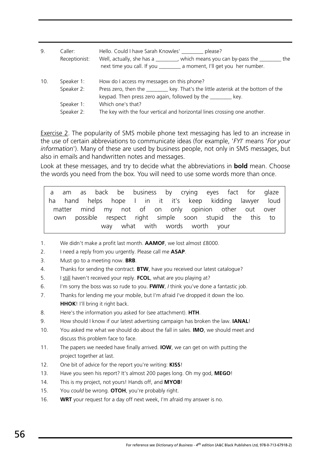| 9.  | Caller:<br>Receptionist: | Hello. Could I have Sarah Knowles' please?<br>Well, actually, she has a ________, which means you can by-pass the ________ the<br>next time you call. If you __________ a moment, I'll get you her number. |
|-----|--------------------------|------------------------------------------------------------------------------------------------------------------------------------------------------------------------------------------------------------|
| 10. | Speaker 1:               | How do I access my messages on this phone?                                                                                                                                                                 |
|     | Speaker 2:               | Press zero, then the __________ key. That's the little asterisk at the bottom of the                                                                                                                       |
|     |                          | keypad. Then press zero again, followed by the ________ key.                                                                                                                                               |
|     | Speaker 1:               | Which one's that?                                                                                                                                                                                          |
|     | Speaker 2:               | The key with the four vertical and horizontal lines crossing one another.                                                                                                                                  |

Exercise 2. The popularity of SMS mobile phone text messaging has led to an increase in the use of certain abbreviations to communicate ideas (for example, '*FYI*' means '*For your information*'). Many of these are used by business people, not only in SMS messages, but also in emails and handwritten notes and messages.

Look at these messages, and try to decide what the abbreviations in **bold** mean. Choose the words you need from the box. You will need to use some words more than once.

a am as back be business by crying eyes fact for glaze ha hand helps hope I in it it's keep kidding lawyer loud matter mind my not of on only opinion other out over own possible respect right simple soon stupid the this to way what with words worth your

- 1. We didn't make a profit last month. **AAMOF**, we lost almost £8000.
- 2. I need a reply from you urgently. Please call me **ASAP**.
- 3. Must go to a meeting now. **BRB**.
- 4. Thanks for sending the contract. **BTW**, have you received our latest catalogue?
- 5. I still haven't received your reply. **FCOL**, what are you playing at?
- 6. I'm sorry the boss was so rude to you. **FWIW**, *I* think you've done a fantastic job.
- 7. Thanks for lending me your mobile, but I'm afraid I've dropped it down the loo. **HHOK**! I'll bring it right back.
- 8. Here's the information you asked for (see attachment). **HTH**.
- 9. How should I know if our latest advertising campaign has broken the law. **IANAL**!
- 10. You asked me what we should do about the fall in sales. **IMO**, we should meet and discuss this problem face to face.
- 11. The papers we needed have finally arrived. **IOW**, we can get on with putting the project together at last.
- 12. One bit of advice for the report you're writing: **KISS**!
- 13. Have you seen his report? It's almost 200 pages long. Oh my god, **MEGO**!
- 14. This is my project, not yours! Hands off, and **MYOB**!
- 15. You *could* be wrong. **OTOH**, you're probably right.
- 16. **WRT** your request for a day off next week, I'm afraid my answer is no.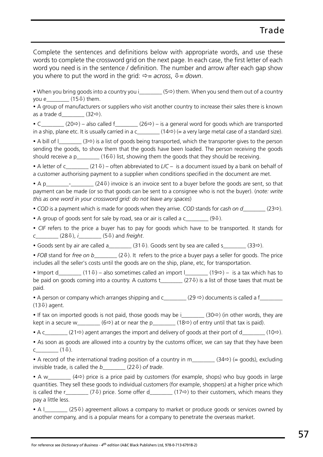### Trade

Complete the sentences and definitions below with appropriate words, and use these words to complete the crossword grid on the next page. In each case, the first letter of each word you need is in the sentence / definition. The number and arrow after each gap show you where to put the word in the grid:  $\Rightarrow$  = *across*,  $\theta$  = *down*.

• When you bring goods into a country you i\_\_\_\_\_\_\_\_ (5 $\Rightarrow$ ) them. When you send them out of a country you e  $(15\text{ }0)$  them.

• A group of manufacturers or suppliers who visit another country to increase their sales there is known as a trade d  $(32\Rightarrow)$ .

• C\_\_\_\_\_\_\_\_  $(20\Rightarrow)$  – also called f\_\_\_\_\_\_\_  $(26\Rightarrow)$  – is a general word for goods which are transported in a ship, plane etc. It is usually carried in a c\_\_\_\_\_\_\_\_  $(14\Rightarrow)$  (= a very large metal case of a standard size).

• A bill of l  $(3\Rightarrow)$  is a list of goods being transported, which the transporter gives to the person sending the goods, to show them that the goods have been loaded. The person receiving the goods should receive a p\_\_\_\_\_\_\_ (16 $\overline{\psi}$ ) list, showing them the goods that they should be receiving.

• A letter of c\_\_\_\_\_\_\_\_ (21 $\overline{\psi}$ ) – often abbreviated to *L/C* – is a document issued by a bank on behalf of a customer authorising payment to a supplier when conditions specified in the document are met.

• A p  $\longrightarrow$   $(24\sqrt{3})$  invoice is an invoice sent to a buyer before the goods are sent, so that payment can be made (or so that goods can be sent to a consignee who is not the buyer). (*note: write this as one word in your crossword grid: do not leave any spaces*)

• *COD* is a payment which is made for goods when they arrive. *COD* stands for *cash on d\_\_\_\_\_\_\_* (23⇔).

• A group of goods sent for sale by road, sea or air is called a c\_\_\_\_\_\_\_\_ (9 $\theta$ ).

• *CIF* refers to the price a buyer has to pay for goods which have to be transported. It stands for *c*\_\_\_\_\_\_\_\_ (28Ø), *i*\_\_\_\_\_\_\_\_ (5Ø) and *freight*.

• Goods sent by air are called a\_\_\_\_\_\_\_\_ (31 $\theta$ ). Goods sent by sea are called s\_\_\_\_\_\_\_ (33 $\Rightarrow$ ).

• *FOB* stand for *free on b* (2 $\theta$ ). It refers to the price a buyer pays a seller for goods. The price includes all the seller's costs until the goods are on the ship, plane, etc, for transportation.

• Import d\_\_\_\_\_\_\_ (11 $\overline{\psi}$ ) – also sometimes called an import l\_\_\_\_\_\_ (19 $\Rightarrow$ ) – is a tax which has to be paid on goods coming into a country. A customs t\_\_\_\_\_\_\_  $(27\theta)$  is a list of those taxes that must be paid.

• A person or company which arranges shipping and  $c_$   $(29 \Leftrightarrow)$  documents is called a f (13Ø) agent.

• If tax on imported goods is not paid, those goods may be i  $(30\Rightarrow)$  (in other words, they are kept in a secure w\_\_\_\_\_\_\_\_ (6 $\Rightarrow$ ) at or near the p\_\_\_\_\_\_\_\_ (18 $\Rightarrow$ ) of entry until that tax is paid).

• A c\_\_\_\_\_\_\_\_ (21 $\Leftrightarrow$ ) agent arranges the import and delivery of goods at their port of d\_\_\_\_\_\_\_\_ (10 $\Leftrightarrow$ ).

• As soon as goods are allowed into a country by the customs officer, we can say that they have been c  $(1 \, \theta)$ .

• A record of the international trading position of a country in m\_\_\_\_\_\_\_\_ (34 $\Leftrightarrow$ ) (= goods), excluding invisible trade, is called the *b*\_\_\_\_\_\_\_\_ (22Ø) *of trade*.

• A w  $(4\Rightarrow)$  price is a price paid by customers (for example, shops) who buy goods in large quantities. They sell these goods to individual customers (for example, shoppers) at a higher price which is called the r\_\_\_\_\_\_\_ (7 $\overline{\psi}$ ) price. Some offer d\_\_\_\_\_\_\_ (17 $\Rightarrow$ ) to their customers, which means they pay a little less.

• A l  $(25\sqrt[4]{})$  agreement allows a company to market or produce goods or services owned by another company, and is a popular means for a company to penetrate the overseas market.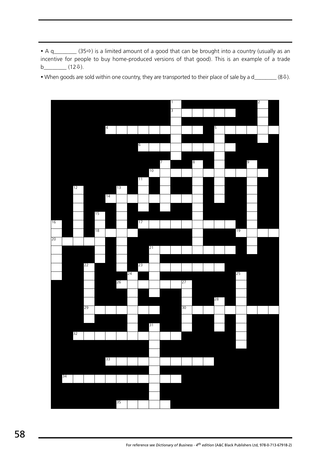• A q\_\_\_\_\_\_\_\_ (35⇔) is a limited amount of a good that can be brought into a country (usually as an incentive for people to buy home-produced versions of that good). This is an example of a trade  $b$  (12 $\downarrow$ ).

• When goods are sold within one country, they are transported to their place of sale by a d\_\_\_\_\_\_\_\_ (8 $\theta$ ).

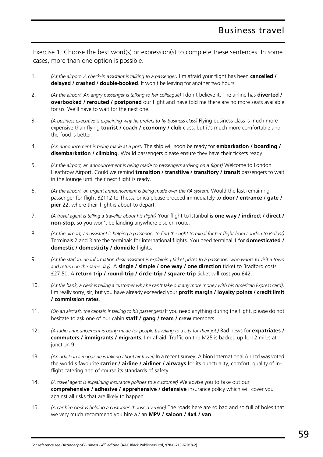Exercise 1: Choose the best word(s) or expression(s) to complete these sentences. In some cases, more than one option is possible.

- 1. *(At the airport. A check-in assistant is talking to a passenger)* I'm afraid your flight has been **cancelled /**  delayed / crashed / double-booked. It won't be leaving for another two hours.
- 2. *(At the airport. An angry passenger is talking to her colleague)* I don't believe it. The airline has **diverted / overbooked / rerouted / postponed** our flight and have told me there are no more seats available for us. We'll have to wait for the next one.
- 3. *(A business executive is explaining why he prefers to fly business class)* Flying business class is much more expensive than flying **tourist / coach / economy / club** class, but it's much more comfortable and the food is better.
- 4. *(An announcement is being made at a port)* The ship will soon be ready for **embarkation / boarding / disembarkation / climbing**. Would passengers please ensure they have their tickets ready.
- 5. *(At the airport, an announcement is being made to passengers arriving on a flight)* Welcome to London Heathrow Airport. Could we remind **transition / transitive / transitory / transit** passengers to wait in the lounge until their next flight is ready.
- 6. *(At the airport, an urgent announcement is being made over the PA system)* Would the last remaining passenger for flight BZ112 to Thessalonica please proceed immediately to **door / entrance / gate / pier** 22, where their flight is about to depart.
- 7. *(A travel agent is telling a traveller about his flight)* Your flight to Istanbul is **one way / indirect / direct / non-stop**, so you won't be landing anywhere else en route.
- 8. *(At the airport, an assistant is helping a passenger to find the right terminal for her flight from London to Belfast)* Terminals 2 and 3 are the terminals for international flights. You need terminal 1 for **domesticated / domestic / domesticity / domicile** flights.
- 9. *(At the station, an information desk assistant is explaining ticket prices to a passenger who wants to visit a town and return on the same day)*. A **single / simple / one way / one direction** ticket to Bradford costs £27.50. A **return trip / round-trip / circle-trip / square-trip** ticket will cost you £42.
- 10. *(At the bank, a clerk is telling a customer why he can't take out any more money with his American Express card)*. I'm really sorry, sir, but you have already exceeded your **profit margin / loyalty points / credit limit / commission rates**.
- 11. *(On an aircraft, the captain is talking to his passengers)* If you need anything during the flight, please do not hesitate to ask one of our cabin **staff / gang / team / crew** members.
- 12. *(A radio announcement is being made for people travelling to a city for their job)* Bad news for **expatriates / commuters / immigrants / migrants**, I'm afraid. Traffic on the M25 is backed up for12 miles at junction 9.
- 13. *(An article in a magazine is talking about air travel)* In a recent survey, Albion International Air Ltd was voted the world's favourite **carrier / airline / airliner / airways** for its punctuality, comfort, quality of inflight catering and of course its standards of safety.
- 14. *(A travel agent is explaining insurance policies to a customer)* We advise you to take out our **comprehensive / adhesive / apprehensive / defensive** insurance policy which will cover you against all risks that are likely to happen.
- 15. *(A car hire clerk is helping a customer choose a vehicle)* The roads here are so bad and so full of holes that we very much recommend you hire a / an **MPV / saloon / 4x4 / van**.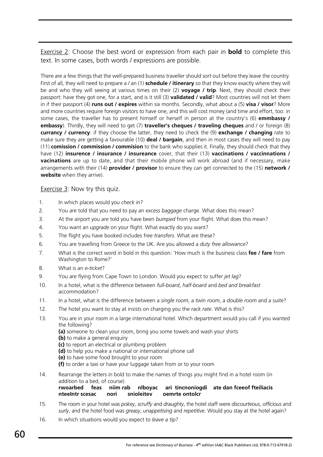Exercise 2: Choose the best word or expression from each pair in **bold** to complete this text. In some cases, both words / expressions are possible.

There are a few things that the well-prepared business traveller should sort out before they leave the country. First of all, they will need to prepare a / an (1) **schedule / itinerary** so that they know exactly where they will be and who they will seeing at various times on their (2) **voyage / trip**. Next, they should check their passport: have they got one, for a start, and is it still (3) **validated / valid**? Most countries will not let them in if their passport (4) **runs out / expires** within six months. Secondly, what about a (5) **visa / visor**? More and more countries require foreign visitors to have one, and this will cost money (and time and effort, too: in some cases, the traveller has to present himself or herself in person at the country's (6) **emmbassy / embassy**). Thirdly, they will need to get (7) **traveller's cheques / traveling cheques** and / or foreign (8) **currancy / currency**: if they choose the latter, they need to check the (9) **exchange / changing** rate to make sure they are getting a favourable (10) **deal / bargain**, and then in most cases they will need to pay (11) **comission / commission / commision** to the bank who supplies it. Finally, they should check that they have (12) **insurence / insurance / insureance** cover, that their (13) **vaccinations / vaccinnations / vacinations** are up to date, and that their mobile phone will work abroad (and if necessary, make arrangements with their (14) **provider / provisor** to ensure they can get connected to the (15) **network / website** when they arrive).

#### Exercise 3: Now try this quiz.

- 1. In which places would you *check in*?
- 2. You are told that you need to pay an *excess baggage* charge. What does this mean?
- 3. At the airport you are told you have been *bumped* from your flight. What does this mean?
- 4. You want an *upgrade* on your flight. What exactly do you want?
- 5. The flight you have booked includes free *transfers*. What are these?
- 6. You are travelling from Greece to the UK. Are you allowed a *duty free allowance*?
- 7. What is the correct word in bold in this question: 'How much is the business class **fee / fare** from Washington to Rome?'
- 8. What is an *e-ticket*?
- 9. You are flying from Cape Town to London. Would you expect to suffer *jet lag*?
- 10. In a hotel, what is the difference between *full-board*, *half-board* and *bed and breakfast* accommodation?
- 11. In a hotel, what is the difference between a *single room*, a *twin room*, a *double room* and a *suite*?
- 12. The hotel you want to stay at insists on charging you the *rack rate*. What is this?
- 13. You are in your room in a large international hotel. Which department would you call if you wanted the following?
	- **(a)** someone to clean your room, bring you some towels and wash your shirts
	- **(b)** to make a general enquiry
	- **(c)** to report an electrical or plumbing problem
	- **(d)** to help you make a national or international phone call
	- **(e)** to have some food brought to your room
	- **(f)** to order a taxi or have your luggage taken from or to your room
- 14. Rearrange the letters in bold to make the names of things you might find in a hotel room (in addition to a bed, of course).

### **rwoarbed feas niim rab nlboyac ari tincnoniogdi ate dan fceeof fteiliacis nteeIntr scesac nori snioleitev oemrte ontolcr**

- 15. The room in your hotel was *pokey*, *scruffy* and *draughty*, the hotel staff were *discourteous*, *officious* and *surly*, and the hotel food was *greasy*, *unappetising* and *repetitive*. Would you stay at the hotel again?
- 16. In which situations would you expect to *leave a tip*?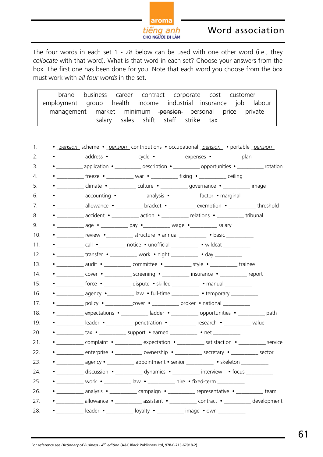

### Word association

The four words in each set 1 - 28 below can be used with one other word (i.e., they *collocate* with that word). What is that word in each set? Choose your answers from the box. The first one has been done for you. Note that each word you choose from the box must work with *all four words* in the set.

brand business career contract corporate cost customer employment group health income industrial insurance job labour management market minimum <del>pension</del> personal price private salary sales shift staff strike tax

| 1.  |  |                                                                                  | • pension scheme • pension contributions • occupational pension • portable pension                    |  |
|-----|--|----------------------------------------------------------------------------------|-------------------------------------------------------------------------------------------------------|--|
| 2.  |  |                                                                                  | • ____________ address • _____________ cycle • _____________ expenses • ____________ plan             |  |
| 3.  |  |                                                                                  | • ___________ application • __________ description • __________ opportunities • _________ rotation    |  |
| 4.  |  |                                                                                  | • ___________ freeze • ____________ war • ____________ fixing • ___________ ceiling                   |  |
| 5.  |  |                                                                                  | • ___________ climate • __________ culture • ___________ governance • __________ image                |  |
| 6.  |  |                                                                                  |                                                                                                       |  |
| 7.  |  |                                                                                  | • _____________ allowance • ______________ bracket • ____________ exemption • ____________ threshold  |  |
| 8.  |  |                                                                                  | • ____________ accident • ____________ action • _____________ relations • ___________ tribunal        |  |
| 9.  |  | • ____________ age • _____________ pay • _____________ wage • ___________ salary |                                                                                                       |  |
| 10. |  |                                                                                  | • ___________ review • ___________ structure • annual ___________ • basic ___________                 |  |
| 11. |  |                                                                                  | • ___________ call •___________ notice • unofficial ___________ • wildcat __________                  |  |
| 12. |  |                                                                                  | • $\longrightarrow$ transfer • work • night $\longrightarrow$ day $\longrightarrow$ day               |  |
| 13. |  |                                                                                  | • ___________ audit • ___________ committee • ___________ style • ___________ trainee                 |  |
| 14. |  |                                                                                  | • ___________ cover • ____________ screening • ___________ insurance • ___________ report             |  |
| 15. |  |                                                                                  | • ___________ force • ___________ dispute • skilled ___________ • manual _________                    |  |
| 16. |  |                                                                                  |                                                                                                       |  |
| 17. |  |                                                                                  | • ____________ policy • ____________cover • _____________ broker • national ___________               |  |
| 18. |  |                                                                                  | • ____________ expectations • ____________ ladder • ___________ opportunities • ___________ path      |  |
| 19. |  |                                                                                  | • ____________ leader • ____________ penetration • ___________ research • ____________ value          |  |
| 20. |  |                                                                                  | • __________ tax • ___________ support • earned ___________ • net ___________                         |  |
| 21. |  |                                                                                  | • ____________ complaint • ____________ expectation • __________ satisfaction • __________ service    |  |
| 22. |  |                                                                                  | • ____________ enterprise • ____________ ownership • ___________ secretary • ___________ sector       |  |
| 23. |  |                                                                                  | • ____________ agency • ____________ appointment • senior ____________ • skeleton ___________         |  |
| 24. |  |                                                                                  | • ____________ discussion • _____________ dynamics • ____________ interview • focus ____________      |  |
| 25. |  |                                                                                  |                                                                                                       |  |
| 26. |  |                                                                                  | • ____________ analysis • ___________ campaign • ___________ representative • __________ team         |  |
| 27. |  |                                                                                  | • ______________ allowance • _____________ assistant • ___________ contract • ___________ development |  |
| 28. |  |                                                                                  | • ____________ leader • ____________ loyalty • ___________ image • own _________                      |  |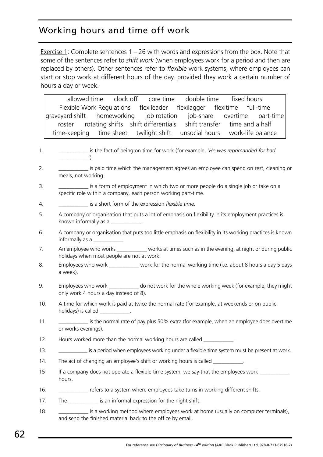# Working hours and time off work

Exercise 1: Complete sentences 1 – 26 with words and expressions from the box. Note that some of the sentences refer to *shift work* (when employees work for a period and then are replaced by others). Other sentences refer to *flexible* work systems, where employees can start or stop work at different hours of the day, provided they work a certain number of hours a day or week.

allowed time clock off core time double time fixed hours Flexible Work Regulations flexileader flexilagger flexitime full-time gravevard shift bomeworking job rotation job-share overtime part-time roster rotating shifts shift differentials shift transfer time and a half time-keeping time sheet twilight shift unsocial hours work-life balance

- 1. \_\_\_\_\_\_\_\_\_\_\_ is the fact of being on time for work (for example, '*He was reprimanded for bad*   $\sum_{i=1}^{\infty}$
- 2. **Example 2.** Example is paid time which the management agrees an employee can spend on rest, cleaning or meals, not working.
- 3. \_\_\_\_\_\_\_\_\_\_\_ is a form of employment in which two or more people do a single job or take on a specific role within a company, each person working part-time.
- 4. \_\_\_\_\_\_\_\_\_\_\_ is a short form of the expression *flexible time*.
- 5. A company or organisation that puts a lot of emphasis on flexibility in its employment practices is known informally as a
- 6. A company or organisation that puts too little emphasis on flexibility in its working practices is known informally as a  $\mathcal{L}$
- 7. An employee who works \_\_\_\_\_\_\_\_\_\_\_ works at times such as in the evening, at night or during public holidays when most people are not at work.
- 8. Employees who work \_\_\_\_\_\_\_\_\_\_\_ work for the normal working time (i.e. about 8 hours a day 5 days a week).
- 9. Employees who work \_\_\_\_\_\_\_\_\_\_\_ do not work for the whole working week (for example, they might only work 4 hours a day instead of 8).
- 10. A time for which work is paid at twice the normal rate (for example, at weekends or on public holidays) is called  $\_$
- 11. \_\_\_\_\_\_\_\_\_\_\_ is the normal rate of pay plus 50% extra (for example, when an employee does overtime or works evenings).
- 12. Hours worked more than the normal working hours are called
- 13. \_\_\_\_\_\_\_\_\_\_\_ is a period when employees working under a flexible time system must be present at work.
- 14. The act of changing an employee's shift or working hours is called
- 15 If a company does not operate a flexible time system, we say that the employees work hours.
- 16. \_\_\_\_\_\_\_\_\_\_\_ refers to a system where employees take turns in working different shifts.
- 17. The \_\_\_\_\_\_\_\_\_\_\_\_ is an informal expression for the night shift.
- 18. **\_\_\_\_\_\_\_\_\_\_** is a working method where employees work at home (usually on computer terminals), and send the finished material back to the office by email.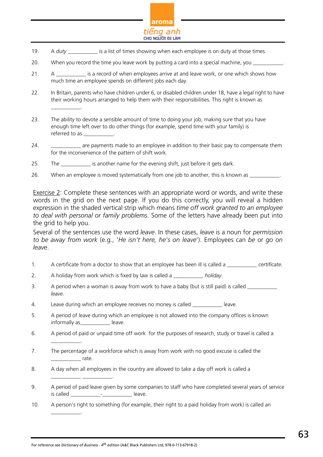

- 19. A *duty* \_\_\_\_\_\_\_\_\_\_\_ is a list of times showing when each employee is on duty at those times.
- 20. When you record the time you leave work by putting a card into a special machine, you
- 21. A \_\_\_\_\_\_\_\_\_\_\_ is a record of when employees arrive at and leave work, or one which shows how much time an employee spends on different jobs each day.
- 22. In Britain, parents who have children under 6, or disabled children under 18, have a legal right to have their working hours arranged to help them with their responsibilities. This right is known as  $\overline{\phantom{a}}$
- 23. The ability to devote a sensible amount of time to doing your job, making sure that you have enough time left over to do other things (for example, spend time with your family) is referred to as
- 24. \_\_\_\_\_\_\_\_\_\_\_\_ are payments made to an employee in addition to their basic pay to compensate them for the inconvenience of the pattern of shift work.
- 25. The sanother name for the evening shift, just before it gets dark.
- 26. When an employee is moved systematically from one job to another, this is known as \_\_\_\_\_\_\_\_\_\_.

Exercise 2: Complete these sentences with an appropriate word or words, and write these words in the grid on the next page. If you do this correctly, you will reveal a hidden expression in the shaded vertical strip which means *time off work granted to an employee to deal with personal or family problems*. Some of the letters have already been put into the grid to help you.

Several of the sentences use the word *leave*. In these cases, *leave* is a noun for *permission to be away from work* (e.g., '*He isn't here, he's on leave*'). Employees can *be* or *go on leave*.

- 1. A certificate from a doctor to show that an employee has been ill is called a \_\_\_\_\_\_\_\_\_\_\_ *certificate*.
- 2. A holiday from work which is fixed by law is called a \_\_\_\_\_\_\_\_\_\_\_ *holiday*.
- 3. A period when a woman is away from work to have a baby (but is still paid) is called *leave*.
- 4. Leave during which an employee receives no money is called leave.
- 5. A period of leave during which an employee is not allowed into the company offices is known informally as\_\_\_\_\_\_\_\_\_\_\_ leave.
- 6. A period of paid or unpaid time off work for the purposes of research, study or travel is called a \_\_\_\_\_\_\_\_\_\_\_.
- 7. The percentage of a workforce which is away from work with no good excuse is called the \_\_\_\_\_\_\_\_\_\_\_ rate.
- 8. A day when all employees in the country are allowed to take a day off work is called a
- 9. A period of paid leave given by some companies to staff who have completed several years of service is called  $\qquad \qquad -$  leave.
- 10. A person's right to something (for example, their right to a paid holiday from work) is called an

\_\_\_\_\_\_\_\_\_\_\_ \_\_\_\_\_\_\_\_\_\_\_.

\_\_\_\_\_\_\_\_\_\_\_.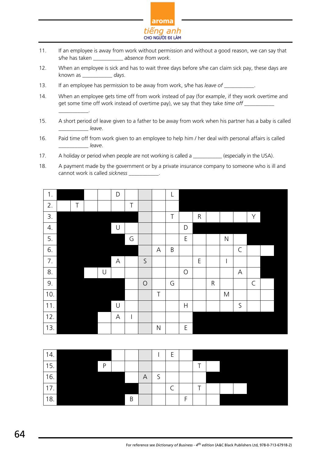

- 11. If an employee is away from work without permission and without a good reason, we can say that s/he has taken absence from work.
- 12. When an employee is sick and has to wait three days before s/he can claim sick pay, these days are known as \_\_\_\_\_\_\_\_\_\_\_ *days*.
- 13. If an employee has permission to be away from work, s/he has *leave of*

\_\_\_\_\_\_\_\_\_\_\_.

- 14. When an employee gets time off from work instead of pay (for example, if they work overtime and get some time off work instead of overtime pay), we say that they take *time off*
- 15. A short period of leave given to a father to be away from work when his partner has a baby is called \_\_\_\_\_\_\_\_\_\_\_ *leave*.
- 16. Paid time off from work given to an employee to help him / her deal with personal affairs is called \_\_\_\_\_\_\_\_\_\_\_ *leave*.
- 17. A holiday or period when people are not working is called a state (especially in the USA).
- 18. A payment made by the government or by a private insurance company to someone who is ill and cannot work is called *sickness* \_\_\_\_\_\_\_\_\_\_\_.

| 1.               |   |             | $\mathsf D$               |                |             |              | L       |             |             |           |                                                                                                            |             |             |  |
|------------------|---|-------------|---------------------------|----------------|-------------|--------------|---------|-------------|-------------|-----------|------------------------------------------------------------------------------------------------------------|-------------|-------------|--|
| 2.               | T |             |                           | T              |             |              |         |             |             |           |                                                                                                            |             |             |  |
| 3.               |   |             |                           |                |             |              | $\top$  |             | ${\sf R}$   |           |                                                                                                            |             | Y           |  |
| 4.               |   |             | $\cup$                    |                |             |              |         | D           |             |           |                                                                                                            |             |             |  |
| $\overline{5}$ . |   |             |                           | G              |             |              |         | $\mathsf E$ |             |           | ${\sf N}$                                                                                                  |             |             |  |
| 6.               |   |             |                           |                |             | $\mathsf{A}$ | $\sf B$ |             |             |           |                                                                                                            | $\mathsf C$ |             |  |
| 7.               |   |             | $\boldsymbol{\mathsf{A}}$ |                | $\mathsf S$ |              |         |             | $\mathsf E$ |           | $\vert$                                                                                                    |             |             |  |
| 8.               |   | $\mathsf U$ |                           |                |             |              |         | $\bigcirc$  |             |           |                                                                                                            | $\mathsf A$ |             |  |
| $\overline{9}$ . |   |             |                           |                | $\bigcirc$  |              | G       |             |             | ${\sf R}$ |                                                                                                            |             | $\mathsf C$ |  |
| 10.              |   |             |                           |                |             | $\top$       |         |             |             |           | $\mathsf{M}% _{T}=\mathsf{M}_{T}\!\left( a,b\right) ,\ \mathsf{M}_{T}=\mathsf{M}_{T}\!\left( a,b\right) ,$ |             |             |  |
| 11.              |   |             | $\cup$                    |                |             |              |         | Н           |             |           |                                                                                                            | $\mathsf S$ |             |  |
| 12.              |   |             | $\mathsf A$               | $\overline{1}$ |             |              |         |             |             |           |                                                                                                            |             |             |  |
| 13.              |   |             |                           |                |             | ${\sf N}$    |         | $\mathsf E$ |             |           |                                                                                                            |             |             |  |

| 14.            |   |   |   |        | Ė<br>┕ |                     |  |  |  |
|----------------|---|---|---|--------|--------|---------------------|--|--|--|
| $^{\circ}$ 15. | D |   |   |        |        |                     |  |  |  |
| 16.            |   |   | A | ┌<br>ر |        |                     |  |  |  |
| 17.            |   |   |   |        | ╭<br>╰ |                     |  |  |  |
| 18.            |   | B |   |        |        | $\blacksquare$<br>- |  |  |  |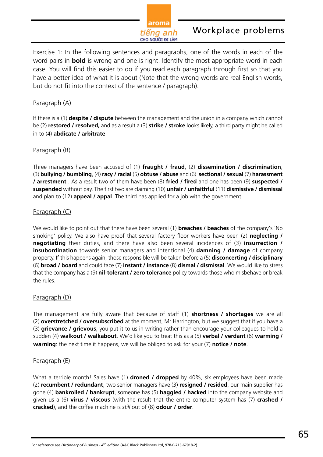

Workplace problems

Exercise 1: In the following sentences and paragraphs, one of the words in each of the word pairs in **bold** is wrong and one is right. Identify the most appropriate word in each case. You will find this easier to do if you read each paragraph through first so that you have a better idea of what it is about (Note that the wrong words are real English words, but do not fit into the context of the sentence / paragraph).

### Paragraph (A)

If there is a (1) **despite / dispute** between the management and the union in a company which cannot be (2) **restored / resolved,** and as a result a (3) **strike / stroke** looks likely, a third party might be called in to (4) **abdicate / arbitrate**.

### Paragraph (B)

Three managers have been accused of (1) **fraught / fraud**, (2) **dissemination / discrimination**, (3) **bullying / bumbling**, (4) **racy / racial** (5) **obtuse / abuse** and (6) **sectional / sexual** (7) **harassment / arrestment** . As a result two of them have been (8) **fried / fired** and one has been (9) **suspected / suspended** without pay. The first two are claiming (10) **unfair / unfaithful** (11) **dismissive / dismissal** and plan to (12) **appeal / appal**. The third has applied for a job with the government.

### Paragraph (C)

We would like to point out that there have been several (1) **breaches / beaches** of the company's 'No smoking' policy. We also have proof that several factory floor workers have been (2) **neglecting / negotiating** their duties, and there have also been several incidences of (3) **insurrection / insubordination** towards senior managers and intentional (4) **damning / damage** of company property. If this happens again, those responsible will be taken before a (5) **disconcerting / disciplinary** (6) **broad / board** and could face (7) **instant / instance** (8) **dismal / dismissal**. We would like to stress that the company has a (9) **nil-tolerant / zero tolerance** policy towards those who misbehave or break the rules.

### Paragraph (D)

The management are fully aware that because of staff (1) **shortness / shortages** we are all (2) **overstretched / oversubscribed** at the moment, Mr Harrington, but we suggest that if you have a (3) **grievance / grievous**, you put it to us in writing rather than encourage your colleagues to hold a sudden (4) **walkout / walkabout**. We'd like you to treat this as a (5) **verbal / verdant** (6) **warming / warning**: the next time it happens, we will be obliged to ask for your (7) **notice / note**.

### Paragraph (E)

What a terrible month! Sales have (1) **droned / dropped** by 40%, six employees have been made (2) **recumbent / redundant**, two senior managers have (3) **resigned / resided**, our main supplier has gone (4) **bankrolled / bankrupt**, someone has (5) **haggled / hacked** into the company website and given us a (6) **virus / viscous** (with the result that the entire computer system has (7) **crashed / cracked**), and the coffee machine is *still* out of (8) **odour / order**.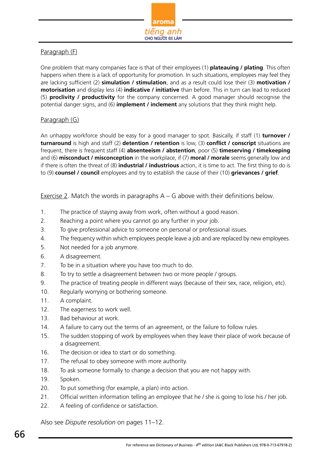

### Paragraph (F)

One problem that many companies face is that of their employees (1) **plateauing / plating**. This often happens when there is a lack of opportunity for promotion. In such situations, employees may feel they are lacking sufficient (2) **simulation / stimulation**, and as a result could lose their (3) **motivation / motorisation** and display less (4) **indicative / initiative** than before. This in turn can lead to reduced (5) **proclivity / productivity** for the company concerned. A good manager should recognise the potential danger signs, and (6) **implement / inclement** any solutions that they think might help.

### Paragraph (G)

An unhappy workforce should be easy for a good manager to spot. Basically, if staff (1) **turnover / turnaround** is high and staff (2) **detention / retention** is low, (3) **conflict / conscript** situations are frequent, there is frequent staff (4) **absenteeism / abstention**, poor (5) **timeserving / timekeeping** and (6) **misconduct / misconception** in the workplace, if (7) **moral / morale** seems generally low and if there is often the threat of (8) **industrial / industrious** action, it is time to act. The first thing to do is to (9) **counsel / council** employees and try to establish the cause of their (10) **grievances / grief**.

Exercise 2. Match the words in paragraphs  $A - G$  above with their definitions below.

- 1. The practice of staying away from work, often without a good reason.
- 2. Reaching a point where you cannot go any further in your job.
- 3. To give professional advice to someone on personal or professional issues.
- 4. The frequency within which employees people leave a job and are replaced by new employees.
- 5. Not needed for a job anymore.
- 6. A disagreement.
- 7. To be in a situation where you have too much to do.
- 8. To try to settle a disagreement between two or more people / groups.
- 9. The practice of treating people in different ways (because of their sex, race, religion, etc).
- 10. Regularly worrying or bothering someone.
- 11. A complaint.
- 12. The eagerness to work well.
- 13. Bad behaviour at work.
- 14. A failure to carry out the terms of an agreement, or the failure to follow rules.
- 15. The sudden stopping of work by employees when they leave their place of work because of a disagreement.
- 16. The decision or idea to start or do something.
- 17. The refusal to obey someone with more authority.
- 18. To ask someone formally to change a decision that you are not happy with.
- 19. Spoken.
- 20. To put something (for example, a plan) into action.
- 21. Official written information telling an employee that he / she is going to lose his / her job.
- 22. A feeling of confidence or satisfaction.

Also see *Dispute resolution* on pages 11–12.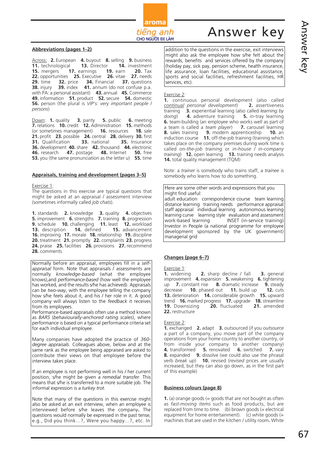# **Abbreviations (pages 1–2)**

Across: **2.** European **4.** buyout **8.** selling **9.** business 11. **technological 13. Director 14. investment 15. mergers 17. earnings 19. earn 20. Tax 15.** mergers **17.** earnings **19.** earn **20.** Tax **22.** opportunities **25.** Executive **26.** vitae **27.** needs **29.** time **32.** price **34.** Financial **37.** questions **38.** injury **39.** index **41.** annum (do not confuse p.a. with PA: a personal assistant) **43.** annual **45.** Commerce **49.** information **51.** product **52.** secure **54.** domestic **56.** person (the plural is *VIP's: very important people / persons*)

Down: **1.** quality **3.** parity **5.** public **6.** meeting **7.** relations **10.** credit **12.** Administration **15.** methods (or sometimes management) **16.** resources **18.** sale **21.** profit **23.** possible **24.** central **28.** delivery **30.** first **31.** Qualification **33.** national **35.** Insurance **36.** development **40.** share **42.** thousand **44.** electronic **46.** research **47.** postage **48.** Internet **50.** free **53.** you (the same pronunciation as the letter *u*) **55.** time

# **Appraisals, training and development (pages 3–5)**

#### Exercise 1:

The questions in this exercise are typical questions that might be asked at an appraisal / assessment interview (sometimes informally called *job chats*).

**1.** standards **2.** knowledge **3.** quality **4.** objectives **5.** improvement **6.** strengths **7.** training **8.** progression **9.** schedule **10.** challenging **11.** least **12.** workload **13.** description **14.** defined **15.** advancement **16.** improving **17.** morale **18.** relationship **19.** discipline **20.** treatment **21.** promptly **22.** complaints **23.** progress **24.** praise **25.** facilities **26.** provisions **27.** recommend **28.** comments

Normally before an appraisal, employees fill in a *selfappraisal* form. Note that appraisals / assessments are normally *knowledge-based* (what the employee knows),and *performance-based* (how well the employee has worked, and the results s/he has achieved). Appraisals can be *two-way*, with the employee telling the company how s/he feels about it, and his / her role in it. A good company will always listen to the *feedback* it receives from its employees.

Performance-based appraisals often use a method known as *BARS* (*behaviourally-anchored rating scales*), where performance is based on a typical performance criteria set for each individual employee.

Many companies have adopted the practice of *360 degree appraisals*. Colleagues above, below and at the same rank as the employee being appraised are asked to contribute their views on that employee before the interview takes place.

If an employee is not performing well in his / her current position, s/he might be given a *remedial transfer*. This means that s/he is transferred to a more suitable job. The informal expression is a *turkey trot*.

Note that many of the questions in this exercise might also be asked at an exit interview, when an employee is interviewed before s/he leaves the company**.** The questions would normally be expressed in the past tense, e.g., Did you think...?, Were you happy...?, etc. In

addition to the questions in the exercise, exit interviews might also ask the employee how s/he felt about the rewards, benefits and services offered by the company (holiday pay, sick pay, pension scheme, health insurance, life assurance, loan facilities, educational assistance, sports and social facilities, refreshment facilities, HR services, etc).

#### Exercise 2:

**1.** continuous personal development (also called continual personal development) **2.** assertiveness  $control$  *personal* development) training **3.** experiential learning (also called *learning by* **4.** adventure training **6.** team-building (an employee who works well as part of a team is called a *team player*) **7.** carousel learning **8.** sales training **9.** modern apprenticeship **10.** an **8.** sales training **9.** modern apprenticeship induction course **11.** off-the-job training (training which takes place on the company premises during work time is called *on-the-job training* or *in-house* / *in-company training*) **12.** open learning **13.** training needs analysis **14.** total quality management (TQM)

Note: a *trainer* is somebody who trains staff, a *trainee* is somebody who learns how to do something.

Here are some other words and expressions that you might find useful:

adult education correspondence course team learning distance learning training needs performance appraisal staff appraisal individual learning autonomous learning learning curve learning style evaluation and assessment work-based learning INSET (in-service training) Investor in People (a national programme for employee development sponsored by the UK government) managerial grid

# **Changes (page 6–7)**

Exercise 1:<br>**1.** widening **2.** sharp decline / fall **3.** general improvement **4.** expansion **5.** weakening **6.** tightening up **7.** constant rise **8.** dramatic increase **9.** steady decrease **10.** phased out **11.** build up **12.** cuts **13.** deterioration **14.** considerable growth **15.** upward trend **16.** marked progress **17.** upgrade **18.** streamline **19. Downsizing 22.** restructure

# Exercise 2:

**1.** exchanged **2.** adapt **3.** outsourced (if you *outsource* a part of a company, you move part of the company operations from your home country to another country, or from inside your company to another company) **4.** transformed **5.** renovated **6.** switched **7.** vary **8.** expanded **9.** dissolve (we could also use the phrasal verb *break up*) **10.** revised (*revised* prices are usually increased, but they can also go down, as in the first part of this example)

# **Business colours (page 8)**

**1.** (a) orange goods (= goods that are not bought as often as *fast-moving items* such as food products, but are replaced from time to time. (b) brown goods (= electrical equipment for home entertainment). (c) white goods (= machines that are used in the kitchen / utility room**.** White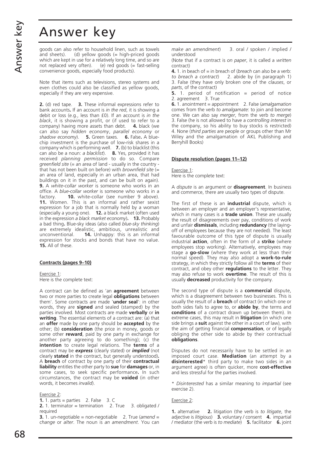goods can also refer to household linen, such as towels and sheets).  $(d)$  yellow goods  $(=$  high-priced goods which are kept in use for a relatively long time, and so are not replaced very often). (e) red goods  $(=$  fast-selling convenience goods, especially food products).

Note that items such as televisions, stereo systems and even clothes could also be classified as yellow goods, especially if they are very expensive.

**2.** (d) red tape. **3.** These informal expressions refer to bank accounts**.** If an account is *in the red*, it is showing a debit or loss (e.g., less than £0). If an account is *in the black*, it is showing a profit, or (if used to refer to a company) having more assets than debt. **4.** black (we can also say *hidden economy*, *parallel economy* or *shadow economy*). **5.** Green taxes. **6.** False**.** A bluechip investment is the purchase of low-risk shares in a company which is performing well. **7.** (b) to blacklist (this can also be a noun: *a blacklist*). **8.** Yes, provided it has received *planning permission* to do so. Compare *greenfield site* (= an area of land - usually in the country that has not been built on before) with *brownfield site* (= an area of land, especially in an urban area, that had buildings on it in the past, and can be built on again). **9.** A *white-collar worker* is someone who works in an office. A *blue-collar worker* is someone who works in a factory. **10.** white-collar (see number 9 above). **11.** Women. This is an informal and rather sexist expression for a job that is normally held by a woman (especially a young one). **12.** a black market (often used in the expression *a black market economy*)**. 13.** Probably a bad thing**.** Blue-sky ideas (also called *blue-sky thinking*) are extremely idealistic, ambitious, unrealistic and unconventional. **14.** Unhappy: this is an informal 14. Unhappy: this is an informal expression for stocks and bonds that have no value. **15.** All of these.

# **Contracts (pages 9–10)**

Exercise 1: Here is the complete text:

A contract can be defined as 'an **agreement** between two or more parties to create legal **obligations** between them'. Some contracts are made '**under seal**': in other words, they are **signed** and sealed (stamped) by the parties involved. Most contracts are made **verbally** or **in writing**. The essential elements of a contract are: (a) that an **offer** made by one party should be **accepted** by the other; (b) **consideration** (the price in money, goods or some other **reward**, paid by one party in exchange for another party agreeing to do something); (c) the **intention** to create legal relations. The **terms** of a contract may be *express* (clearly stated) or *implied* (not clearly **stated** in the contract, but generally understood)**.** A **breach** of contract by one party of their **contractual liability** entitles the other party to **sue** for **damages** or, in some cases, to seek specific performance**.** In such circumstances, the contract may be **voided** (in other words, it becomes *invalid*).

# Exercise 2:

**1.** 1. parts = parties  $2.$  False  $3.$  C

**2.** 1. terminator = termination 2. True 3. obligated / required

**3.** 1. un-negotiable = non-negotiable 2. True (*amend* = *change* or *alter*. The noun is *an amendment*. You can *make an amendment*) 3. oral / spoken / implied / understood

(Note that if a contract is *on paper*, it is called a *written* contract)

**4.** 1. in beach of = in breach of (*breach* can also be a verb: *to breach a contract*) 2. abide by (in paragraph 1) 3. False (they have only broken one of the *clauses*, or *parts*, of the contract)

**5.** 1. period of notification = period of notice 2. agreement 3. True

**6.** 1. anointment = appointment 2. False (*amalgamation* comes from the verb *to amalgamate*: to join and become one. We can also say *merger*, from the verb *to merge*) 3. False (he is not allowed to have a *controlling interest* in the company, so his ability to buy stocks is restricted) 4. None (*third parties* are people or groups other than Mr Wiley and the amalgamation of AKL Publishing and Berryhill Books)

# **Dispute resolution (pages 11–12)**

Exercise 1: Here is the complete text:

A *dispute* is an argument or **disagreement**. In business and commerce, there are usually two types of dispute.

The first of these is an **industrial** dispute, which is between an employer and an employer's representative, which in many cases is a **trade union**. These are usually the result of disagreements over pay, conditions of work and unfair **dismissals**, including **redundancy** (the layingoff of employees because they are not needed). The least favourable outcome of this type of dispute is usually industrial **action**, often in the form of a **strike** (where employees stop working). Alternatively, employees may stage a **go-slow** (where they work at less than their normal speed). They may also adopt a **work-to-rule** strategy, in which they strictly follow all the **terms** of their contract, and obey other **regulations** to the letter. They may also refuse to work **overtime**. The result of this is usually **decreased** productivity for the company.

The second type of dispute is a **commercial** dispute, which is a disagreement between two businesses. This is usually the result of a **breach** of contract (in which one or both sides fails to agree to, or **abide by**, the terms and **conditions** of a contract drawn up between them). In extreme cases, this may result in **litigation** (in which one side brings a **suit** against the other in a court of law), with the aim of getting financial **compensation**, or of legally obliging the other side to abide by their contractual **obligations**.

Disputes do not necessarily have to be settled in an imposed court case. **Mediation** (an attempt by a **disinterested**\* third party to make two sides in an argument agree) is often quicker, more **cost-effective** and less stressful for the parties involved.

\* *Disinterested* has a similar meaning to *impartial* (see exercise 2).

# Exercise 2:

**1.** alternative **2.** litigation (the verb is *to litigate*, the adjective is *litigious*) **3.** voluntary / consent **4.** impartial / mediator (the verb is *to mediate*) **5.** facilitator **6.** joint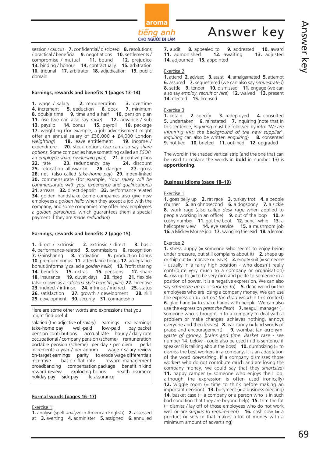session / caucus **7.** confidential/ disclosed **8.** resolutions / practical / beneficial **9.** negotiations **10.** settlements / compromise / mutual **11.** bound **12.** prejudice **13.** binding / honour **14.** contractually **15.** arbitration **16.** tribunal **17.** arbitrator **18.** adjudication **19.** public domain

#### **Earnings, rewards and benefits 1 (pages 13–14)**

**1.** wage / salary **2.** remuneration **3.** overtime **4.** increment **5.** deduction **6.** dock **8.** double time **9.** time and a half **10.** pension plan **11.** rise (we can also say *raise*) **12.** advance / sub **13.** payslip **14.** bonus **15.** payroll **16.** package **17.** weighting (for example, a job advertisement might offer an annual salary of  $f(30,000 + f(4,000))$  London *weighting*) **18.** leave entitlement **19.** Income / *weighting*) **18.** leave entitlement expenditure **20.** stock options (we can also say *share options*. Some companies have something called an *ESOP*: an *employee share ownership plan*) **21.** incentive plans<br>**22.** rate **23.** redundancy pay **24.** discount **23.** redundancy pay **25.** relocation allowance **26.** danger **27.** gross **28.** net (also called *take-home pay*) **29.** index-linked **30.** commensurate (for example, *Your salary will be commensurate with your experience and qualifications*) **31.** arrears **32.** direct deposit **33.** performance related **34.** golden handshake (some companies also give new employees a *golden hello* when they accept a job with the company, and some companies may offer new employees a *golden parachute*, which guarantees them a special payment if they are *made redundant*)

#### **Earnings, rewards and benefits 2 (page 15)**

**1.** direct / extrinsic **2.** extrinsic / direct **3.** basic **4.** performance-related **5.** commissions **6.** recognition **7.** Gainsharing **8.** motivation **9.** production bonus **10.** premium bonus **11.** attendance bonus **12.** acceptance bonus (informally called a *golden hello*) **13.** Profit sharing **16.** pensions **17.** share **18.** insurance **19.** duvet days **20.** fixed **21.** flexible (also known as a *cafeteria-style benefits plan*) **22.** Incentive **23.** indirect / intrinsic **24.** intrinsic / indirect **25.** status **26.** satisfaction **27.** growth / development **28.** skill **29.** development **30.** security **31.** comradeship

Here are some other words and expressions that you might find useful:

salaried (the adjective of *salary*) earnings real earnings take-home pay well-paid low-paid pay packet pension contributions accrual rate hourly / daily rate occupational / company pension (scheme) remuneration portable pension (scheme) per day / per diem perks increments a year / per annum wage / salary review on-target earnings parity to erode wage differentials |incentive basic / flat rate reward management<br>|broadbanding compensation package benefit in kind broadbanding compensation package benefit in kind exploding bonus holiday pay sick pay life assurance

#### **Formal words (pages 16–17)**

Exercise 1:

**1.** analyse (spelt *analyze* in American English) **2.** assessed at **3.** averting **4.** administer **5.** assigned **6.** annulled **7.** audit **8.** appealed to **9.** addressed **10.** award **11.** admonished **12.** awaiting **13.** adjusted **14.** adjourned **15.** appointed

Answer key

#### Exercise 2:

**1.** attend **2.** advised **3.** assist **4.** amalgamated **5.** attempt **6.** assured **7.** sequestered (we can also say *sequestrated*) **8.** settle **9.** tender **10.** dismissed **11.** engage (we can also say *employ*, *recruit* or *hire*) **12.** waived **13.** present **14.** elected **15.** licensed

#### Exercise 3:

**1.** retain **2.** specify **3.** redeployed **4.** consulted **5.** undertaken **6.** reinstated **7.** inquiring (note that in this sentence, *inquiring* must be followed by *into*: '*We are inquiring into the background of the new supplier*'. *Inquiring* can also be written *enquiring*) **8.** consented **9.** notified **10.** briefed **11.** outlined **12.** upgraded

The word in the shaded vertical strip (and the one that can be used to replace the words in **bold** in number 13) is **apportioning**.

#### **Business idioms (page 18–19)**

Exercise 1:

**1.** goes belly up **2.** rat race **3.** turkey trot **4.** a people churner **5.** an ohnosecond **6.** a dogsbody **7.** a sickie **8.** work rage (also called *desk rage* when applied to people working in an office) **9.** out of the loop **10.** a cushy number **11.** got the boot **12.** pencil-whip **13.** a helicopter view **14.** eye service **15.** a mushroom job **16.** a Mickey Mouse job **17.** swinging the lead **18.** a lemon

#### Exercise 2:

**1.** stress puppy (= someone who seems to enjoy being under pressure, but still complains about it) **2.** shape up or ship out (= improve or leave) **3.** empty suit (= someone - usually in a fairly high position - who doesn't really contribute very much to a company or organisation) **4.** kiss up to (= to be very nice and polite to someone in a position of power. It is a negative expression. We can also say *schmooze up to* or *suck up to*) **5.** dead wood (= the employees who are losing a company money. We can use the expression *to cut out the dead wood* in this context) **6.** glad hand (= to shake hands with people. We can also use the expression *press the flesh*) **7.** seagull manager (= someone who is brought in to a company to deal with a problem or make changes, achieves nothing, annoys everyone and then leaves)  $\overline{8}$  ear candy (= kind words of praise and encouragement) **9.** wombat (an acronym: *waste of money, brains and time*. *Basket case* - see number 14. below - could also be used in this sentence if speaker B is talking about the boss) **10.** dumbsizing (= to dismiss the best workers in a company**.** It is an adaptation of the word *downsizing*. If a company dismisses those workers who do not contribute much and are losing the company money, we could say that they *smartsize*) **11.** happy camper (= someone who enjoys their job, although the expression is often used ironically) **12.** wiggle room (= time to think before making an important decision) **13.** busymeet (= a business meeting) **14.** basket case (= a company or a person who is in such bad condition that they are beyond help) **15.** trim the fat (= dismiss / lay off of those employees who do not work well or are *surplus to requirement*) **16.** cash cow (= a product or service that makes a lot of money with a minimum amount of advertising)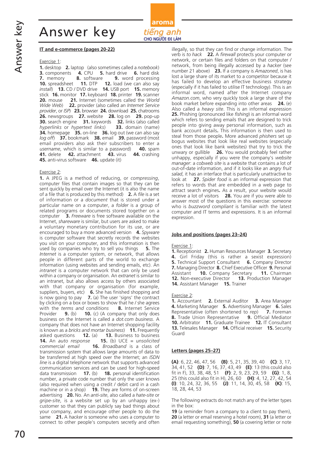aroma tiếng anh CHO NGƯỜI ĐI LÀM

# **IT and e-commerce (pages 20-22)**

#### Exercise 1:

**1.** desktop **2.** laptop (also sometimes called a *notebook*) **3.** components **4.** CPU **5.** hard drive **6.** hard disk **7.** memory **8.** software **9.** word processing **10.** spreadsheet **11.** DTP **12.** load (we can also say **12.** load (we can also say *install*) **13.** CD / DVD drive **14.** USB port **15.** memory stick **16.** monitor **17.** keyboard **18.** printer **19.** scanner **20.** mouse **21.** Internet (sometimes called the *World Wide Web*) **22.** provider (also called an *Internet Service provider*, or *ISP*) **23.** browser **24.** download **25.** chatrooms **26.** newsgroups **27.** website **28.** log on **29.** pop-up **30.** search engine **31.** keywords **32.** links (also called *hyperlinks* or *hypertext links*) **33.** domain (name) **34.** homepage **35.** on-line **36.** log out (we can also say *log off*) **37.** bookmark **38.** email **39.** password (most email providers also ask their subscribers to enter a *username*, which is similar to a password) **40.** spam **41.** delete **42.** attachment **43.** virus **45.** anti-virus software **46.** update (it)

#### Exercise 2:

**1.** A JPEG is a method of reducing, or *compressing*, computer files that contain images so that they can be sent quickly by email over the Internet (it is also the name of a file that is produced by this method) **2.** A *file* is a set of information or a *document* that is stored under a particular name on a computer, a *folder* is a group of related programs or documents stored together on a computer **3.** *Freeware* is free software available on the Internet, *shareware* is similar, but users are asked to make a voluntary monetary contribution for its use, or are encouraged to buy a more advanced version **4.** *Spyware* is computer software that secretly records the websites you visit on your computer, and this information is then used by companies who try to sell you things **5.** The *Internet* is a computer system, or network, that allows people in different parts of the world to exchange information (using websites and sending emails, etc). An *intranet* is a computer network that can only be used within a company or organisation. An *extranet* is similar to an intranet, but also allows access by others associated with that company or organisation (for example, suppliers, buyers, etc) **6.** She has finished shopping and is now going to pay **7.** (a) The user 'signs' the contract by clicking on a box or boxes to show that he / she agrees with the *terms and conditions* **8.** Internet Service Provider **9.** (b) **10.** (c) (A company that only does business on the Internet is called a *dot.com business*. A company that does not have an Internet shopping facility is known as a *bricks and mortar business*) **11.** Frequently asked questions **12.** (a) **13.** Business to business asked questions **12.** (a) **13.** Business to business **14.** An *auto response* **15.** (b) UCE = *unsolicited* **14.** An *auto response* **15.** (b) UCE = *unsolicited commercial email* **16.** *Broadband* is a class of transmission system that allows large amounts of data to be transferred at high speed over the Internet; an *ISDN line* is a digital telephone network that supports advanced communication services and can be used for high-speed data transmission **17.** (b) **18.** personal identification number, a private code number that only the user knows (also required when using a credit / debit card in a cash machine or in a shop) **19.** They are forms of on-screen advertising **20.** No. An *anti-site*, also called a *hate-site* or *gripe-site*, is a website set up by an unhappy (ex-) customer so that they can publicly say bad things about your company, and encourage other people to do the same **21.** A *hacker* is someone who uses a computer to connect to other people's computers secretly and often illegally, so that they can find or change information. The verb is *to hack* **22.** A *firewall* protects your computer or network, or certain files and folders on that computer / network, from being illegally accessed by a *hacker* (see number 21 above) **23.** If a company is *Amazoned*, is has lost a large share of its market to a competitor because it has failed to develop an effective business strategy (especially if it has failed to utilise IT technology). This is an informal word, named after the Internet company *Amazon.com*, who very quickly took a large share of the book market before expanding into other areas **24.** (e) Also called a *heavy site*. This is an informal expression **25.** Phishing (pronounced like *fishing*) is an informal word which refers to sending emails that are designed to trick people into giving away personal information, such as bank account details**.** This information is then used to steal from those people**.** More advanced *phishers* set up bogus websites that look like real websites (especially ones that look like bank websites) that try to trick the unwary or gullible **26.** You would probably feel rather unhappy, especially if you were the company's *website manager*: a *cobweb site* is a website that contains a lot of out-of-date information, and if it looks like an *angry fruit salad*, it has an interface that is particularly unattractive to look at **27.** *Spider food* is an informal expression that refers to words that are embedded in a web page to attract search engines**.** As a result, your website would receive a lot of visitors **28.** You are if you were able to answer most of the questions in this exercise: someone who is *buzzword compliant* is familiar with the latest computer and IT terms and expressions. It is an informal expression.

# **Jobs and positions (pages 23–24)**

# Exercise 1:

**1.** Receptionist **2.** Human Resources Manager **3.** Secretary **4.** Girl Friday (this is rather a sexist expression) **5.** Technical Support Consultant **6.** Company Director **7.** Managing Director **8.** Chief Executive Officer **9.** Personal Assistant **10.** Company Secretary **11.** Chairman Assistant **10.** Company Secretary **11.** Chairman **12.** Non-executive Director **13.** Production Manager **12.** Non-executive Director **14.** Assistant Manager **15.** Trainer

#### Exercise 2:

**1.** Accountant **2.** External Auditor **3.** Area Manager **4.** Marketing Manager **5.** Advertising Manager **6.** Sales Representative (often shortened to *rep*) **7.** Foreman **8.** Trade Union Representative **10.** Arbitrator **11.** Graduate Trainee **12.** IT Consultant **13.** Telesales Manager **14.** Official receiver **15.** Security Guard

#### **Letters (pages 25–27)**

**(A)**: 6, 22, 46, 47, 56 **(B)**: 5, 21, 35, 39, 40 **(C)**: 3, 17, 34, 41, 52 **(D)**: 7, 16, 37, 43, 49 **(E)**: 13 (this could also fit in F), 33, 38, 48, 51 **(F)**: 2, 9, 23, 29, 59 **(G)**: 1, 8, 25 (this could also fit in H), 26, 60 **(H)**: 4, 12, 27, 42, 54 **(I)**: 10, 24, 32, 36, 55 **(J)**: 11, 14, 30, 45, 58 **(K)**: 15, 18, 28, 44, 53

The following extracts do not match any of the letter types in the box:

**19** (a reminder from a company to a client to pay them), **20** (a letter or email reserving a hotel room), **31** (a letter or email requesting something), **50** (a covering letter or note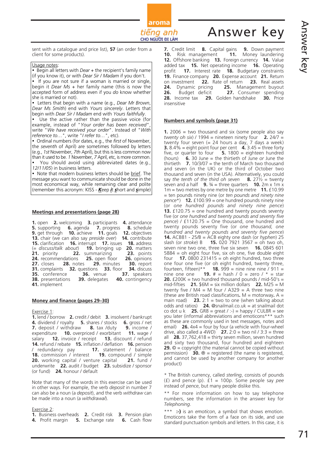sent with a catalogue and price list), **57** (an order from a client for some products).

#### Usage notes:

• Begin all letters with *Dear* + the recipient's family name (if you know it), or with *Dear Sir / Madam* if you don't. • If you are not sure if a woman is married or single, begin it *Dear Ms* + her family name (this is now the accepted form of address even if you *do* know whether she is married or not).

y Letters that begin with a name (e.g., *Dear Mr Brown*, *Dear Ms Smith*) end with *Yours sincerely*. Letters that begin with *Dear Sir / Madam* end with *Yours faithfully*.

Use the active rather than the passive voice (for example, instead of "*Your order has been received*", write "*We have received your order*". Instead of "*With reference to…*", write "*I refer to…*", etc).

• Ordinal numbers (for dates, e.g., the *first* of November, the *seventh* of April) are sometimes followed by letters (e.g., *1st* November, *7th* April), but this is less common now than it used to be. *1* November, *7* April, etc, is more common. You should avoid using abbreviated dates (e.g., *12/11/05*) in business letters.

• Note that modern business letters should be brief. The message you want to communicate should be done in the most economical way, while remaining clear and polite (remember this acronym: KISS - *K*eep *i*t *s*hort and *s*imple)

#### **Meetings and presentations (page 28)**

**1.** open **2.** welcoming **3.** participants **4.** attendance **5.** supporting **6.** agenda **7.** progress **8.** schedule **9.** get through **10.** achieve **11.** goals **12.** objectives **13.** chair (we can also say *preside over*) **14.** contribute **13.** chair (we can also say *preside over*) **15.** clarification **16.** interrupt **17.** issues **18.** address (= *discuss*/*talk about*) **19.** bringing up **20.** matters **22.** summarizing **23.** points **25.** open floor **26.** opinions **24.** recommendations **25.** open floor **27.** closes **28.** notes **29.** minutes **30.** report **31. complaints 32. questions 33. floor 35.** conference **36.** venue **37.** speakers **38.** presentations **39.** delegates **40.** contingency **41.** implement

#### **Money and finance (pages 29–30)**

Exercise 1:

**1.** lend / borrow **2.** credit / debit **3.** insolvent / bankrupt **4.** dividend / royalty **5.** shares / stocks **6.** gross / net **7.** deposit / withdraw **8.** tax /duty **9.** income / expenditure **10.** overpriced / exorbitant **11.** wage / salary **12.** invoice / receipt **13.** discount / refund **14.** refund / rebate **15.** inflation / deflation **16.** pension / redundancy pay **17.** statement / balance **18.** commission / interest **19.** compound / simple **20.** working capital / venture capital **21.** fund / underwrite **22.** audit / budget **23.** subsidize / sponsor (or fund) **24.** honour / default

Note that many of the words in this exercise can be used in other ways. For example, the verb *deposit* in number 7 can also be a noun (a *deposit*), and the verb *withdraw* can be made into a noun (a *withdrawal*).

Exercise 2:

**1.** Business overheads **2.** Credit risk **3.** Pension plan **4.** Profit margin **5.** Exchange rate **6.** Cash flow

**7.** Credit limit **8.** Capital gains **9.** Down payment **10.** Risk management **11.** Money laundering **12.** Offshore banking **13.** Foreign currency **14.** Value added tax **15.** Net operating income **16.** Operating profit **17.** Interest rate **18.** Budgetary constraints **19.** Finance company **20.** Expense account **21.** Return on investment **22.** Rate of return **23.** Real assets **24.** Dynamic pricing **25.** Management buyout 26. Budget deficit **27.** Consumer spending **28.** Income tax **29.** Golden handshake **30.** Price **29.** Golden handshake **30.** Price insensitive

Answer key

#### **Numbers and symbols (page 31)**

**1.**  $2006 =$  two thousand and six (some people also say *twenty oh six*) / 1994 = nineteen ninety four  $\overline{2.24/7}$  = twenty four seven (= 24 hours a day, 7 days a week) **3.**  $8.4\%$  = eight point four per cent  $4.3.45$  = three forty five, or quarter to four **5.** 1800 = eighteen hundred (hours) **6.** 30 June = the thirtieth of June *or* June the thirtieth  $7. 10/3/07 =$  the tenth of March two thousand and seven (in the UK) or the third of October two thousand and seven (in the USA). Alternatively, you could say *the tenth of the third oh seven* **8.**  $27\frac{1}{2}$  = twenty seven and a half  $\theta$ .  $\frac{3}{4}$  = three quarters  $\theta$  **10.**  $2m \times 1m \times 1$ 1m = two metres by one metre by one metre **11.** £10.99 = ten pounds ninety nine (or *ten pounds and ninety nine pence*\*) **12.** £100.99 = one hundred pounds ninety nine (or *one hundred pounds and ninety nine pence*) **13.** £120.75 = one hundred and twenty pounds seventy five (or *one hundred and twenty pounds and seventy five pence*) / £1120.75 = One thousand, one hundred and twenty pounds seventy five (or *one thousand, one hundred and twenty pounds and seventy five pence*) **14.** ACB81 - 25/B = ACB eighty one dash (or *hyphen*) 25 slash (or *stroke*) B **15.** 020 7921 3567 = oh two oh. **15.** 020 7921 3567 = oh two oh, seven nine two one, three five six seven **16.** 0845 601 5884 = oh eight four five, six oh one, five double eight four **17.** 0800 231415 = oh eight hundred, two three one four one five (or oh eight hundred, twenty three, fourteen, fifteen)\*\* **18.** 999 = nine nine nine / 911 = **18.** 999 = nine nine nine / 911 = nine one one **19.**  $# =$  hash  $\theta =$  zero  $\theta * =$  star **20.**  $£200K = two hundred thousand pounds / mid-50's =$ mid-fifties **21.** \$6M = six million dollars **22.** M25 = M twenty five /  $MA = M$  four / A329 = A three two nine (these are British road classifications**.** M = motorway**.** A = main road) **23.**  $2:1 =$  two to one (when talking about odds and ratios) **24.** [@snailmail.co.uk =](mailto:@snailmail.co.uk) at snailmail dot co dot u k  $25.$  GR8 = great / :-) = happy / CUL8R = see you later (informal abbreviations and emoticons\*\*\* such as these are commonly used in text messages, notes and email) **26.** 4x4 = four by four (a vehicle with four-wheel drive, also called a *4WD*) **27.** 2:0 = two nil / 3:3 = three all **28.** 37,762,418 = thirty seven million, seven hundred and sixty two thousand, four hundred and eighteen **29.** © = copyright (the material cannot be copied without permission)  $\overline{30}$ .  $\overline{0}$  = registered (the name is registered, and cannot be used by another company for another product)

\* The British currency, called *sterling*, consists of pounds (£) and pence (p). £1 = 100p. Some people say *pee* instead of *pence*, but many people dislike this.

\*\* For more information on how to say telephone numbers, see the information in the answer key for *Telephoning*.

\*\*\* **:-)** is an *emoticon*, a symbol that shows emotion. Emoticons take the form of a face on its side, and use standard punctuation symbols and letters. In this case, it is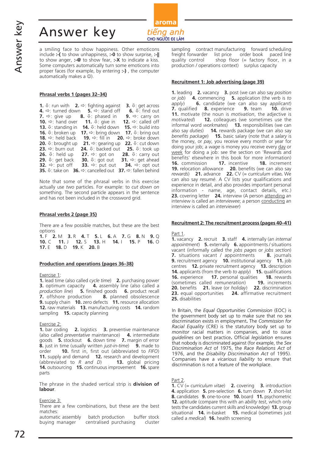a smiling face to show happiness. Other emoticons include **:-(** to show unhappiness, **:-0** to show surprise, **:-||** to show anger, **:-@** to show fear, **:-X** to indicate a kiss. Some computers automatically turn some emoticons into proper faces (for example, by entering **:-)** , the computer automatically makes a  $\circledcirc$ ).

# **Phrasal verbs 1 (pages 32–34)**

**1.**  $\overline{\theta}$ : run with **2.**  $\Rightarrow$ : fighting against **3.**  $\overline{\theta}$ : get across **4.**  $\Rightarrow$ : turned down **5.**  $\Rightarrow$ : stand off **6.**  $\overline{\theta}$ : find out **4.**  $\Leftrightarrow$ : turned down **5.**  $\Leftrightarrow$ : stand off **6.**  $\Phi$ : find out **7.**  $\Leftrightarrow$ : give up **8.**  $\Phi$ : phased in **9.**  $\Leftrightarrow$ : carry on **8.**  $\overline{\Psi}$ : phased in **11.**  $\overline{\Psi}$ : give in **10.**  $\Rightarrow$ : hand over **11. ↓:** give in **12.**  $\Rightarrow$ : called off **13.** Ø: standing in **14.** Ø: held down **15.** Ö: build into **16.** Ø: broken up **17.** Ö: bring down **17.** Ø: bring out **18.**  $\Rightarrow$  held back **19.**  $\Rightarrow$  fill in **20.**  $\Rightarrow$  broke down **20.** Ø: brought up **21.** Ö: gearing up **22.** Ø: cut down **23.**  $\Leftrightarrow$ : burn out **24.**  $\Phi$ : backed out **25.**  $\Phi$ : took up **26.**  $\Phi$ : held up **27.**  $\Leftrightarrow$ : got on **28.**  $\Phi$ : carry out **26.** *V*: held up **27.**  $\Rightarrow$  got on **28.** *V*: carry out **29.** *V*: get ahead **30.** *V***: got out <b>31. ⇒**: get ahead **33. ⇒**: put out **34. ⇒**: opt out **32.**  $\Rightarrow$  put off **33.**  $\Rightarrow$  put out **34.**  $\Rightarrow$  opt out **35. <u>⊎: take on <b>36.**  $\Rightarrow$ : cancelled out **37.**  $\Rightarrow$ : fallen behind</u>

Note that some of the phrasal verbs in this exercise actually use *two* particles. For example: to *cut down on* something. The second particle appears in the sentence and has not been included in the crossword grid.

# **Phrasal verbs 2 (page 35)**

There are a few possible matches, but these are the best options

**1.** F **2.** M **3.** R **4.** T **5.** L **6.** A **7.** G **8.** N **9.** Q **10.** C **11.** J **12.** S **13.** H **14.** I **15.** P **16.** O **17.** E **18.** D **19.** K **20.** B

# **Production and operations (pages 36–38)**

# Exercise 1:

**1.** lead time (also called *cycle time*) **2.** purchasing power **3. optimum capacity 4.** assembly line (also called a *production line*) **5.** finished goods **6.** product recall **7.** offshore production **8.** planned obsolescence **9.** supply chain **10.** zero defects **11.** resource allocation **12.** raw materials **13.** manufacturing costs **14.** random sampling **15.** capacity planning

# Exercise 2:

**1.** bar coding **2.** logistics **3.** preventive maintenance (also called *preventative* maintenance) **4.** intermediate goods **5.** stockout **6.** down time **7.** margin of error **8.** just in time (usually written *just-in-time*) **9.** made to order **10.** first in, first out (abbreviated to *FIFO*) **11.** supply and demand **12.** research and development (abbreviated to *R and D*) **13.** global pricing **14.** outsourcing **15.** continuous improvement **16.** spare parts

The phrase in the shaded vertical strip is **division of labour**.

# Exercise 3:

There are a few combinations, but these are the best matches:

automatic assembly batch production buffer stock buying manager centralised purchasing cluster sampling contract manufacturing forward scheduling freight forwarder list price order book paced line quality control shop floor (= factory floor, in a production / operations context) surplus capacity

#### **Recruitment 1: Job advertising (page 39)**

**1.** leading **2.** vacancy **3.** post (we can also say *position* or *job*) **4.** commencing **5.** application (the verb is *to apply*) **6.** *candidate* (we can also say *applicant*) **7.** *qualified* **8.** *experience* **9.** *team* **10.** *drive* **7.** qualified **8.** experience **9.** team **10.** drive **11.** motivate (the noun is *motivation*, the adjective is *motivated*) **12.** colleagues (we sometimes use the informal word *workmates*) **13.** responsibilities (we can also say *duties*) **14.** rewards package (we can also say *benefits package*) **15.** basic salary (note that a *salary* is the money, or *pay*, you receive every month or year for doing your job; a *wage* is money you receive every day or week for doing a job: see the section on 'Rewards and benefits' elsewhere in this book for more information)<br>**16.** commission **17.** incentive **18.** increment **16.** commission **19.** relocation allowance **20.** benefits (we can also say *rewards*) **21.** advance **22.** CV (= *curriculum vitae.* We can also say *resumé*. A CV lists your qualifications and experience in detail, and also provides important personal information - name, age, contact details, etc.) **23.** covering letter **24.** interview (A person attending an interview is called an *interviewee*; a person conducting an interview is called an *interviewer*)

# **Recruitment 2: The recruitment process (pages 40–41)**

#### Part 1.

aroma

tiếng anh CHO NGƯỜI ĐI LÀM

> **1.** vacancy **2.** recruit **3.** staff **4.** internally (an *internal appointment*) **5.** externally **6.** appointments / situations vacant (informally called the *jobs pages* or *jobs section*) **7.** situations vacant / appointments **8.** journals **9.** recruitment agency **10.** institutional agency **11.** job centres **12.** private recruitment agency **13.** description **14.** applicants (from the verb *to apply*) **15.** qualifications **16.** experience **17.** personal qualities **18.** rewards (sometimes called *remuneration*) **20.** benefits **21.** leave (or *holiday*) **22.** discrimination **23.** equal opportunities **24.** affirmative recruitment **25.** disabilities

> In Britain, the *Equal Opportunities Commission* (EOC) is the government body set up to make sure that no sex discrimination exists in employment**.** The *Commission for Racial Equality* (CRE) is the statutory body set up to *monitor* racial matters in companies, and to issue *guidelines* on best practice**.** Official *legislation* ensures that nobody is discriminated against (for example, the *Sex Discrimination Act* of 1975, the *Race Relations Act* of 1976, and the *Disability Discrimination Act* of 1995). Companies have a *vicarious liability* to ensure that discrimination is not a feature of the workplace.

#### Part 2.

**1.** CV (= *curriculum vitae*) **2.** covering **3.** introduction **4.** application **5.** pre-selection **6.** turn down **7.** short-list **8.** candidates **9.** one-to-one **10.** board **11.** psychometric **12.** aptitude (compare this with an *ability test*, which only tests the candidates current skills and knowledge) **13.** group situational **14.** in-basket **15.** medical (sometimes just called a *medical*) **16.** health screening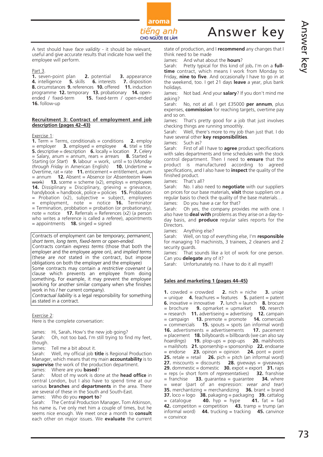# Answer key

A test should have *face validity* - it should be relevant, useful and give accurate results that indicate how well the employee will perform.

#### Part 3.

**1.** seven-point plan **2.** potential **3.** appearance **4.** intelligence **5.** skills **6.** interests **7.** disposition **8.** circumstances **9.** references **10.** offered **11.** induction programme **12.** temporary **13.** probationary **14.** open-15. fixed-term / open-ended **16.** follow-up

#### **Recruitment 3: Contract of employment and job description (pages 42–43)**

#### Exercise 1:

**1.**  $Term = Terms$ , conditionals = conditions **2.** employe = employer **3.** employed = employee **4.** titel = title  $=$  employer  $=$  **3.** employed  $=$  employee **5.** descriptive = description **6.** locally = location **7.** Celery  $=$  Salary, anum  $=$  annum, rears  $=$  arrears **8.** Started  $=$ Starting (or *Start*) **9.** labour = work, until = to (*Monday through Friday* in American English) **10.** Undertime = Overtime, rat = rate **11.** enticement = entitlement, anum<br>= annum **12.** Absent = Absence (or *Absenteeism* from 12. Absent = Absence (or *Absenteeism* from  $work)$  **13.** sceme = scheme  $(x2)$ , employs = employees **14.** Dissiplinary = Disciplinary, grieving = grievance, handybook = handbook, police = policies **15.** Probbation = Probation (x2), subjective = subject, employees = employment, note = notice **16.** Terminator = Termination, probbation = probation (or probationary), note = notice **17.** Referrals = References (x2) (a person who writes a reference is called a *referee*), apointments = appointments **18.** singed = signed

Contracts of employment can be *temporary*, *permanent*, *short term*, *long term*, *fixed-term* or *open-ended*. Contracts contain *express terms* (those that both the employer and the employee agree on), and *implied terms* (these are *not* stated in the contract, but impose obligations on both the employer and the employee) Some contracts may contain a *restrictive covenant* (a clause which prevents an employee from doing something**.** For example, it may prevent the employee working for another similar company when s/he finishes work in his / her current company).

*Contractual liability* is a legal responsibility for something as stated in a contract.

#### Exercise 2:

Here is the complete conversation:

James: Hi, Sarah**.** How's the new job going?

Sarah: Oh, not too bad**.** I'm still trying to find my feet, though.

James: Tell me a bit about it.

Sarah: Well, my official job **title** is Regional Production Manager, which means that my main **accountability** is to **supervise** the work of the production department.

James: Where are you **based**?

Sarah: Most of my work is done at the **head office** in central London, but I also have to spend time at our various **branches** and **departments** in the area. There are several of these in the South and South-East.

James: Who do you **report to**? Sarah: The Central Production Manager**.** Tom Atkinson,

his name is**.** I've only met him a couple of times, but he seems nice enough. We meet once a month to **consult** each other on major issues. We **evaluate** the current state of production, and I **recommend** any changes that I think need to be made

James: And what about the **hours**?

Sarah: Pretty typical for this kind of job**.** I'm on a **fulltime** contract, which means I work from Monday to Friday, **nine to five**. And occasionally I have to go in at the weekend, too. I get 21 days **leave** a year, plus bank holidays.

James: Not bad. And your **salary**? If you don't mind me asking?<br>Sarah:

No, not at all. I get £35000 per annum, plus expenses, **commission** for reaching targets, overtime pay and so on.

James: That's pretty good for a job that just involves checking things are running smoothly.

Sarah: Well, there's more to my job than just that. I do have several other **key responsibilities**.

James: Such as?

Sarah: First of all I have to **agree** product specifications with sales departments and time schedules with the stock control department. Then I need to **ensure** that the product is manufactured according to agreed specifications, and I also have to **inspect** the quality of the finished product.

James: That's all?

Sarah: No. I also need to **negotiate** with our suppliers on prices for our base materials, **visit** those suppliers on a regular basis to check the quality of the base materials…

James: Do you have a car for that?

Sarah: Oh yes, the company provides me with one. I also have to **deal with** problems as they arise on a day-today basis, and **produce** regular sales reports for the Directors.

James: Anything else?

Sarah: Well, on top of everything else, I'm **responsible** for managing 10 machinists, 3 trainees, 2 cleaners and 2 security guards.

James: That sounds like a lot of work for one person. Can you **delegate** any of it?

Sarah: Unfortunately no. I have to do it all myself!

# **Sales and marketing 1 (pages 44–45)**

**1.**  $rowded = crowded$  **2.**  $nich = niche$  **3.**  $uniqe$ = unique **4.** feachures = features **5.** patient = patent **6.** inovative = innovative **7.** lunch = launch **8.** brocure = brochure **9.** opmarket = upmarket **10.** reserch = research **11.** advertiseing = advertising **12.** campain = campaign **13.** premote = promote **14.** comercials **15.** spouts = spots (an informal word) **16.** advertisments = advertisements **17.** pacement = placement **18.** billyboards = billboards (we can also say  $hoardings$ ) **19.**  $plop-ups = pop-ups$ = mailshots **21.** sponsership = sponsorship **22.** endoarse = endorse **23.** opinon = opinion **24.** pont = point **25.** retale = retail **26.** pich = pitch (an informal word) **27.** miscounts = discounts **28.** giveways = giveaways **29.** dommestic = domestic **30.** expot = export **31.** raps = reps (= short form of *representatives*) **32.** franshise  $=$  reps (= short form of *representatives*) = franchise **33.** guarantea = guarantee **34.** where = wear (part of an expression: *wear and tear*) **35.** merchantizing = merchandizing **36.** brant = brand **37.**  $\log_2 38$ .  $\log_2 38$  **38.**  $\log_2 59$ . **41.**  $\log_2 59$ . **41.**  $\log_2 59$  $=$  catalogue  $=$  **40.** hyp  $=$  hype **42.** competiton = competition **43.** tramp = trump (an informal word) **44.** trucking = tracking **45.** canvince = convince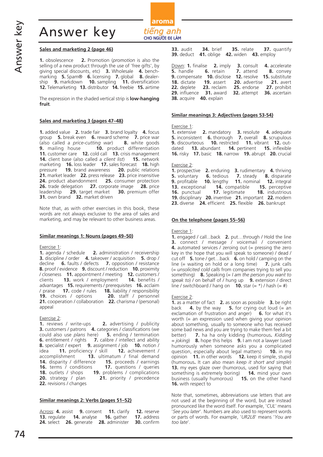aroma tiếng anh CHO NGƯỜI ĐI LÀM

# **Sales and marketing 2 (page 46)**

**1.** obsolescence **2.** Promotion (*promotion* is also the selling of a new product through the use of 'free gifts', by giving special discounts, etc) **3.** Wholesale **4.** benchmarking **5.** Spam® **6.** licensing **7.** global **8.** dealership **9.** markdown **10.** sampling **11.** diversification **12.** Telemarketing **13.** distributor **14.** freebie **15.** airtime

The expression in the shaded vertical strip is **low-hanging fruit**.

# **Sales and marketing 3 (pages 47–48)**

**1.** added value **2.** trade fair **3.** brand loyalty **4.** focus group **5.** break even **6.** reward scheme **7.** price war (also called a *price-cutting war*) **8.** white goods 10. product differentiation **11.** customer care **12.** cold call **13.** crisis management **14.** *client base (also called a <i>client list)* marketing **16.** loss leader **17.** sales forecast **18.** high pressure **19.** brand awareness **20.** public relations **21.** market leader **22.** press release **23.** price insensitive 24. product abandonment **25.** consumer protection **26.** trade delegation **27.** corporate image **28.** price **26.** trade delegation **27.** corporate image leadership **29.** target market **30.** premium offer **31.** own brand **32.** market driven

Note that, as with other exercises in this book, these words are not always exclusive to the area of sales and marketing, and may be relevant to other business areas.

# **Similar meanings 1: Nouns (pages 49–50)**

Exercise 1:<br>**1.** agenda / schedule **2.** administration / receivership **3.** discipline / order **4.** takeover / acquisition **5.** drop / decline **6.** faults / defects **7.** opposition / resistance **8.** proof / evidence **9.** discount / reduction **10.** proximity / closeness **11.** appointment / meeting **12.** customers / clients **13.** work / employment **14.** benefits / advantages **15.** requirements / prerequisites **16.** acclaim / praise **17.** code / rules **18.** liability / responsibility / praise **17.** code / rules **18.** liability / responsibility **19.** choices / options **20.** staff / personnel **21.** cooperation / collaboration **22.** charisma / (personal) appeal

# Exercise 2:

**1.** reviews / write-ups **2.** advertising / publicity **3.** customers / patrons **4.** categories / classifications (we could also use *plans* here) **5.** ending / termination **6.** entitlement / rights **7.** calibre / intellect and ability **8.** specialist / expert **9.** assignment / job **10.** notion / idea **11.** proficiency / skill **12.** achievement / accomplishment **13.** ultimatum / final demand **14.** disparity / difference **15.** proceeds / earnings **16. terms** / conditions **17.** questions / queries **18.** outlets / shops **19.** problems / complications **18.** outlets / shops **19.** problems / complications **20.** strategy / plan **21.** priority / precedence **21.** priority / precedence **22.** revisions / changes

# **Similar meanings 2: Verbs (pages 51–52)**

Across: **4.** assist **9.** consent **11.** clarify **12.** reserve **13.** regulate **14.** analyse **16.** gather **17.** address **24.** select **26.** generate **28.** administer

**33.** audit **34.** brief **35.** relate **37.** quantify **39.** deduct **41.** oblige **42.** widen **43.** employ

Down: **1.** finalise **2.** imply **3.** consult **4.** accelerate **5.** handle **6.** retain **7.** attend **8.** convey **9.** compensate **10.** disclose **12.** resolve **15.** substitute **18.** dictate **19.** assert **20.** advertise **21.** avert **22.** deplete **23.** reclaim **25.** endorse **27.** prohibit **29.** influence **31.** award **32.** attempt **36.** ascertain **38.** acquire **40.** explain

#### **Similar meanings 3: Adjectives (pages 53-54)**

Exercise 1:

**1.** extensive **2.** mandatory **3.** resolute **4.** adequate **5.** inconsistent **6.** thorough **7.** overall **8.** scrupulous **9.** discourteous **10.** restricted **11.** vibrant **12.** outdated **13.** abundant **14.** pertinent **16.** risky **17.** basic **18.** narrow **19.** abrupt **20.** crucial

#### Exercise 2:

**1.** prospective **2.** enduring **3.** rudimentary **4.** thriving **5.** voluntary **6.** tedious **7.** steady **8.** disparate **5.** voluntary **6.** tedious **7.** steady **8.** disparate **10.** lengthy **11.** nominal **13.** exceptional **14.** compatible **15.** perceptive **18.** industrious **19.** disciplinary **20.** inventive **21.** important **22.** modern **23.** diverse **24.** efficient **25.** flexible **26.** bankrupt

# **On the telephone (pages 55–56)**

Exercise 1:

**1.** engaged / call...back **2.** put…through / Hold the line **3.** connect / message / voicemail / convenient **4.** automated services / zeroing out (= pressing the zero key in the hope that you will speak to someone) / dead / cut off **5.** tone / get…back **6.** on hold / camping on the line (= waiting on hold or a long time) **7.** junk calls (= *unsolicited cold calls* from companies trying to sell you something) **8.** Speaking (= *I am the person you want to speak to*) / on behalf of / hung up **9.** extension / direct line / switchboard / hang on **10.**  $\text{star} (= *)$  / hash  $(= #)$ 

#### Exercise 2:

**1.** as a matter of fact **2.** as soon as possible **3.** be right back **4.** by the way **5.** for crying out loud (= an back  $\bf{4.}$  by the way  $\bf{5.}$  for crying out loud (= an exclamation of frustration and anger) **6.** for what it's worth (= an expression used when giving your opinion about something, usually to someone who has received some bad news and you are trying to make them feel a bit<br>better)  $\overline{z}$ , ha ha only kidding (humorous, *Kidding* better) **7.** ha ha only kidding (humorous**.** *Kidding* = *joking*) **8.** hope this helps **9.** I am not a lawyer (used humorously when someone asks you a complicated question, especially about legal matters) **10.** in my opinion **11.** in other words **12.** keep it simple, stupid opinion **11.** in other words (humorous**.** It can also mean *keep it short and simple*) **13.** my eyes glaze over (humorous, used for saying that something is extremely boring) **14.** mind your own business (usually humorous) **15.** on the other hand business (usually humorous) **16.** with respect to

Note that, sometimes, abbreviations use letters that are not used at the beginning of the word, but are instead pronounced like the word itself. For example, '*CUL*' means '*See you later*'. Numbers are also used to represent words or parts of words. For example, '*UR2L8*' means '*You are too late*'.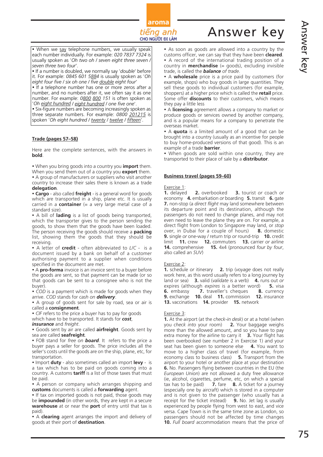# Answer key

• When we say telephone numbers, we usually speak each number individually. For example: *020 7837 7324* is usually spoken as '*Oh two oh / seven eight three seven / seven three two four*'.

• If a number is doubled, we normally say '*double*' before it. For example: *0845 601 5884* is usually spoken as '*Oh eight four five / six oh one / five double eight four*'

• If a telephone number has one or more zeros after a number, and no numbers after it, we often say it as one number. For example: *0800 800 151* is often spoken as '*Oh eight hundred / eight hundred / one five one*'.

• Six-figure numbers are becoming increasingly spoken as three separate numbers. For example: *0800 201215* is spoken '*Oh eight hundred / twenty / twelve / fifteen*'.

# **Trade (pages 57–58)**

Here are the complete sentences, with the answers in **bold**.

y When you bring goods into a country you **import** them.

When you send them out of a country you **export** them. • A group of manufacturers or suppliers who visit another country to increase their sales there is known as a trade **delegation**.

y **Cargo** - also called **freight** - is a general word for goods which are transported in a ship, plane etc. It is usually carried in a **container** (= a very large metal case of a standard size).

• A bill of **lading** is a list of goods being transported, which the transporter gives to the person sending the goods, to show them that the goods have been loaded. The person receiving the goods should receive a **packing** list, showing them the goods that they should be receiving.

y A letter of **credit** - often abbreviated to *L/C* - is a document issued by a bank on behalf of a customer authorising payment to a supplier when conditions specified in the document are met.

• A **pro-forma** invoice is an invoice sent to a buyer before the goods are sent, so that payment can be made (or so that goods can be sent to a consignee who is not the buyer).

• *COD* is a payment which is made for goods when they arrive. *COD* stands for *cash on delivery*.

• A group of goods sent for sale by road, sea or air is called a **consignment**.

• *CIF* refers to the price a buyer has to pay for goods which have to be transported. It stands for *cost*,

*insurance* and *freight*.

y Goods sent by air are called **airfreight**. Goods sent by sea are called **seafreight**.

• FOB stand for *free on board*. It refers to the price a buyer pays a seller for goods. The price includes all the seller's costs until the goods are on the ship, plane, etc, for transportation.

• Import **duty** - also sometimes called an import **levy** - is a tax which has to be paid on goods coming into a country. A customs **tariff** is a list of those taxes that must be paid.

• A person or company which arranges shipping and **customs** documents is called a **forwarding** agent.

• If tax on imported goods is not paid, those goods may be **impounded** (in other words, they are kept in a secure **warehouse** at or near the **port** of entry until that tax is paid).

• A **clearing** agent arranges the import and delivery of goods at their port of **destination**.

• As soon as goods are allowed into a country by the customs officer, we can say that they have been **cleared**. • A record of the international trading position of a country in **merchandise** (= goods), excluding invisible trade, is called the *balance of trade*.

• A **wholesale** price is a price paid by customers (for example, shops) who buy goods in large quantities. They sell these goods to individual customers (for example, shoppers) at a higher price which is called the **retail** price. Some offer **discounts** to their customers, which means they pay a little less

• A **licensing** agreement allows a company to market or produce goods or services owned by another company, and is a popular means for a company to penetrate the overseas market.

• A **quota** is a limited amount of a good that can be brought into a country (usually as an incentive for people to buy home-produced versions of that good). This is an example of a trade **barrier**.

• When goods are sold within one country, they are transported to their place of sale by a **distributor**.

#### **Business travel (pages 59–60)**

#### Exercise 1:

**1.** delayed **2.** overbooked **3.** tourist *or* coach *or* economy **4.** embarkation *or* boarding **5.** transit **6.** gate **7.** non-stop (a *direct flight* may land somewhere between its departure point and its destination, although the passengers do not need to change planes, and may not even need to leave the plane they are on. For example, a direct flight from London to Singapore may land, or *stop over*, in Dubai for a couple of hours) **8.** domestic **9.** single *or* one-way / return trip *or* round-trip **10.** credit limit **11.** crew **12.** commuters **13.** carrier *or* airline **14.** comprehensive **15.** 4x4 (pronounced *four by four*, also called an *SUV*)

#### Exercise 2:

**1.** schedule *or* itinerary **2.** trip (*voyage* does not really work here, as this word usually refers to a long journey by land or sea) **3.** valid (*validate* is a verb) **4.** runs out *or* expires (although *expires* is a better word) **5.** visa **6.** embassy **7.** traveller's cheques **8.** currency **9.** exchange **10.** deal **11.** commission **12.** insurance **13.** vaccinations **14.** provider **15.** network

# Exercise 3:

**1.** At the airport (at the *check-in desk*) or at a hotel (when you *check into your room*) **2.** Your baggage weighs you *check into* your room) more than the allowed amount, and so you have to pay extra money for the airline to carry it **3.** Your flight has been overbooked (see number 2 in Exercise 1) and your seat has been given to someone else **4.** You want to move to a higher class of travel (for example, from economy class to business class) **5.** Transport from the airport to your hotel or another place at your destination **6.** No. Passengers flying between countries in the EU (the *European Union*) are not allowed a duty free allowance (ie, alcohol, cigarettes, perfume, etc, on which a special tax has to be paid) **7.** fare **8.** A ticket for a journey (especially one by aircraft) which is stored in a computer and is not given to the passenger (who usually has a receipt for the ticket instead)  $\overline{9}$ . No. Jet lag is usually receipt for the ticket instead) experienced by people flying from west to east, and vice versa. Cape Town is in the same time zone as London, so passengers should not be affected by time changes **10.** *Full board* accommodation means that the price of